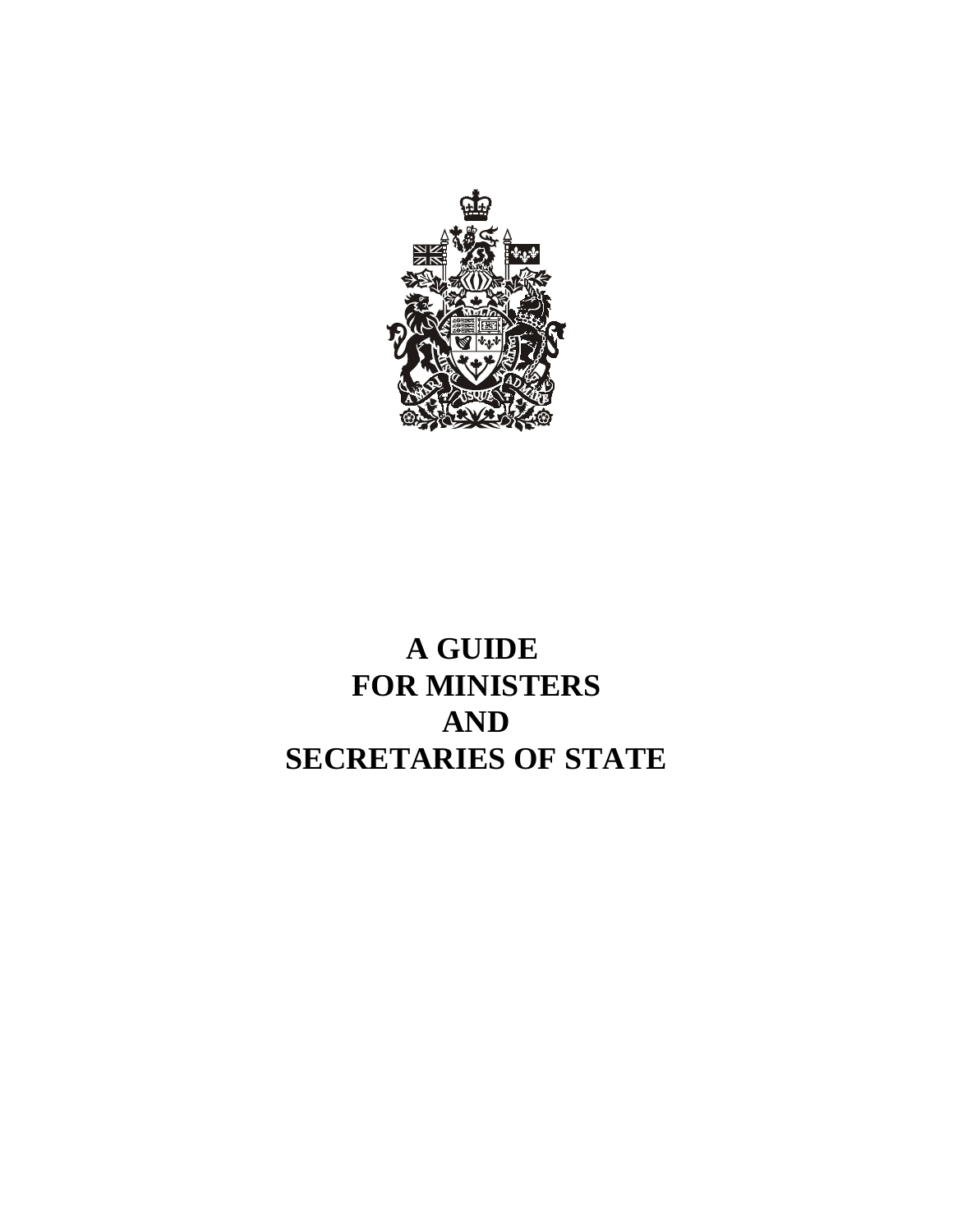

# **A GUIDE FOR MINISTERS AND SECRETARIES OF STATE**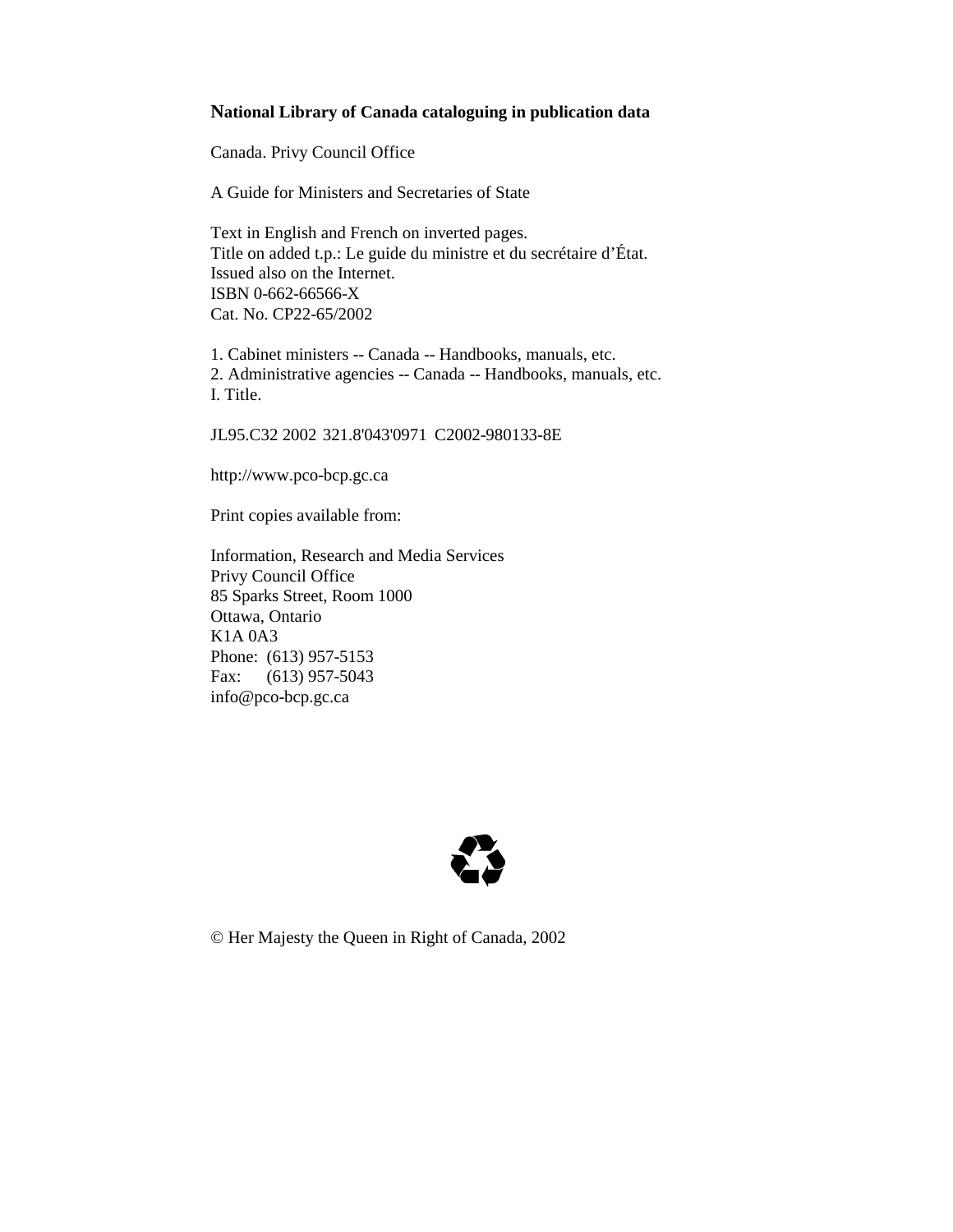# **National Library of Canada cataloguing in publication data**

Canada. Privy Council Office

A Guide for Ministers and Secretaries of State

Text in English and French on inverted pages. Title on added t.p.: Le guide du ministre et du secrétaire d'État. Issued also on the Internet. ISBN 0-662-66566-X Cat. No. CP22-65/2002

1. Cabinet ministers -- Canada -- Handbooks, manuals, etc. 2. Administrative agencies -- Canada -- Handbooks, manuals, etc. I. Title.

JL95.C32 2002 321.8'043'0971 C2002-980133-8E

http://www.pco-bcp.gc.ca

Print copies available from:

Information, Research and Media Services Privy Council Office 85 Sparks Street, Room 1000 Ottawa, Ontario K1A 0A3 Phone: (613) 957-5153 Fax: (613) 957-5043 info@pco-bcp.gc.ca



© Her Majesty the Queen in Right of Canada, 2002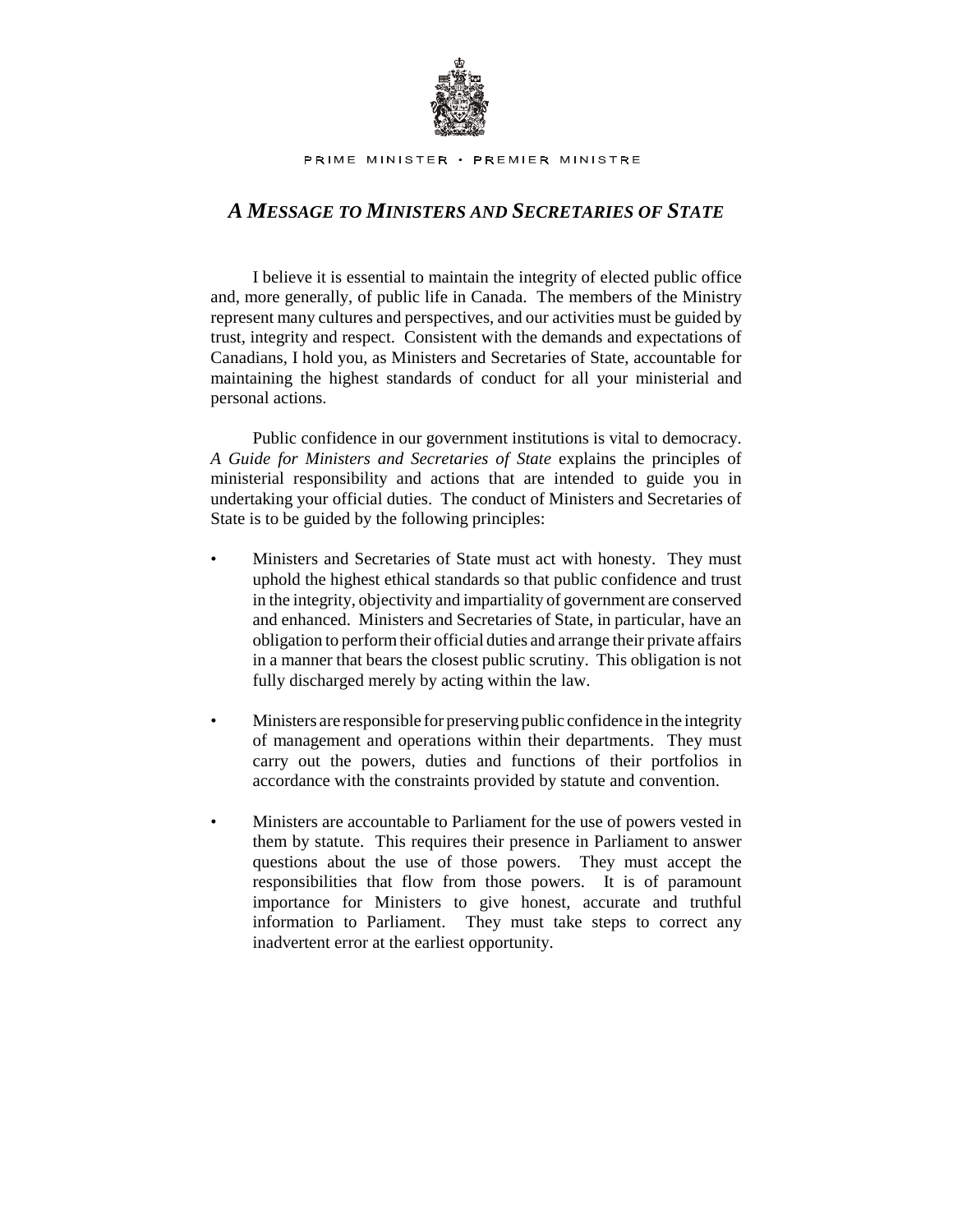

PRIME MINISTER · PREMIER MINISTRE

# *A MESSAGE TO MINISTERS AND SECRETARIES OF STATE*

I believe it is essential to maintain the integrity of elected public office and, more generally, of public life in Canada. The members of the Ministry represent many cultures and perspectives, and our activities must be guided by trust, integrity and respect. Consistent with the demands and expectations of Canadians, I hold you, as Ministers and Secretaries of State, accountable for maintaining the highest standards of conduct for all your ministerial and personal actions.

Public confidence in our government institutions is vital to democracy. *A Guide for Ministers and Secretaries of State* explains the principles of ministerial responsibility and actions that are intended to guide you in undertaking your official duties. The conduct of Ministers and Secretaries of State is to be guided by the following principles:

- Ministers and Secretaries of State must act with honesty. They must uphold the highest ethical standards so that public confidence and trust in the integrity, objectivity and impartiality of government are conserved and enhanced. Ministers and Secretaries of State, in particular, have an obligation to perform their official duties and arrange their private affairs in a manner that bears the closest public scrutiny. This obligation is not fully discharged merely by acting within the law.
- Ministers are responsible for preserving public confidence in the integrity of management and operations within their departments. They must carry out the powers, duties and functions of their portfolios in accordance with the constraints provided by statute and convention.
- Ministers are accountable to Parliament for the use of powers vested in them by statute. This requires their presence in Parliament to answer questions about the use of those powers. They must accept the responsibilities that flow from those powers. It is of paramount importance for Ministers to give honest, accurate and truthful information to Parliament. They must take steps to correct any inadvertent error at the earliest opportunity.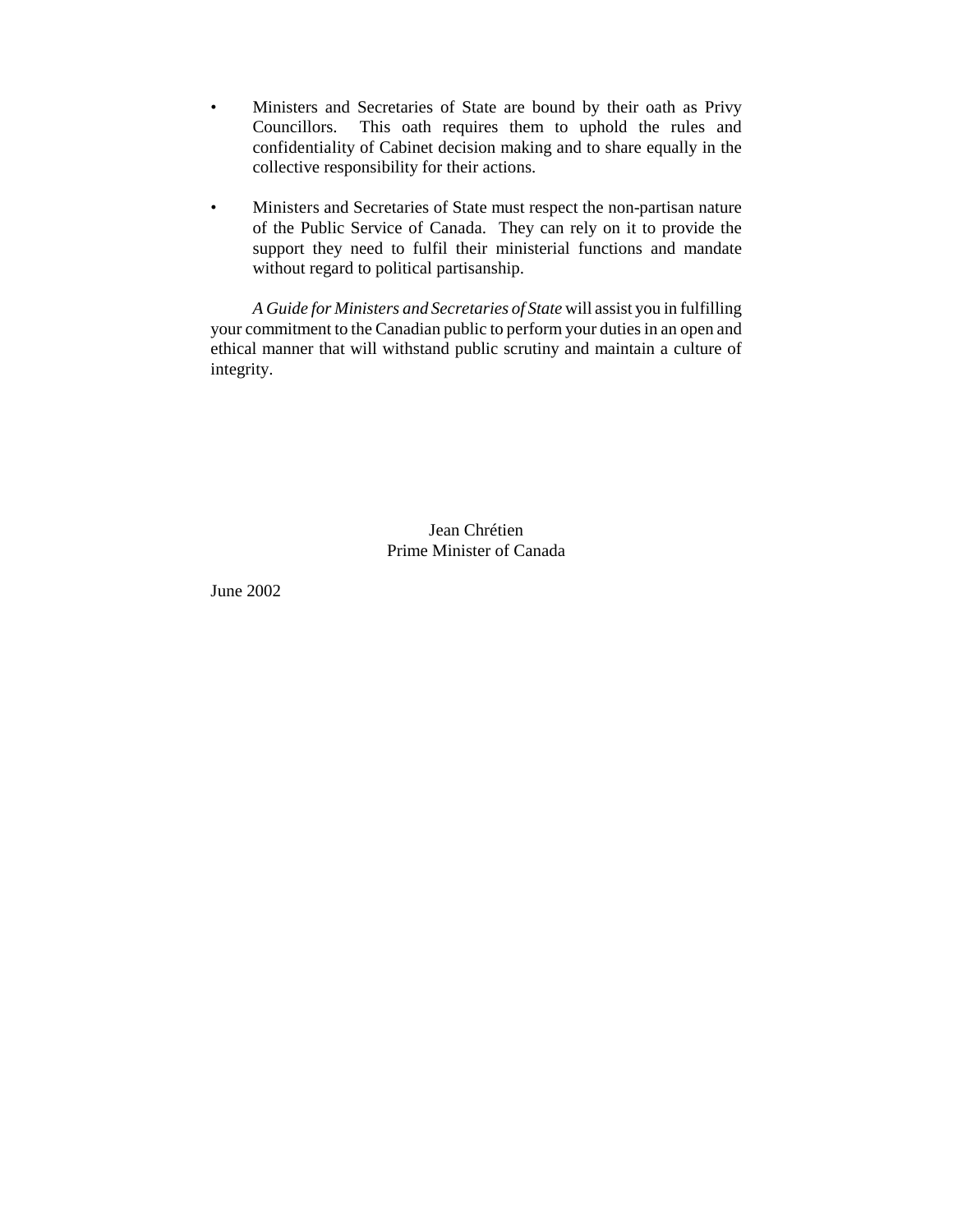- Ministers and Secretaries of State are bound by their oath as Privy Councillors. This oath requires them to uphold the rules and confidentiality of Cabinet decision making and to share equally in the collective responsibility for their actions.
- Ministers and Secretaries of State must respect the non-partisan nature of the Public Service of Canada. They can rely on it to provide the support they need to fulfil their ministerial functions and mandate without regard to political partisanship.

*A Guide for Ministers and Secretaries of State* will assist you in fulfilling your commitment to the Canadian public to perform your duties in an open and ethical manner that will withstand public scrutiny and maintain a culture of integrity.

> Jean Chrétien Prime Minister of Canada

June 2002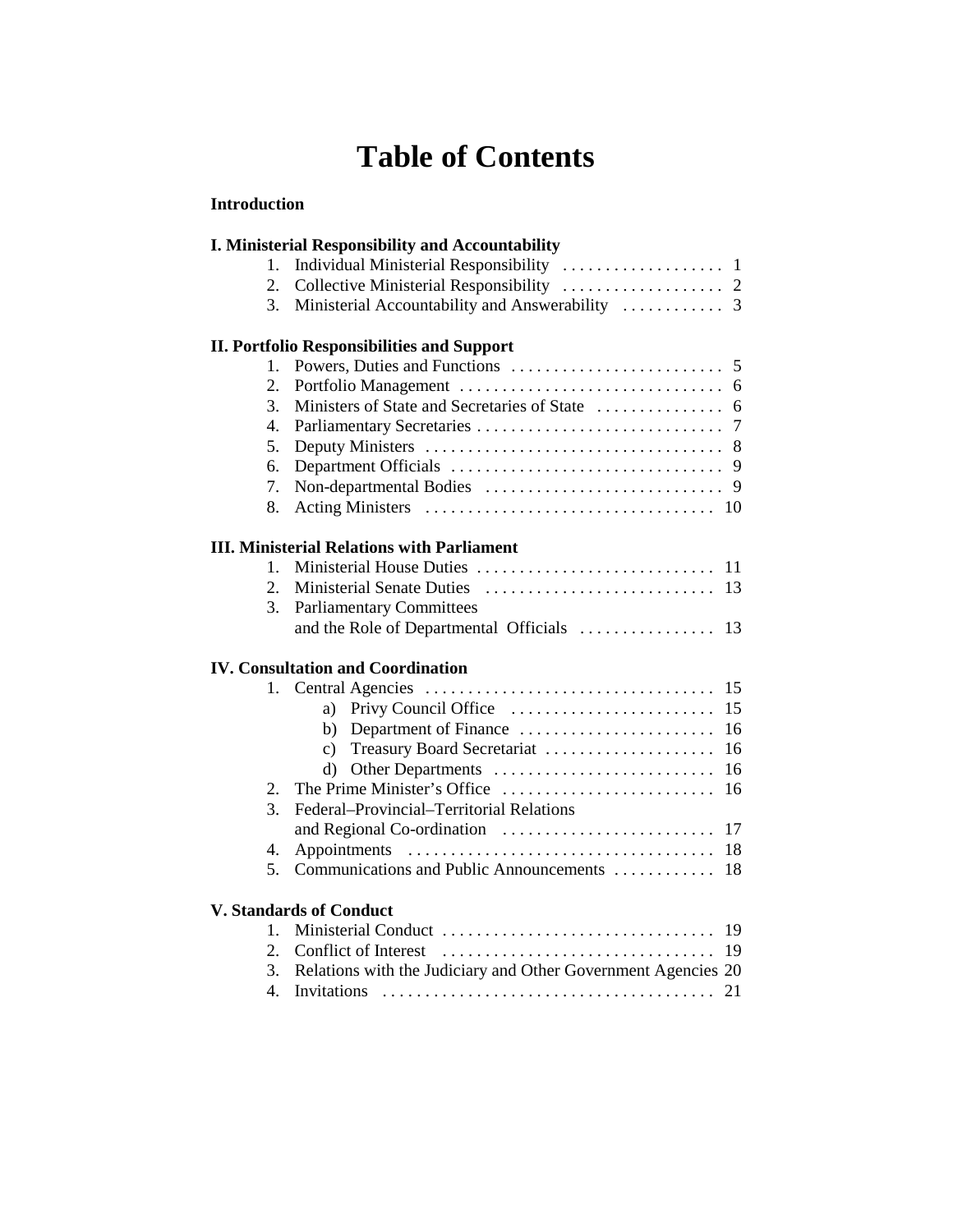# **Table of Contents**

| <b>Introduction</b> |
|---------------------|
|---------------------|

|             | I. Ministerial Responsibility and Accountability              |    |
|-------------|---------------------------------------------------------------|----|
| 1.          |                                                               |    |
| 2.          |                                                               |    |
| 3.          |                                                               |    |
|             | <b>II. Portfolio Responsibilities and Support</b>             |    |
| 1.          |                                                               |    |
| 2.          |                                                               |    |
| 3.          |                                                               |    |
| 4.          |                                                               |    |
| 5.          |                                                               |    |
| б.          |                                                               |    |
| 7.          |                                                               |    |
| 8.          |                                                               |    |
|             | <b>III. Ministerial Relations with Parliament</b>             |    |
| 1.          |                                                               |    |
| 2.          |                                                               |    |
| 3.          | <b>Parliamentary Committees</b>                               |    |
|             |                                                               |    |
|             | <b>IV. Consultation and Coordination</b>                      |    |
| 1.          |                                                               |    |
|             | a)                                                            |    |
|             | Department of Finance<br>b)                                   | 16 |
|             | Treasury Board Secretariat<br>c)                              | 16 |
|             | Other Departments<br>d)                                       | 16 |
| 2.          |                                                               | 16 |
| 3.          | Federal-Provincial-Territorial Relations                      |    |
|             |                                                               | 17 |
| 4.          |                                                               |    |
| 5.          | Communications and Public Announcements  18                   |    |
|             | <b>V. Standards of Conduct</b>                                |    |
| 1.          |                                                               |    |
| 2.          |                                                               |    |
| 3.          | Relations with the Judiciary and Other Government Agencies 20 |    |
| $4_{\cdot}$ |                                                               |    |
|             |                                                               |    |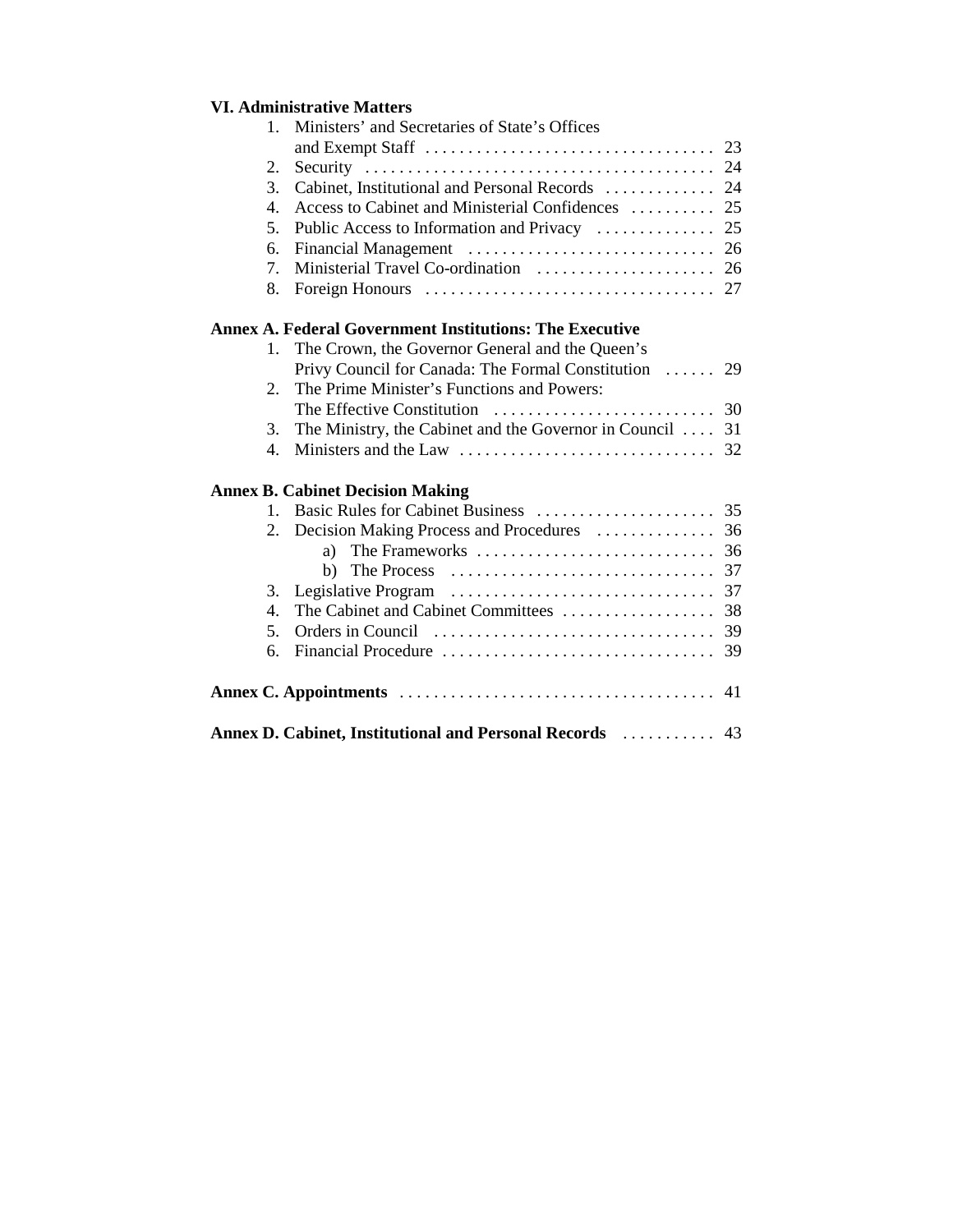# **VI. Administrative Matters**

|  | 1. Ministers' and Secretaries of State's Offices     |  |
|--|------------------------------------------------------|--|
|  |                                                      |  |
|  |                                                      |  |
|  |                                                      |  |
|  | 4. Access to Cabinet and Ministerial Confidences  25 |  |
|  |                                                      |  |
|  |                                                      |  |
|  |                                                      |  |
|  |                                                      |  |
|  |                                                      |  |

# **Annex A. Federal Government Institutions: The Executive**

| $1_{-}$                                                        | The Crown, the Governor General and the Queen's                                           |  |  |  |
|----------------------------------------------------------------|-------------------------------------------------------------------------------------------|--|--|--|
|                                                                | Privy Council for Canada: The Formal Constitution  29                                     |  |  |  |
| 2.                                                             | The Prime Minister's Functions and Powers:                                                |  |  |  |
|                                                                |                                                                                           |  |  |  |
| 3.                                                             | The Ministry, the Cabinet and the Governor in Council $\ldots$ 31                         |  |  |  |
|                                                                |                                                                                           |  |  |  |
|                                                                | <b>Annex B. Cabinet Decision Making</b>                                                   |  |  |  |
| $1 \quad$                                                      |                                                                                           |  |  |  |
|                                                                |                                                                                           |  |  |  |
|                                                                |                                                                                           |  |  |  |
|                                                                | b) The Process $\ldots \ldots \ldots \ldots \ldots \ldots \ldots \ldots \ldots \ldots$ 37 |  |  |  |
| 3.                                                             |                                                                                           |  |  |  |
| $4_{\cdot}$                                                    |                                                                                           |  |  |  |
| 5.                                                             |                                                                                           |  |  |  |
| б.                                                             |                                                                                           |  |  |  |
|                                                                |                                                                                           |  |  |  |
| <b>Annex D. Cabinet, Institutional and Personal Records</b> 43 |                                                                                           |  |  |  |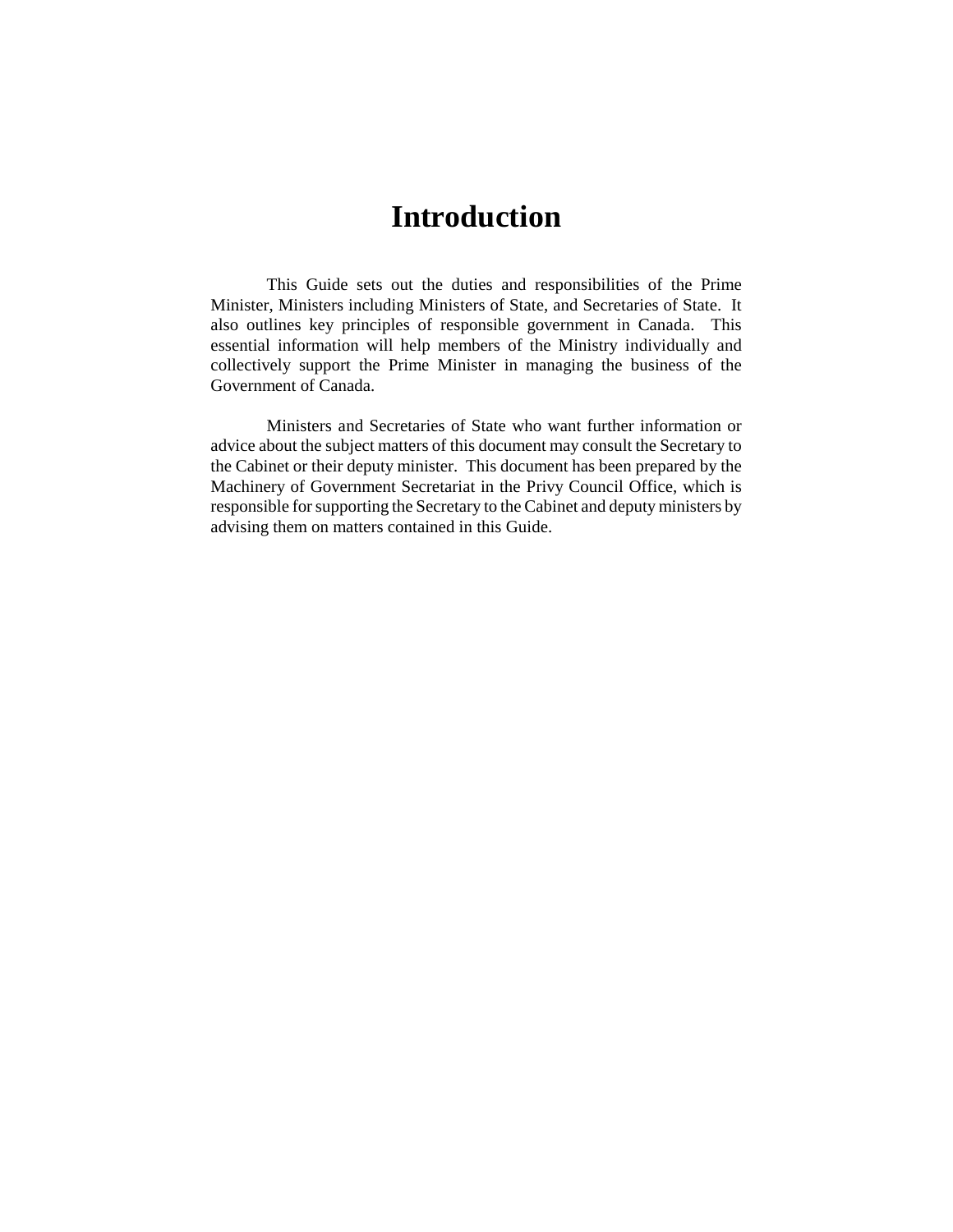# **Introduction**

This Guide sets out the duties and responsibilities of the Prime Minister, Ministers including Ministers of State, and Secretaries of State. It also outlines key principles of responsible government in Canada. This essential information will help members of the Ministry individually and collectively support the Prime Minister in managing the business of the Government of Canada.

Ministers and Secretaries of State who want further information or advice about the subject matters of this document may consult the Secretary to the Cabinet or their deputy minister. This document has been prepared by the Machinery of Government Secretariat in the Privy Council Office, which is responsible for supporting the Secretary to the Cabinet and deputy ministers by advising them on matters contained in this Guide.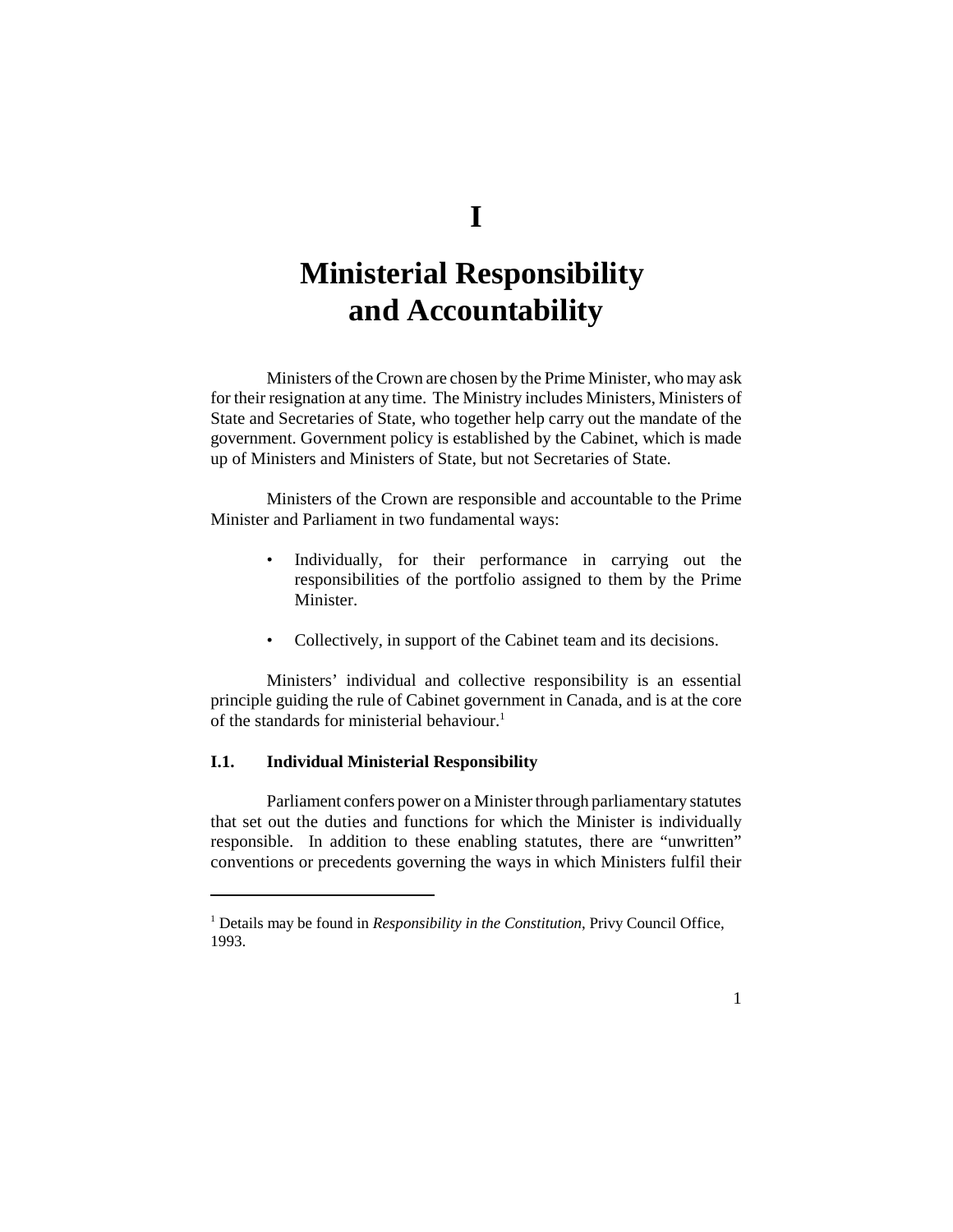**I**

# **Ministerial Responsibility and Accountability**

Ministers of the Crown are chosen by the Prime Minister, who may ask for their resignation at any time. The Ministry includes Ministers, Ministers of State and Secretaries of State, who together help carry out the mandate of the government. Government policy is established by the Cabinet, which is made up of Ministers and Ministers of State, but not Secretaries of State.

Ministers of the Crown are responsible and accountable to the Prime Minister and Parliament in two fundamental ways:

- Individually, for their performance in carrying out the responsibilities of the portfolio assigned to them by the Prime Minister.
- Collectively, in support of the Cabinet team and its decisions.

Ministers' individual and collective responsibility is an essential principle guiding the rule of Cabinet government in Canada, and is at the core of the standards for ministerial behaviour.<sup>1</sup>

### **I.1. Individual Ministerial Responsibility**

Parliament confers power on a Minister through parliamentary statutes that set out the duties and functions for which the Minister is individually responsible. In addition to these enabling statutes, there are "unwritten" conventions or precedents governing the ways in which Ministers fulfil their

<sup>&</sup>lt;sup>1</sup> Details may be found in *Responsibility in the Constitution*, Privy Council Office, 1993.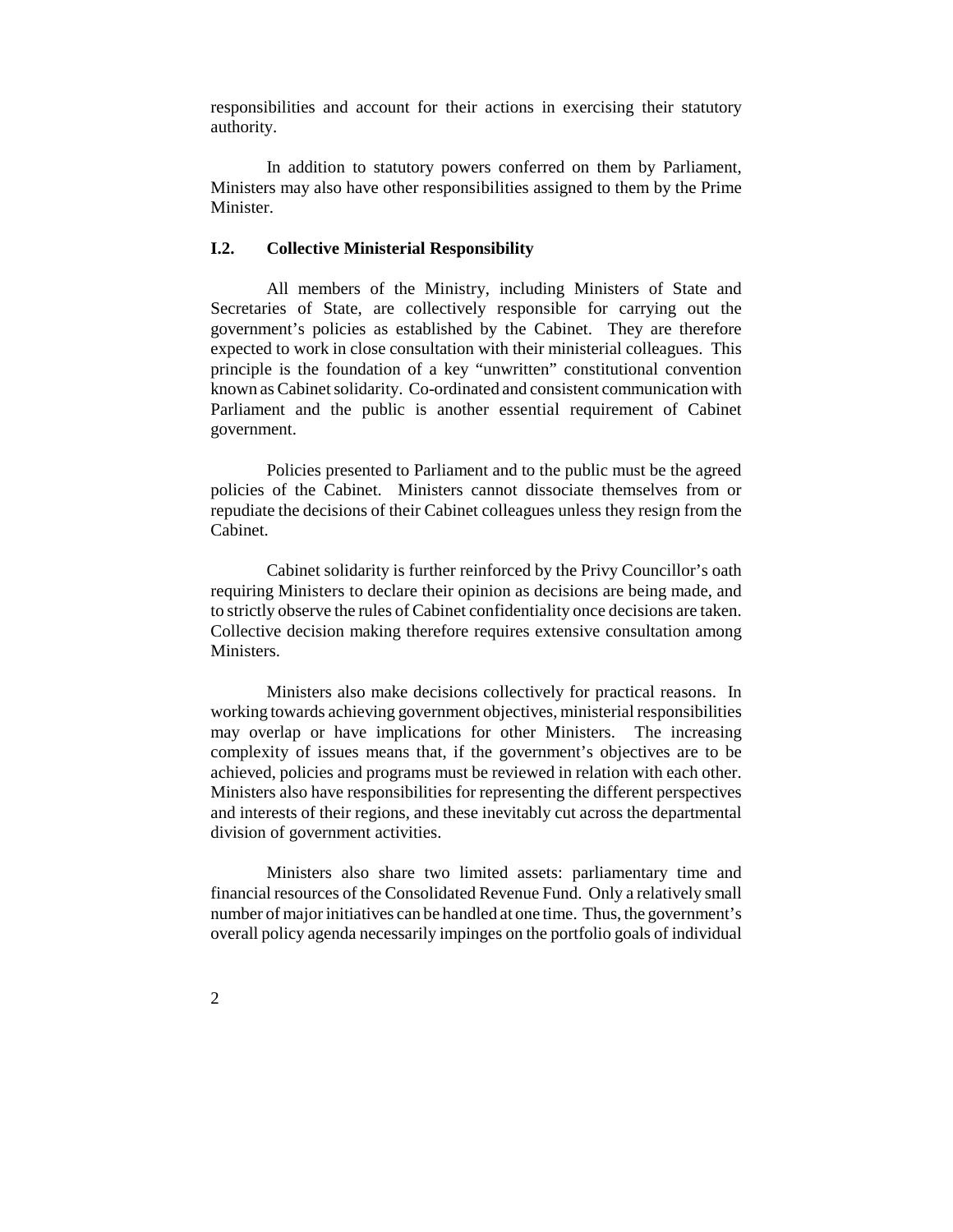responsibilities and account for their actions in exercising their statutory authority.

In addition to statutory powers conferred on them by Parliament, Ministers may also have other responsibilities assigned to them by the Prime Minister.

# **I.2. Collective Ministerial Responsibility**

All members of the Ministry, including Ministers of State and Secretaries of State, are collectively responsible for carrying out the government's policies as established by the Cabinet. They are therefore expected to work in close consultation with their ministerial colleagues. This principle is the foundation of a key "unwritten" constitutional convention known as Cabinet solidarity. Co-ordinated and consistent communication with Parliament and the public is another essential requirement of Cabinet government.

Policies presented to Parliament and to the public must be the agreed policies of the Cabinet. Ministers cannot dissociate themselves from or repudiate the decisions of their Cabinet colleagues unless they resign from the Cabinet.

Cabinet solidarity is further reinforced by the Privy Councillor's oath requiring Ministers to declare their opinion as decisions are being made, and to strictly observe the rules of Cabinet confidentiality once decisions are taken. Collective decision making therefore requires extensive consultation among Ministers.

Ministers also make decisions collectively for practical reasons. In working towards achieving government objectives, ministerial responsibilities may overlap or have implications for other Ministers. The increasing complexity of issues means that, if the government's objectives are to be achieved, policies and programs must be reviewed in relation with each other. Ministers also have responsibilities for representing the different perspectives and interests of their regions, and these inevitably cut across the departmental division of government activities.

Ministers also share two limited assets: parliamentary time and financial resources of the Consolidated Revenue Fund. Only a relatively small number of major initiatives can be handled at one time. Thus, the government's overall policy agenda necessarily impinges on the portfolio goals of individual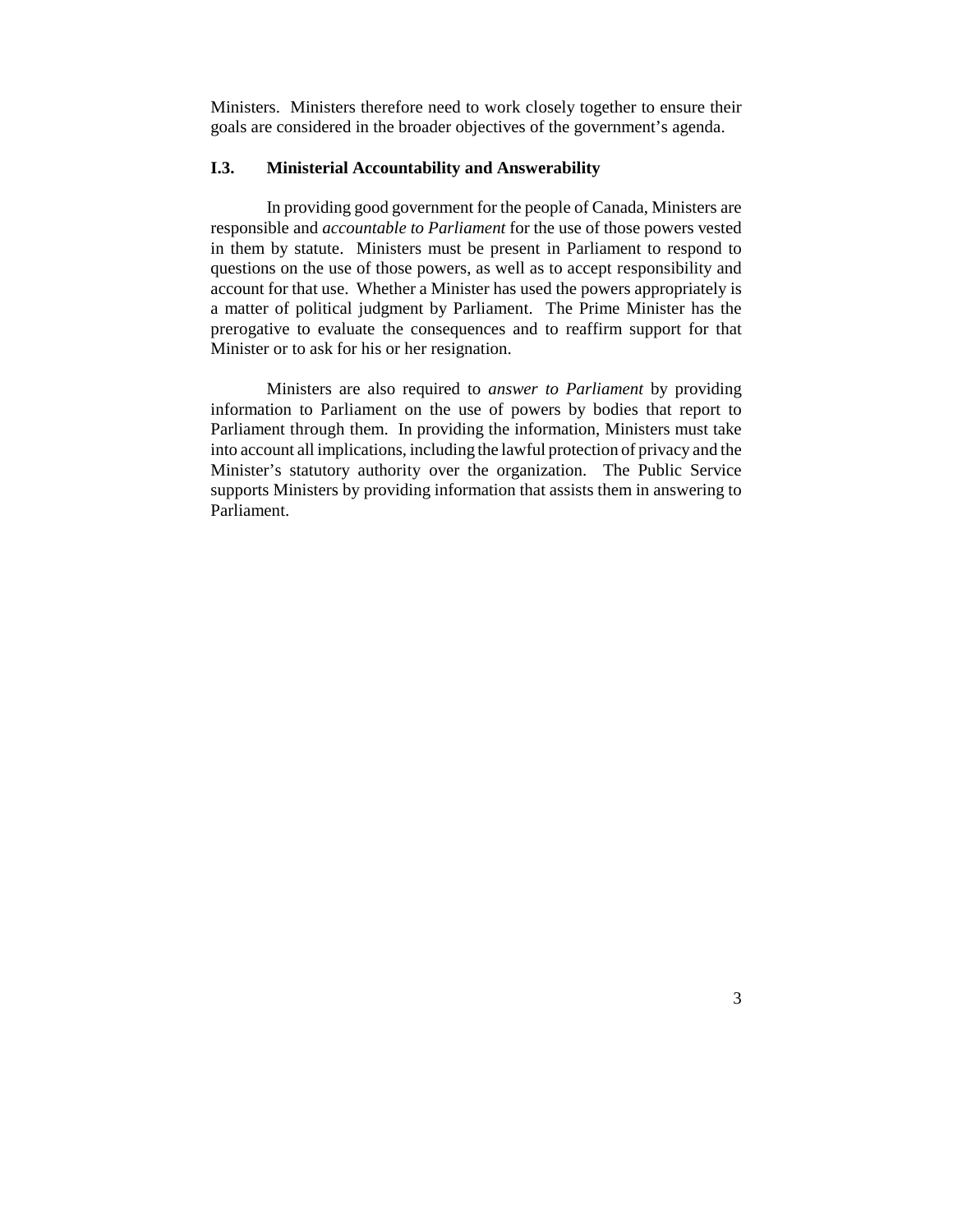Ministers. Ministers therefore need to work closely together to ensure their goals are considered in the broader objectives of the government's agenda.

#### **I.3. Ministerial Accountability and Answerability**

In providing good government for the people of Canada, Ministers are responsible and *accountable to Parliament* for the use of those powers vested in them by statute. Ministers must be present in Parliament to respond to questions on the use of those powers, as well as to accept responsibility and account for that use. Whether a Minister has used the powers appropriately is a matter of political judgment by Parliament. The Prime Minister has the prerogative to evaluate the consequences and to reaffirm support for that Minister or to ask for his or her resignation.

Ministers are also required to *answer to Parliament* by providing information to Parliament on the use of powers by bodies that report to Parliament through them. In providing the information, Ministers must take into account all implications, including the lawful protection of privacy and the Minister's statutory authority over the organization. The Public Service supports Ministers by providing information that assists them in answering to Parliament.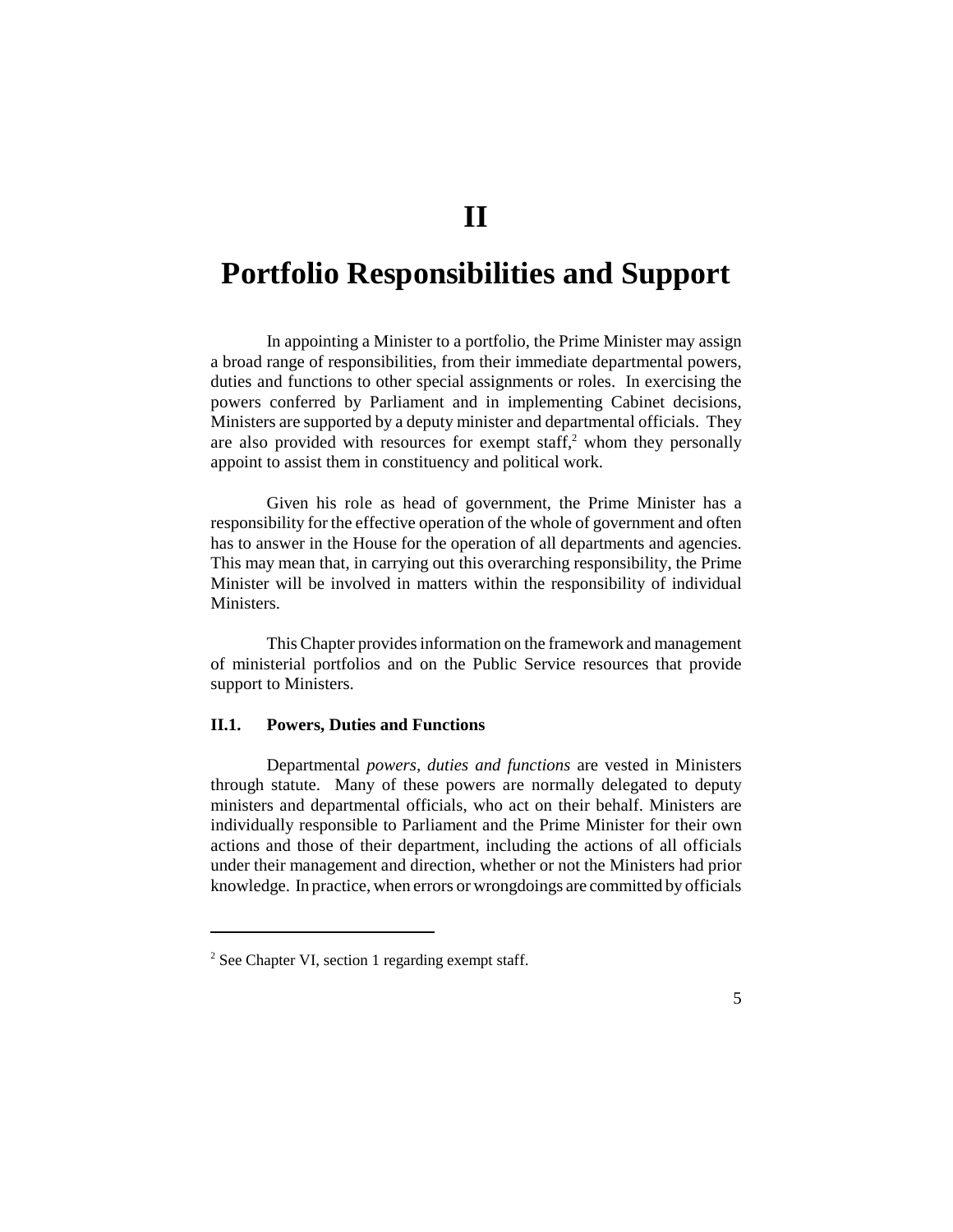**II**

# **Portfolio Responsibilities and Support**

In appointing a Minister to a portfolio, the Prime Minister may assign a broad range of responsibilities, from their immediate departmental powers, duties and functions to other special assignments or roles. In exercising the powers conferred by Parliament and in implementing Cabinet decisions, Ministers are supported by a deputy minister and departmental officials. They are also provided with resources for exempt staff, $2$  whom they personally appoint to assist them in constituency and political work.

Given his role as head of government, the Prime Minister has a responsibility for the effective operation of the whole of government and often has to answer in the House for the operation of all departments and agencies. This may mean that, in carrying out this overarching responsibility, the Prime Minister will be involved in matters within the responsibility of individual Ministers.

This Chapter provides information on the framework and management of ministerial portfolios and on the Public Service resources that provide support to Ministers.

#### **II.1. Powers, Duties and Functions**

Departmental *powers, duties and functions* are vested in Ministers through statute. Many of these powers are normally delegated to deputy ministers and departmental officials, who act on their behalf. Ministers are individually responsible to Parliament and the Prime Minister for their own actions and those of their department, including the actions of all officials under their management and direction, whether or not the Ministers had prior knowledge. In practice, when errors or wrongdoings are committed by officials

<sup>&</sup>lt;sup>2</sup> See Chapter VI, section 1 regarding exempt staff.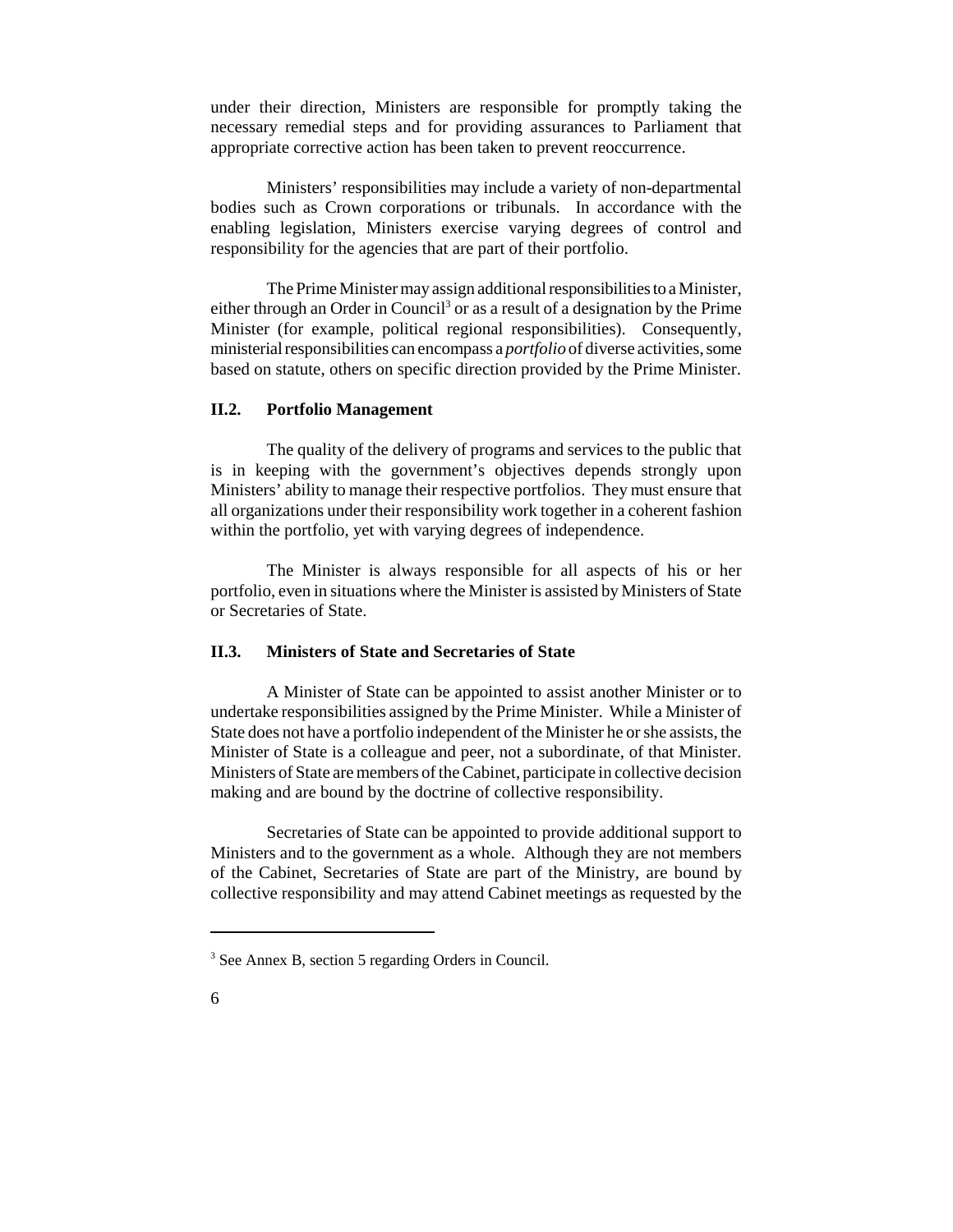under their direction, Ministers are responsible for promptly taking the necessary remedial steps and for providing assurances to Parliament that appropriate corrective action has been taken to prevent reoccurrence.

Ministers' responsibilities may include a variety of non-departmental bodies such as Crown corporations or tribunals. In accordance with the enabling legislation, Ministers exercise varying degrees of control and responsibility for the agencies that are part of their portfolio.

The Prime Minister may assign additional responsibilities to a Minister, either through an Order in Council<sup>3</sup> or as a result of a designation by the Prime Minister (for example, political regional responsibilities). Consequently, ministerial responsibilities can encompass a *portfolio* of diverse activities, some based on statute, others on specific direction provided by the Prime Minister.

# **II.2. Portfolio Management**

The quality of the delivery of programs and services to the public that is in keeping with the government's objectives depends strongly upon Ministers' ability to manage their respective portfolios. They must ensure that all organizations under their responsibility work together in a coherent fashion within the portfolio, yet with varying degrees of independence.

The Minister is always responsible for all aspects of his or her portfolio, even in situations where the Minister is assisted by Ministers of State or Secretaries of State.

### **II.3. Ministers of State and Secretaries of State**

A Minister of State can be appointed to assist another Minister or to undertake responsibilities assigned by the Prime Minister. While a Minister of State does not have a portfolio independent of the Minister he or she assists, the Minister of State is a colleague and peer, not a subordinate, of that Minister. Ministers of State are members of the Cabinet, participate in collective decision making and are bound by the doctrine of collective responsibility.

Secretaries of State can be appointed to provide additional support to Ministers and to the government as a whole. Although they are not members of the Cabinet, Secretaries of State are part of the Ministry, are bound by collective responsibility and may attend Cabinet meetings as requested by the

<sup>&</sup>lt;sup>3</sup> See Annex B, section 5 regarding Orders in Council.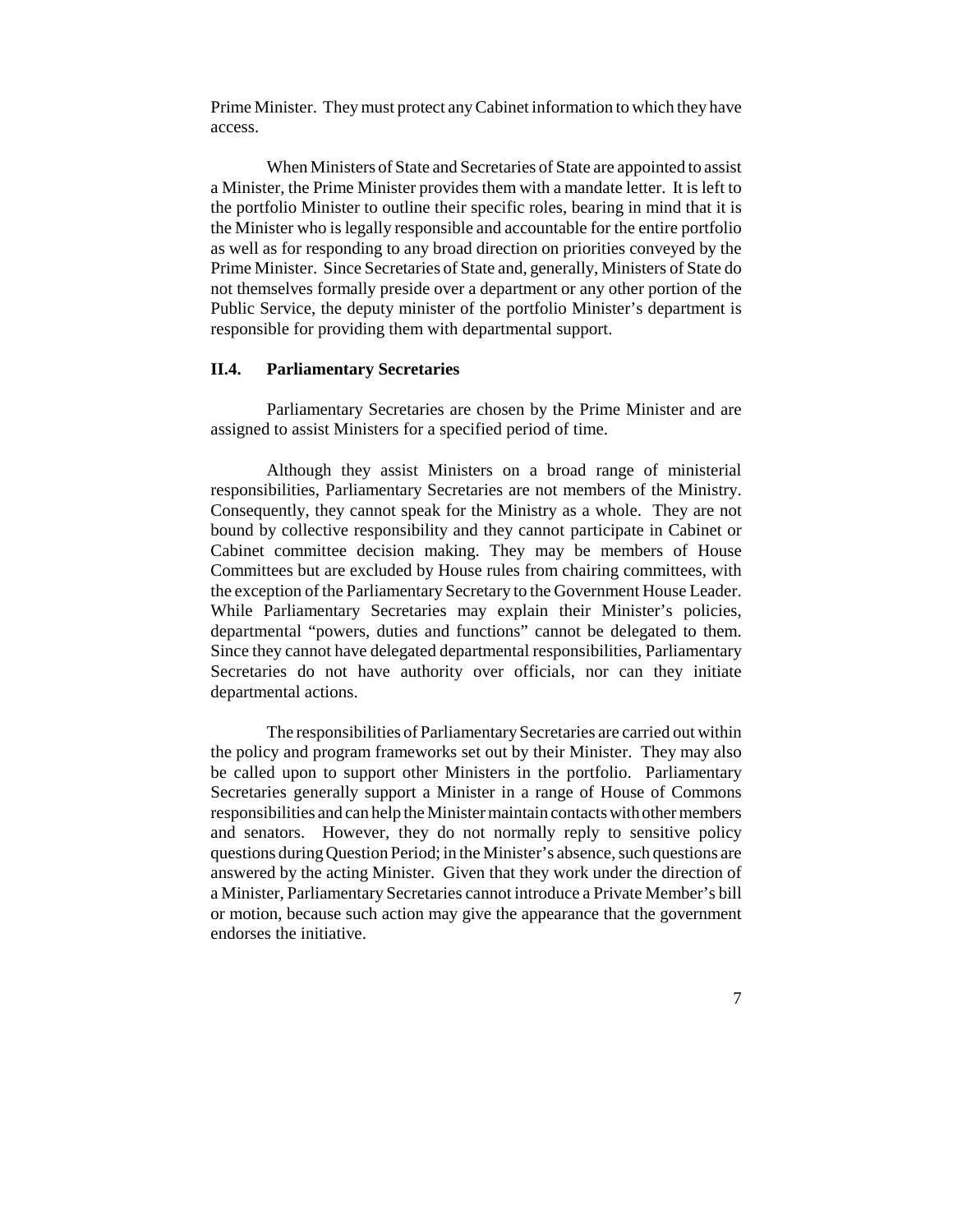Prime Minister. They must protect any Cabinet information to which they have access.

When Ministers of State and Secretaries of State are appointed to assist a Minister, the Prime Minister provides them with a mandate letter. It is left to the portfolio Minister to outline their specific roles, bearing in mind that it is the Minister who is legally responsible and accountable for the entire portfolio as well as for responding to any broad direction on priorities conveyed by the Prime Minister. Since Secretaries of State and, generally, Ministers of State do not themselves formally preside over a department or any other portion of the Public Service, the deputy minister of the portfolio Minister's department is responsible for providing them with departmental support.

### **II.4. Parliamentary Secretaries**

Parliamentary Secretaries are chosen by the Prime Minister and are assigned to assist Ministers for a specified period of time.

Although they assist Ministers on a broad range of ministerial responsibilities, Parliamentary Secretaries are not members of the Ministry. Consequently, they cannot speak for the Ministry as a whole. They are not bound by collective responsibility and they cannot participate in Cabinet or Cabinet committee decision making. They may be members of House Committees but are excluded by House rules from chairing committees, with the exception of the Parliamentary Secretary to the Government House Leader. While Parliamentary Secretaries may explain their Minister's policies, departmental "powers, duties and functions" cannot be delegated to them. Since they cannot have delegated departmental responsibilities, Parliamentary Secretaries do not have authority over officials, nor can they initiate departmental actions.

The responsibilities of Parliamentary Secretaries are carried out within the policy and program frameworks set out by their Minister. They may also be called upon to support other Ministers in the portfolio. Parliamentary Secretaries generally support a Minister in a range of House of Commons responsibilities and can help the Minister maintain contacts with other members and senators. However, they do not normally reply to sensitive policy questions during Question Period; in the Minister's absence, such questions are answered by the acting Minister. Given that they work under the direction of a Minister, Parliamentary Secretaries cannot introduce a Private Member's bill or motion, because such action may give the appearance that the government endorses the initiative.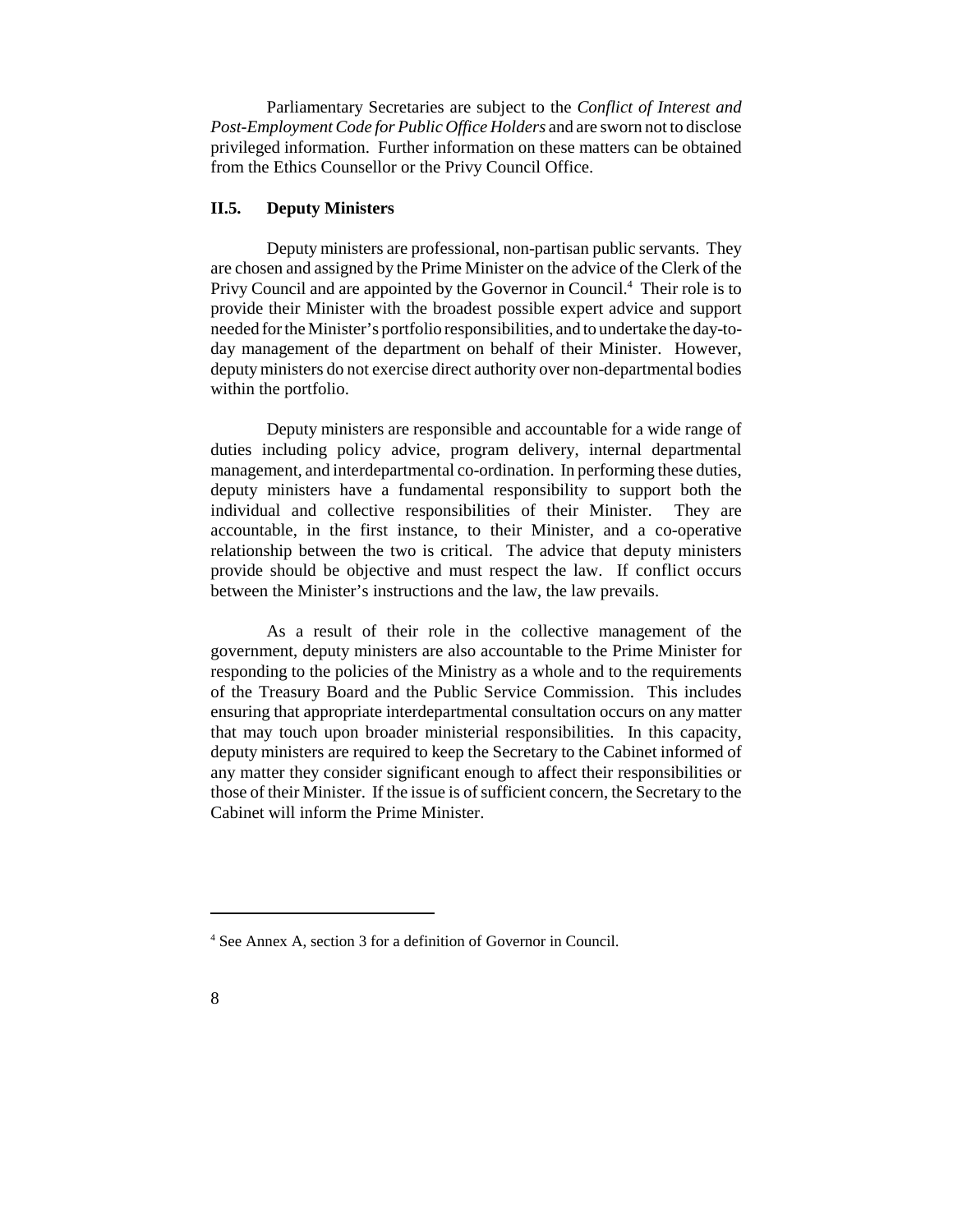Parliamentary Secretaries are subject to the *Conflict of Interest and Post-Employment Code for Public Office Holders* and are sworn not to disclose privileged information. Further information on these matters can be obtained from the Ethics Counsellor or the Privy Council Office.

### **II.5. Deputy Ministers**

Deputy ministers are professional, non-partisan public servants. They are chosen and assigned by the Prime Minister on the advice of the Clerk of the Privy Council and are appointed by the Governor in Council.<sup>4</sup> Their role is to provide their Minister with the broadest possible expert advice and support needed for the Minister's portfolio responsibilities, and to undertake the day-today management of the department on behalf of their Minister. However, deputy ministers do not exercise direct authority over non-departmental bodies within the portfolio.

Deputy ministers are responsible and accountable for a wide range of duties including policy advice, program delivery, internal departmental management, and interdepartmental co-ordination. In performing these duties, deputy ministers have a fundamental responsibility to support both the individual and collective responsibilities of their Minister. They are accountable, in the first instance, to their Minister, and a co-operative relationship between the two is critical. The advice that deputy ministers provide should be objective and must respect the law. If conflict occurs between the Minister's instructions and the law, the law prevails.

As a result of their role in the collective management of the government, deputy ministers are also accountable to the Prime Minister for responding to the policies of the Ministry as a whole and to the requirements of the Treasury Board and the Public Service Commission. This includes ensuring that appropriate interdepartmental consultation occurs on any matter that may touch upon broader ministerial responsibilities. In this capacity, deputy ministers are required to keep the Secretary to the Cabinet informed of any matter they consider significant enough to affect their responsibilities or those of their Minister. If the issue is of sufficient concern, the Secretary to the Cabinet will inform the Prime Minister.

<sup>4</sup> See Annex A, section 3 for a definition of Governor in Council.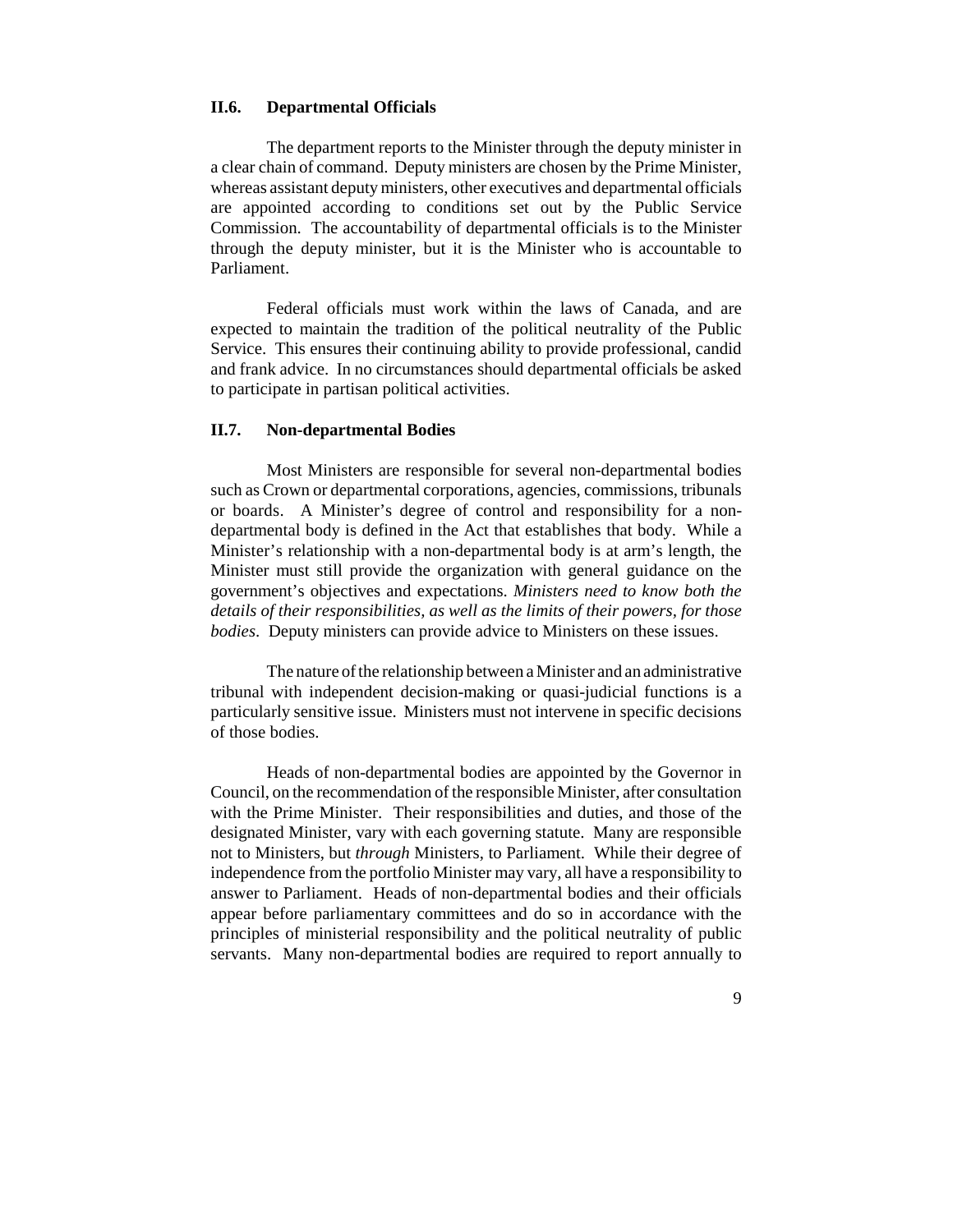#### **II.6. Departmental Officials**

The department reports to the Minister through the deputy minister in a clear chain of command. Deputy ministers are chosen by the Prime Minister, whereas assistant deputy ministers, other executives and departmental officials are appointed according to conditions set out by the Public Service Commission. The accountability of departmental officials is to the Minister through the deputy minister, but it is the Minister who is accountable to Parliament.

Federal officials must work within the laws of Canada, and are expected to maintain the tradition of the political neutrality of the Public Service. This ensures their continuing ability to provide professional, candid and frank advice. In no circumstances should departmental officials be asked to participate in partisan political activities.

### **II.7. Non-departmental Bodies**

Most Ministers are responsible for several non-departmental bodies such as Crown or departmental corporations, agencies, commissions, tribunals or boards. A Minister's degree of control and responsibility for a nondepartmental body is defined in the Act that establishes that body. While a Minister's relationship with a non-departmental body is at arm's length, the Minister must still provide the organization with general guidance on the government's objectives and expectations. *Ministers need to know both the details of their responsibilities, as well as the limits of their powers, for those bodies*. Deputy ministers can provide advice to Ministers on these issues.

The nature of the relationship between a Minister and an administrative tribunal with independent decision-making or quasi-judicial functions is a particularly sensitive issue. Ministers must not intervene in specific decisions of those bodies.

Heads of non-departmental bodies are appointed by the Governor in Council, on the recommendation of the responsible Minister, after consultation with the Prime Minister. Their responsibilities and duties, and those of the designated Minister, vary with each governing statute. Many are responsible not to Ministers, but *through* Ministers, to Parliament. While their degree of independence from the portfolio Minister may vary, all have a responsibility to answer to Parliament. Heads of non-departmental bodies and their officials appear before parliamentary committees and do so in accordance with the principles of ministerial responsibility and the political neutrality of public servants. Many non-departmental bodies are required to report annually to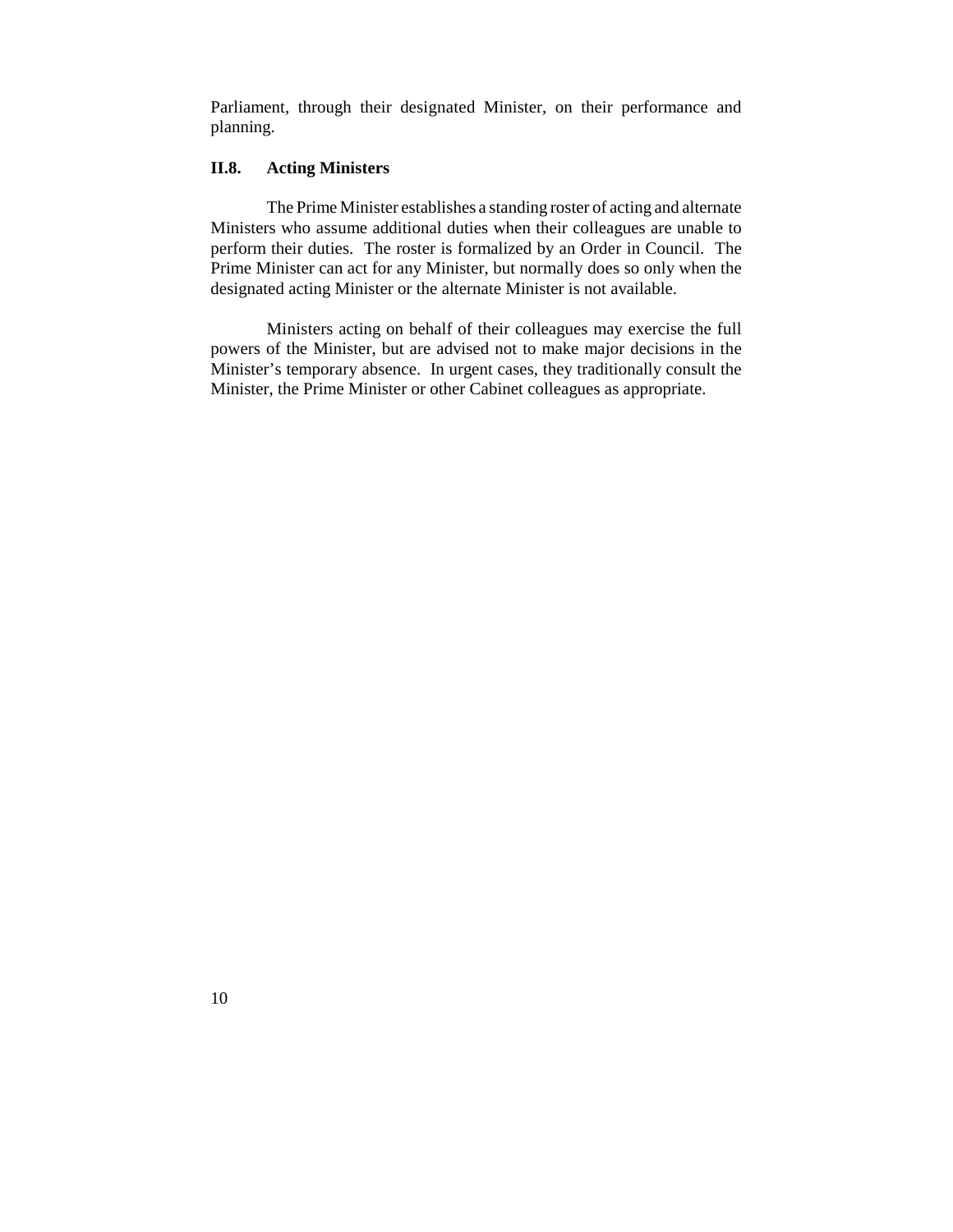Parliament, through their designated Minister, on their performance and planning.

#### **II.8. Acting Ministers**

The Prime Minister establishes a standing roster of acting and alternate Ministers who assume additional duties when their colleagues are unable to perform their duties. The roster is formalized by an Order in Council. The Prime Minister can act for any Minister, but normally does so only when the designated acting Minister or the alternate Minister is not available.

Ministers acting on behalf of their colleagues may exercise the full powers of the Minister, but are advised not to make major decisions in the Minister's temporary absence. In urgent cases, they traditionally consult the Minister, the Prime Minister or other Cabinet colleagues as appropriate.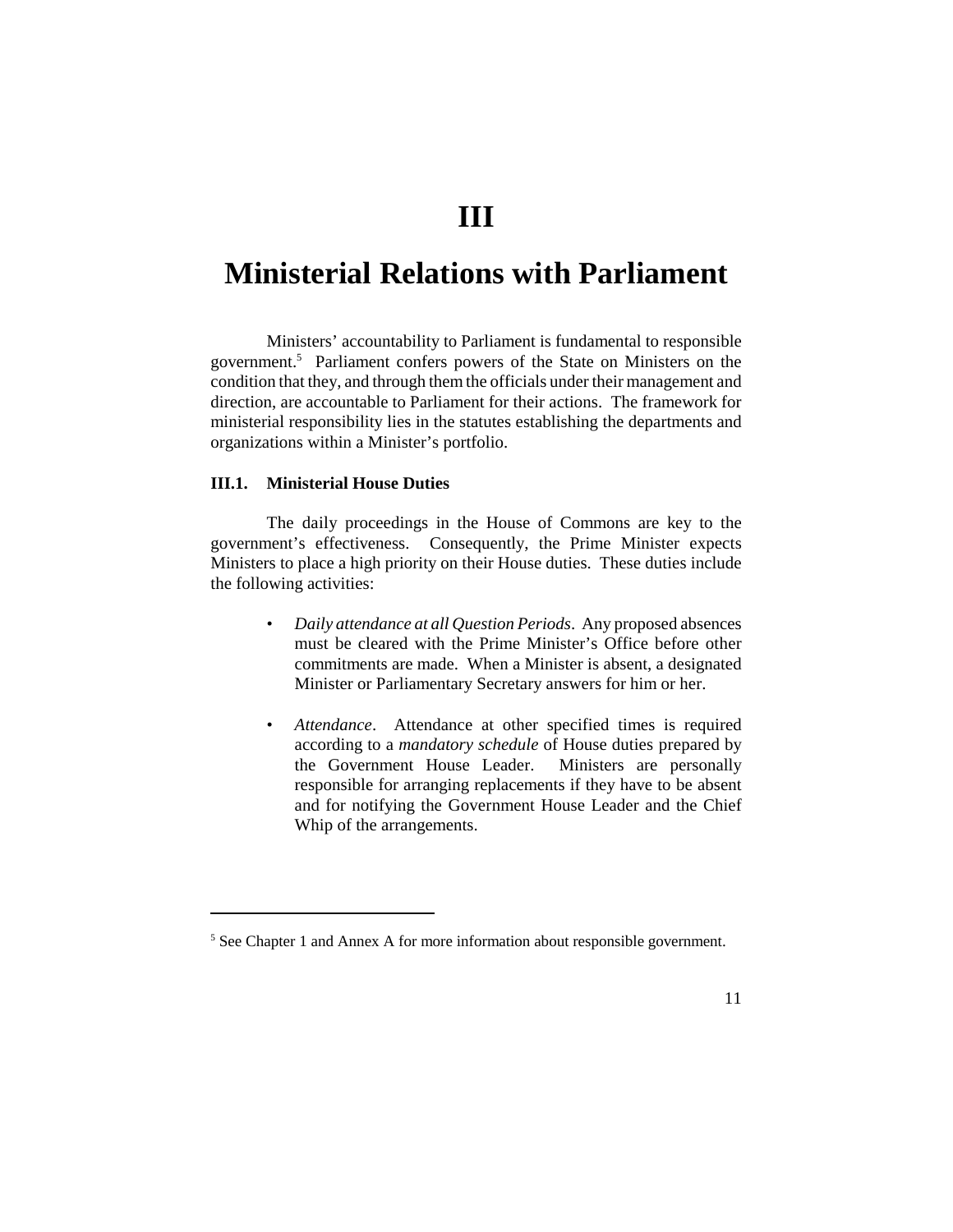**III**

# **Ministerial Relations with Parliament**

Ministers' accountability to Parliament is fundamental to responsible government.<sup>5</sup> Parliament confers powers of the State on Ministers on the condition that they, and through them the officials under their management and direction, are accountable to Parliament for their actions. The framework for ministerial responsibility lies in the statutes establishing the departments and organizations within a Minister's portfolio.

# **III.1. Ministerial House Duties**

The daily proceedings in the House of Commons are key to the government's effectiveness. Consequently, the Prime Minister expects Ministers to place a high priority on their House duties. These duties include the following activities:

- *Daily attendance at all Question Periods*. Any proposed absences must be cleared with the Prime Minister's Office before other commitments are made. When a Minister is absent, a designated Minister or Parliamentary Secretary answers for him or her.
- *Attendance*. Attendance at other specified times is required according to a *mandatory schedule* of House duties prepared by the Government House Leader. Ministers are personally responsible for arranging replacements if they have to be absent and for notifying the Government House Leader and the Chief Whip of the arrangements.

<sup>&</sup>lt;sup>5</sup> See Chapter 1 and Annex A for more information about responsible government.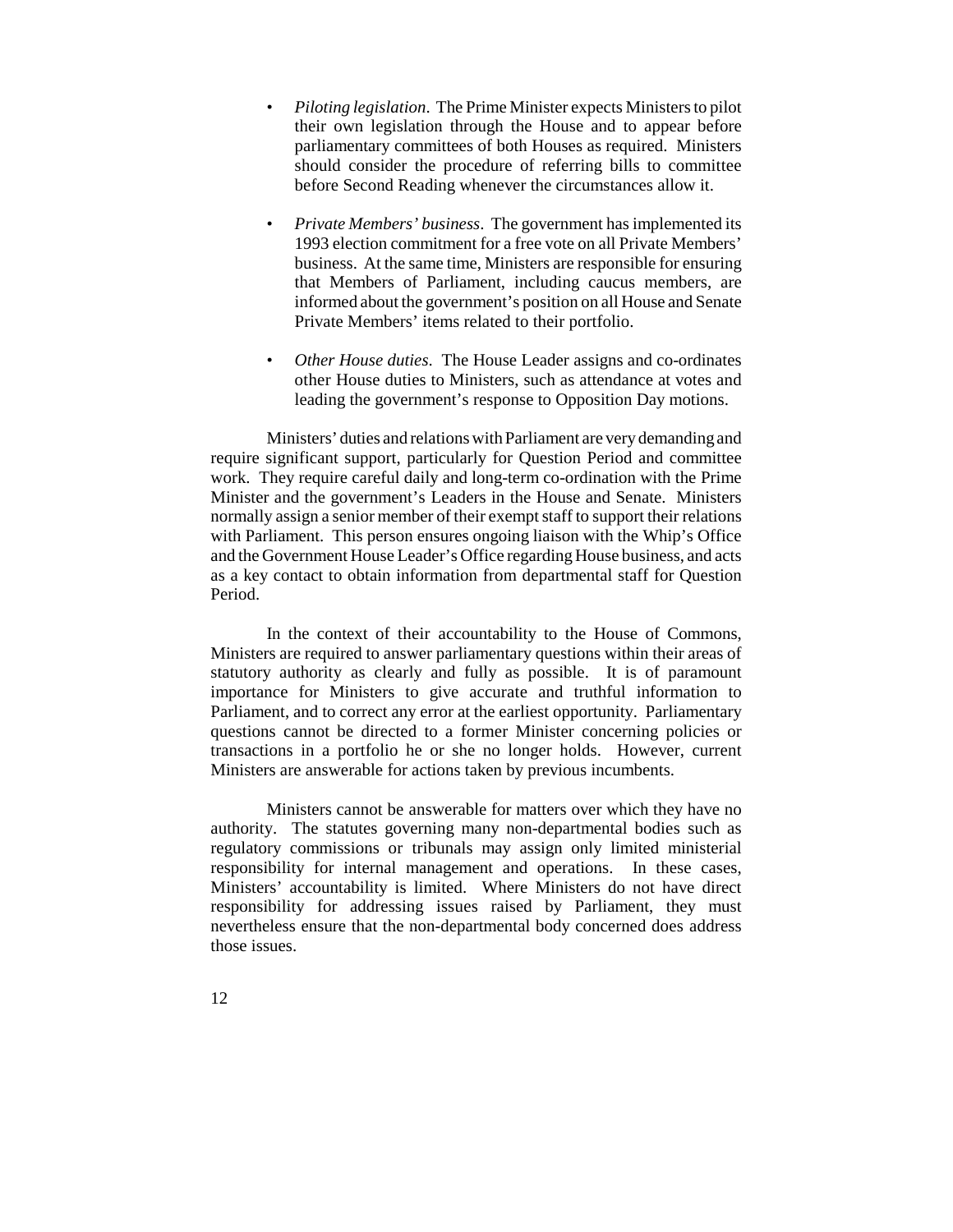- *Piloting legislation*. The Prime Minister expects Ministers to pilot their own legislation through the House and to appear before parliamentary committees of both Houses as required. Ministers should consider the procedure of referring bills to committee before Second Reading whenever the circumstances allow it.
- *Private Members' business*. The government has implemented its 1993 election commitment for a free vote on all Private Members' business. At the same time, Ministers are responsible for ensuring that Members of Parliament, including caucus members, are informed about the government's position on all House and Senate Private Members' items related to their portfolio.
- *Other House duties*. The House Leader assigns and co-ordinates other House duties to Ministers, such as attendance at votes and leading the government's response to Opposition Day motions.

Ministers' duties and relations with Parliament are very demanding and require significant support, particularly for Question Period and committee work. They require careful daily and long-term co-ordination with the Prime Minister and the government's Leaders in the House and Senate. Ministers normally assign a senior member of their exempt staff to support their relations with Parliament. This person ensures ongoing liaison with the Whip's Office and the Government House Leader's Office regarding House business, and acts as a key contact to obtain information from departmental staff for Question Period.

In the context of their accountability to the House of Commons, Ministers are required to answer parliamentary questions within their areas of statutory authority as clearly and fully as possible. It is of paramount importance for Ministers to give accurate and truthful information to Parliament, and to correct any error at the earliest opportunity. Parliamentary questions cannot be directed to a former Minister concerning policies or transactions in a portfolio he or she no longer holds. However, current Ministers are answerable for actions taken by previous incumbents.

Ministers cannot be answerable for matters over which they have no authority. The statutes governing many non-departmental bodies such as regulatory commissions or tribunals may assign only limited ministerial responsibility for internal management and operations. In these cases, Ministers' accountability is limited. Where Ministers do not have direct responsibility for addressing issues raised by Parliament, they must nevertheless ensure that the non-departmental body concerned does address those issues.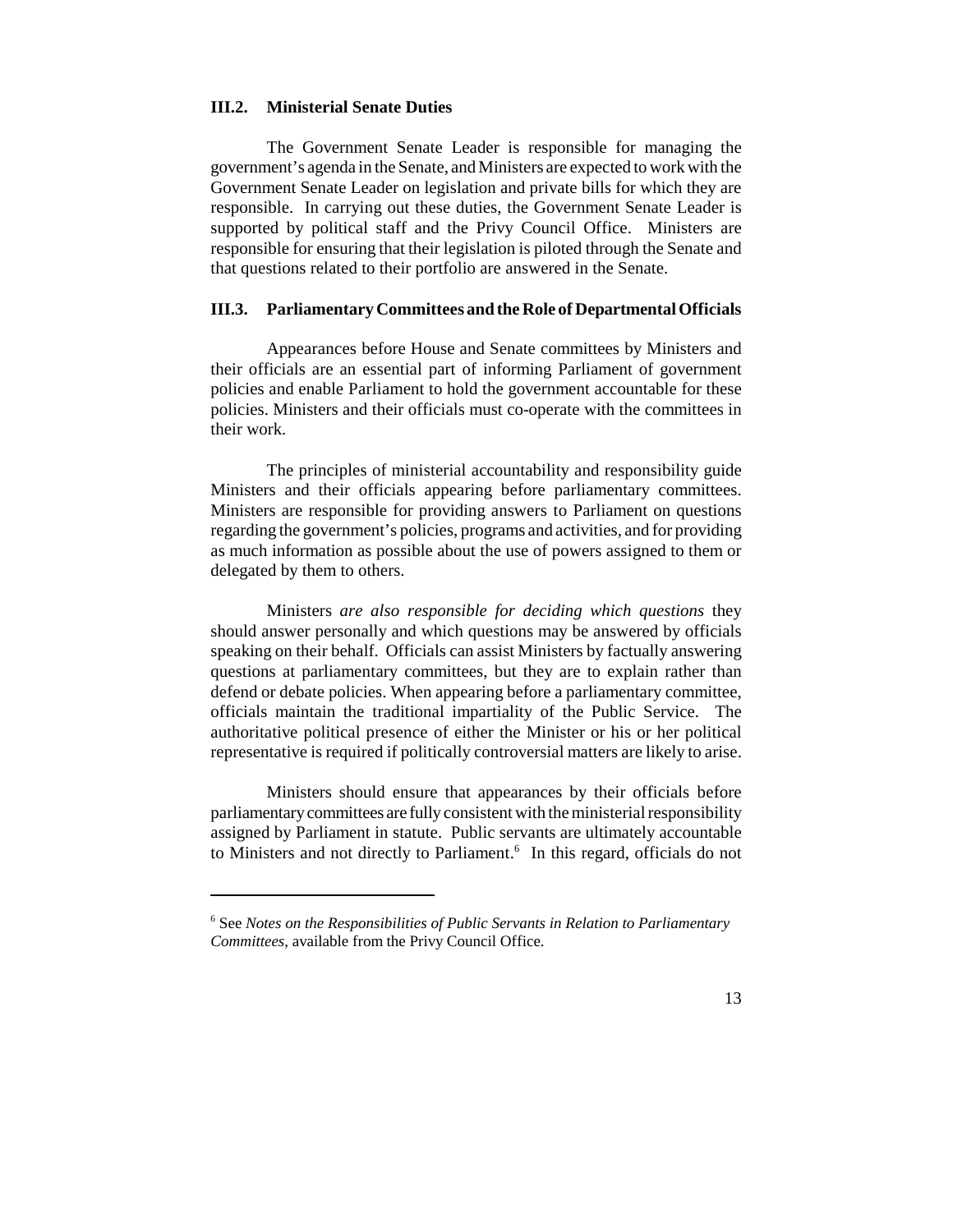#### **III.2. Ministerial Senate Duties**

The Government Senate Leader is responsible for managing the government's agenda in the Senate, and Ministers are expected to work with the Government Senate Leader on legislation and private bills for which they are responsible. In carrying out these duties, the Government Senate Leader is supported by political staff and the Privy Council Office. Ministers are responsible for ensuring that their legislation is piloted through the Senate and that questions related to their portfolio are answered in the Senate.

#### **III.3. Parliamentary Committees and the Role of Departmental Officials**

Appearances before House and Senate committees by Ministers and their officials are an essential part of informing Parliament of government policies and enable Parliament to hold the government accountable for these policies. Ministers and their officials must co-operate with the committees in their work.

The principles of ministerial accountability and responsibility guide Ministers and their officials appearing before parliamentary committees. Ministers are responsible for providing answers to Parliament on questions regarding the government's policies, programs and activities, and for providing as much information as possible about the use of powers assigned to them or delegated by them to others.

Ministers *are also responsible for deciding which questions* they should answer personally and which questions may be answered by officials speaking on their behalf. Officials can assist Ministers by factually answering questions at parliamentary committees, but they are to explain rather than defend or debate policies. When appearing before a parliamentary committee, officials maintain the traditional impartiality of the Public Service. The authoritative political presence of either the Minister or his or her political representative is required if politically controversial matters are likely to arise.

Ministers should ensure that appearances by their officials before parliamentary committees are fully consistent with the ministerial responsibility assigned by Parliament in statute. Public servants are ultimately accountable to Ministers and not directly to Parliament.<sup>6</sup> In this regard, officials do not

<sup>&</sup>lt;sup>6</sup> See *Notes on the Responsibilities of Public Servants in Relation to Parliamentary Committees*, available from the Privy Council Office.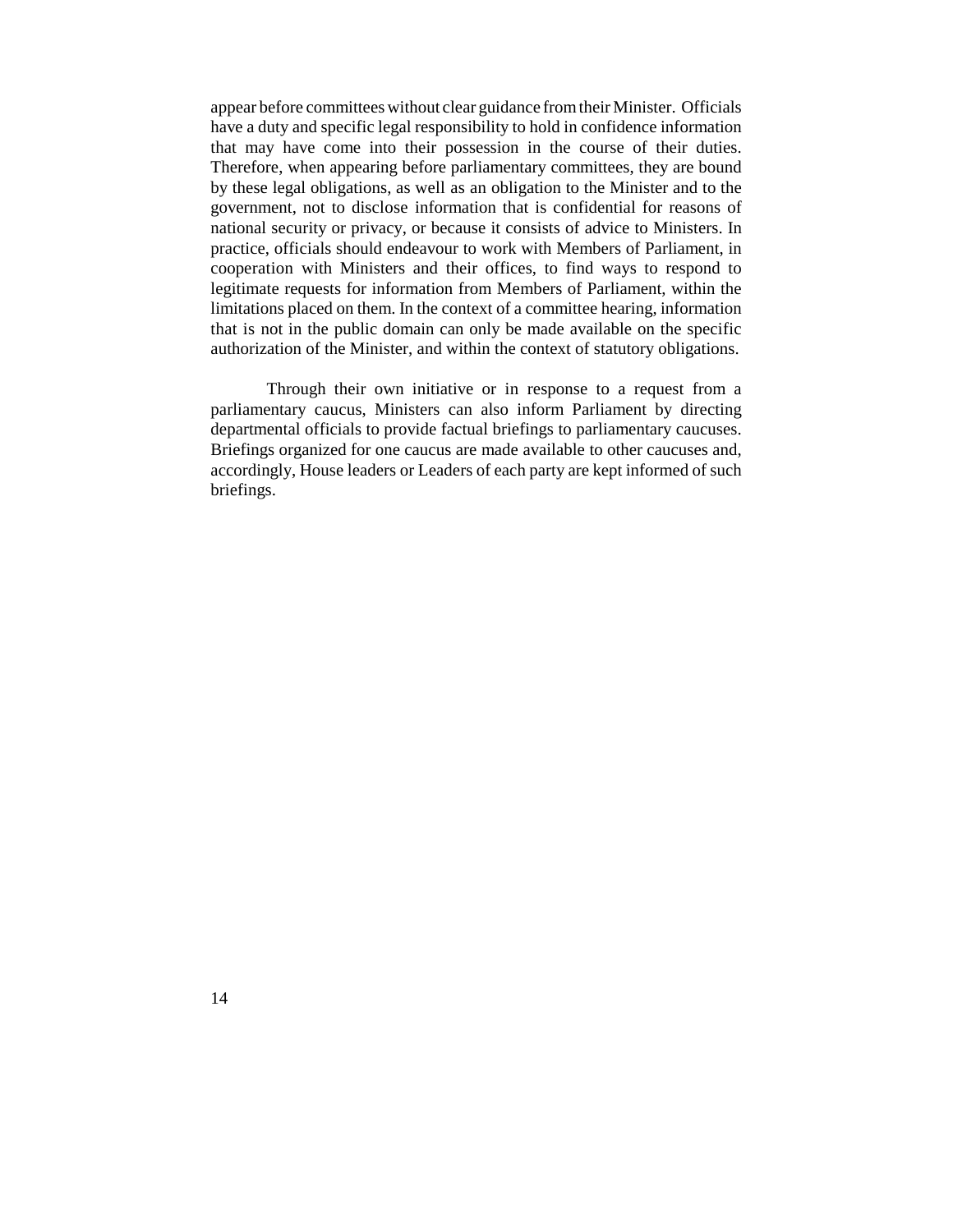appear before committees without clear guidance from their Minister. Officials have a duty and specific legal responsibility to hold in confidence information that may have come into their possession in the course of their duties. Therefore, when appearing before parliamentary committees, they are bound by these legal obligations, as well as an obligation to the Minister and to the government, not to disclose information that is confidential for reasons of national security or privacy, or because it consists of advice to Ministers. In practice, officials should endeavour to work with Members of Parliament, in cooperation with Ministers and their offices, to find ways to respond to legitimate requests for information from Members of Parliament, within the limitations placed on them. In the context of a committee hearing, information that is not in the public domain can only be made available on the specific authorization of the Minister, and within the context of statutory obligations.

Through their own initiative or in response to a request from a parliamentary caucus, Ministers can also inform Parliament by directing departmental officials to provide factual briefings to parliamentary caucuses. Briefings organized for one caucus are made available to other caucuses and, accordingly, House leaders or Leaders of each party are kept informed of such briefings.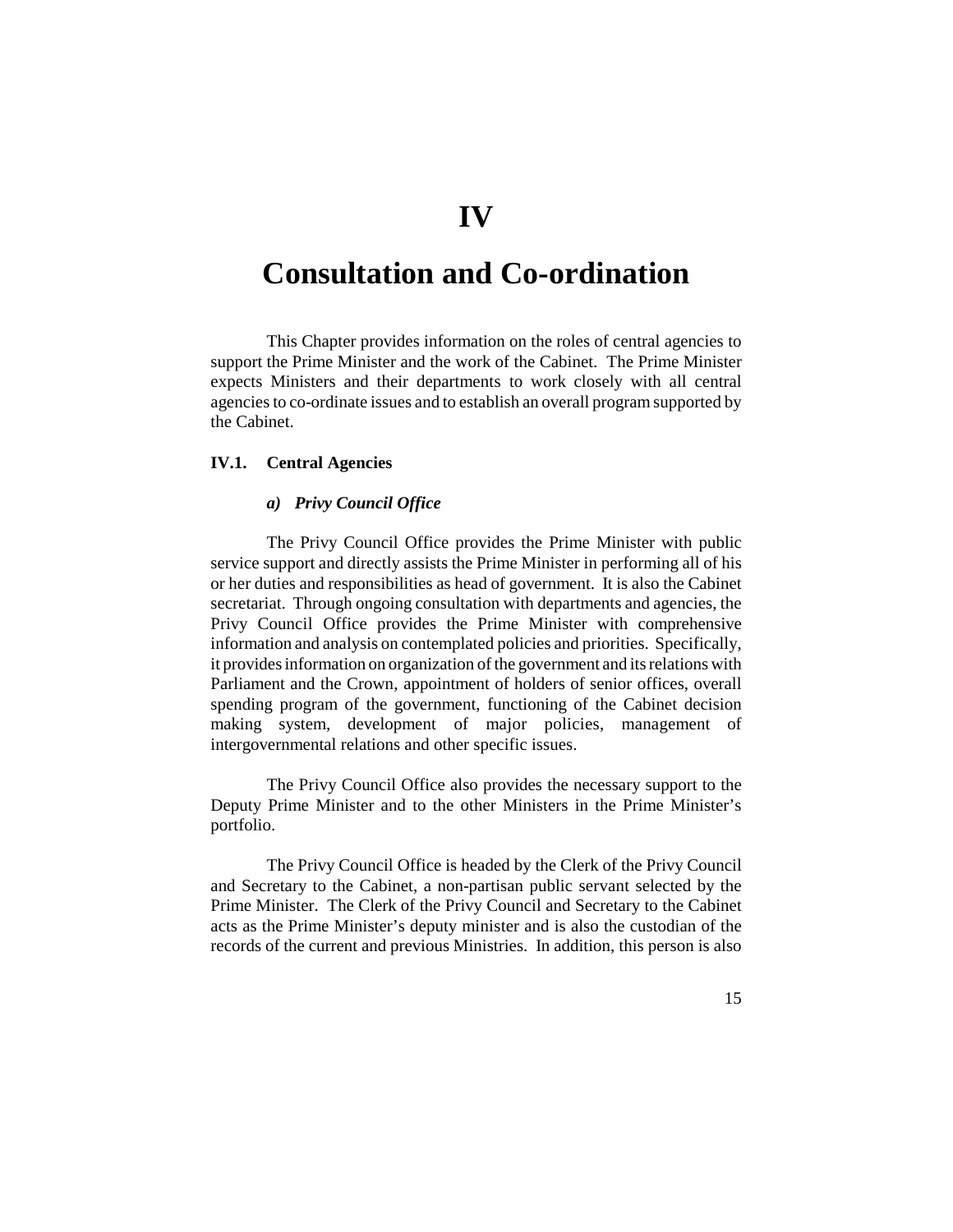**IV**

# **Consultation and Co-ordination**

This Chapter provides information on the roles of central agencies to support the Prime Minister and the work of the Cabinet. The Prime Minister expects Ministers and their departments to work closely with all central agencies to co-ordinate issues and to establish an overall program supported by the Cabinet.

#### **IV.1. Central Agencies**

#### *a) Privy Council Office*

The Privy Council Office provides the Prime Minister with public service support and directly assists the Prime Minister in performing all of his or her duties and responsibilities as head of government. It is also the Cabinet secretariat. Through ongoing consultation with departments and agencies, the Privy Council Office provides the Prime Minister with comprehensive information and analysis on contemplated policies and priorities. Specifically, it provides information on organization of the government and its relations with Parliament and the Crown, appointment of holders of senior offices, overall spending program of the government, functioning of the Cabinet decision making system, development of major policies, management of intergovernmental relations and other specific issues.

The Privy Council Office also provides the necessary support to the Deputy Prime Minister and to the other Ministers in the Prime Minister's portfolio.

The Privy Council Office is headed by the Clerk of the Privy Council and Secretary to the Cabinet, a non-partisan public servant selected by the Prime Minister. The Clerk of the Privy Council and Secretary to the Cabinet acts as the Prime Minister's deputy minister and is also the custodian of the records of the current and previous Ministries. In addition, this person is also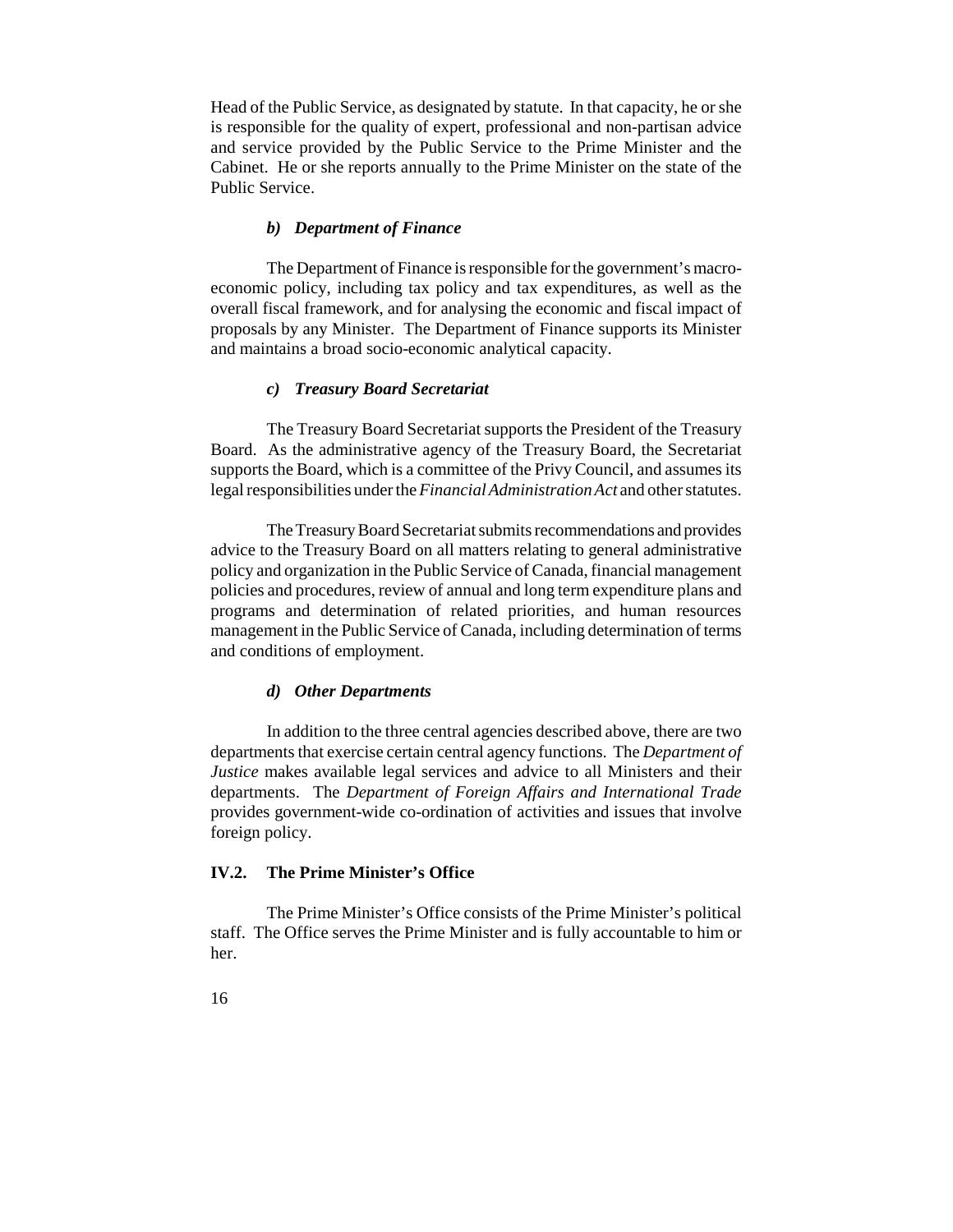Head of the Public Service, as designated by statute. In that capacity, he or she is responsible for the quality of expert, professional and non-partisan advice and service provided by the Public Service to the Prime Minister and the Cabinet. He or she reports annually to the Prime Minister on the state of the Public Service.

#### *b) Department of Finance*

The Department of Finance is responsible for the government's macroeconomic policy, including tax policy and tax expenditures, as well as the overall fiscal framework, and for analysing the economic and fiscal impact of proposals by any Minister. The Department of Finance supports its Minister and maintains a broad socio-economic analytical capacity.

#### *c) Treasury Board Secretariat*

The Treasury Board Secretariat supports the President of the Treasury Board. As the administrative agency of the Treasury Board, the Secretariat supports the Board, which is a committee of the Privy Council, and assumes its legal responsibilities under the *Financial Administration Act* and other statutes.

The Treasury Board Secretariat submits recommendations and provides advice to the Treasury Board on all matters relating to general administrative policy and organization in the Public Service of Canada, financial management policies and procedures, review of annual and long term expenditure plans and programs and determination of related priorities, and human resources management in the Public Service of Canada, including determination of terms and conditions of employment.

#### *d) Other Departments*

In addition to the three central agencies described above, there are two departments that exercise certain central agency functions. The *Department of Justice* makes available legal services and advice to all Ministers and their departments. The *Department of Foreign Affairs and International Trade* provides government-wide co-ordination of activities and issues that involve foreign policy.

# **IV.2. The Prime Minister's Office**

The Prime Minister's Office consists of the Prime Minister's political staff. The Office serves the Prime Minister and is fully accountable to him or her.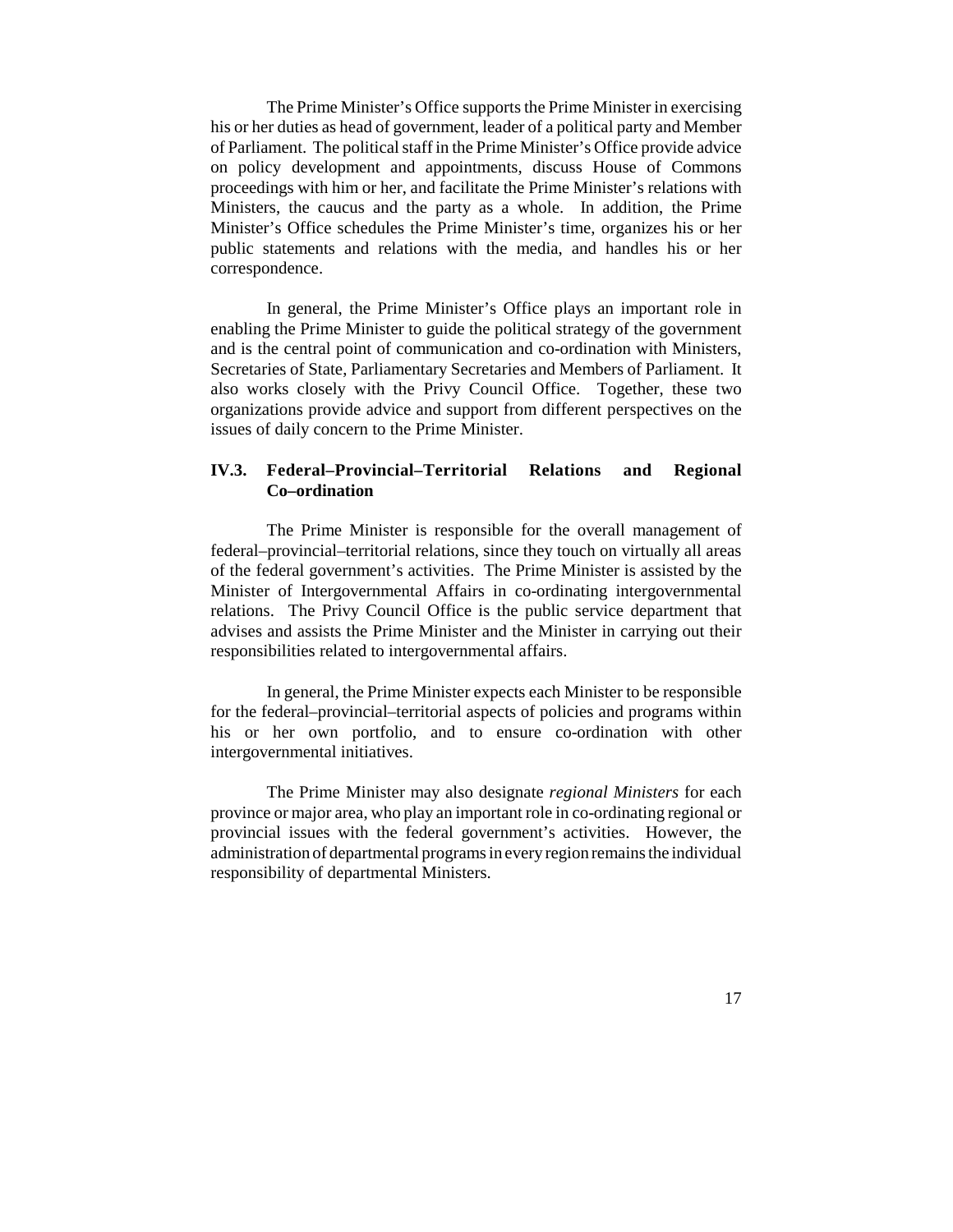The Prime Minister's Office supports the Prime Minister in exercising his or her duties as head of government, leader of a political party and Member of Parliament. The political staff in the Prime Minister's Office provide advice on policy development and appointments, discuss House of Commons proceedings with him or her, and facilitate the Prime Minister's relations with Ministers, the caucus and the party as a whole. In addition, the Prime Minister's Office schedules the Prime Minister's time, organizes his or her public statements and relations with the media, and handles his or her correspondence.

In general, the Prime Minister's Office plays an important role in enabling the Prime Minister to guide the political strategy of the government and is the central point of communication and co-ordination with Ministers, Secretaries of State, Parliamentary Secretaries and Members of Parliament. It also works closely with the Privy Council Office. Together, these two organizations provide advice and support from different perspectives on the issues of daily concern to the Prime Minister.

# **IV.3. Federal–Provincial–Territorial Relations and Regional Co–ordination**

The Prime Minister is responsible for the overall management of federal–provincial–territorial relations, since they touch on virtually all areas of the federal government's activities. The Prime Minister is assisted by the Minister of Intergovernmental Affairs in co-ordinating intergovernmental relations. The Privy Council Office is the public service department that advises and assists the Prime Minister and the Minister in carrying out their responsibilities related to intergovernmental affairs.

In general, the Prime Minister expects each Minister to be responsible for the federal–provincial–territorial aspects of policies and programs within his or her own portfolio, and to ensure co-ordination with other intergovernmental initiatives.

The Prime Minister may also designate *regional Ministers* for each province or major area, who play an important role in co-ordinating regional or provincial issues with the federal government's activities. However, the administration of departmental programs in every region remains the individual responsibility of departmental Ministers.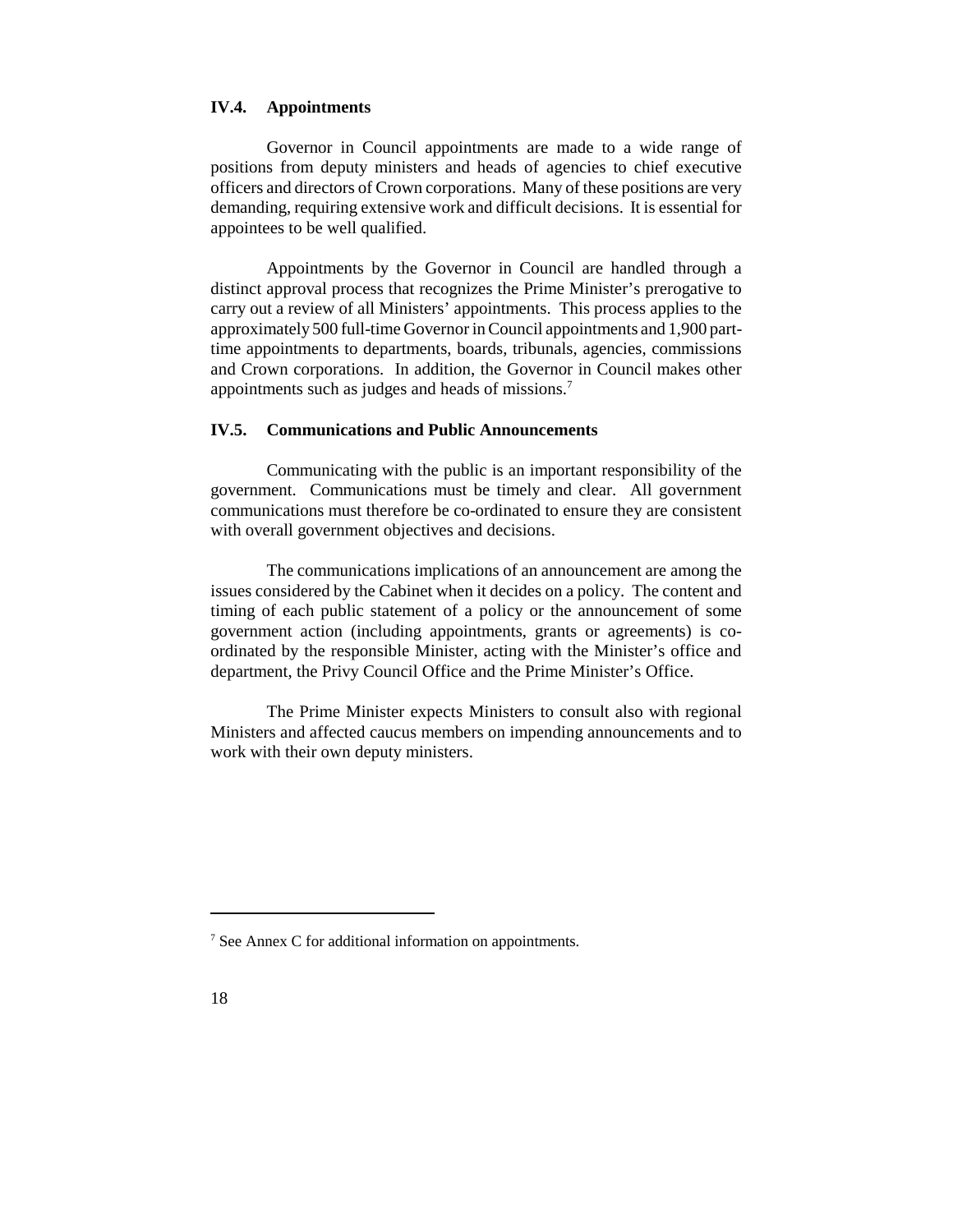#### **IV.4. Appointments**

Governor in Council appointments are made to a wide range of positions from deputy ministers and heads of agencies to chief executive officers and directors of Crown corporations. Many of these positions are very demanding, requiring extensive work and difficult decisions. It is essential for appointees to be well qualified.

Appointments by the Governor in Council are handled through a distinct approval process that recognizes the Prime Minister's prerogative to carry out a review of all Ministers' appointments. This process applies to the approximately 500 full-time Governor in Council appointments and 1,900 parttime appointments to departments, boards, tribunals, agencies, commissions and Crown corporations. In addition, the Governor in Council makes other appointments such as judges and heads of missions.7

### **IV.5. Communications and Public Announcements**

Communicating with the public is an important responsibility of the government. Communications must be timely and clear. All government communications must therefore be co-ordinated to ensure they are consistent with overall government objectives and decisions.

The communications implications of an announcement are among the issues considered by the Cabinet when it decides on a policy. The content and timing of each public statement of a policy or the announcement of some government action (including appointments, grants or agreements) is coordinated by the responsible Minister, acting with the Minister's office and department, the Privy Council Office and the Prime Minister's Office.

The Prime Minister expects Ministers to consult also with regional Ministers and affected caucus members on impending announcements and to work with their own deputy ministers.

<sup>&</sup>lt;sup>7</sup> See Annex C for additional information on appointments.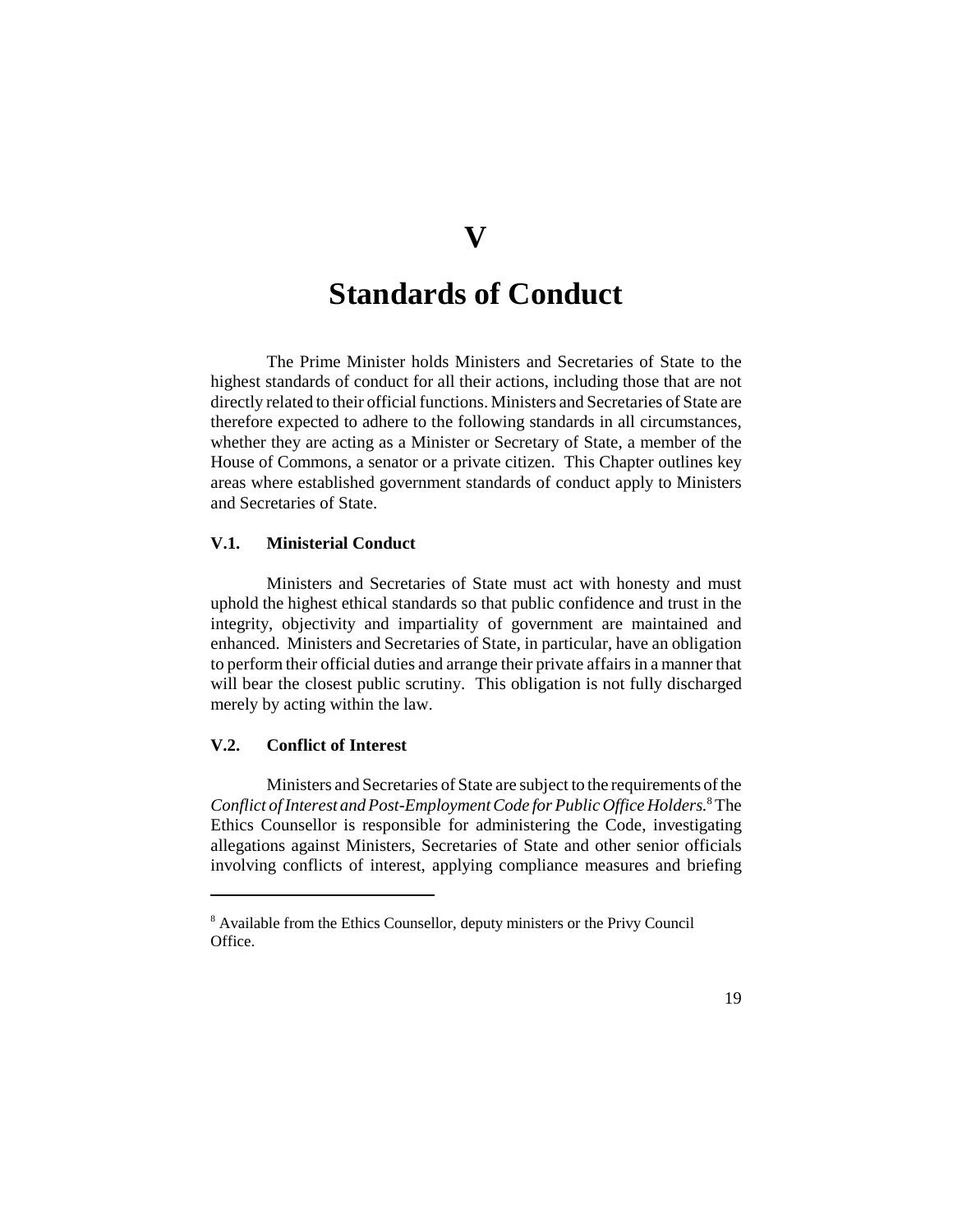**V**

# **Standards of Conduct**

The Prime Minister holds Ministers and Secretaries of State to the highest standards of conduct for all their actions, including those that are not directly related to their official functions. Ministers and Secretaries of State are therefore expected to adhere to the following standards in all circumstances, whether they are acting as a Minister or Secretary of State, a member of the House of Commons, a senator or a private citizen. This Chapter outlines key areas where established government standards of conduct apply to Ministers and Secretaries of State.

### **V.1. Ministerial Conduct**

Ministers and Secretaries of State must act with honesty and must uphold the highest ethical standards so that public confidence and trust in the integrity, objectivity and impartiality of government are maintained and enhanced. Ministers and Secretaries of State, in particular, have an obligation to perform their official duties and arrange their private affairs in a manner that will bear the closest public scrutiny. This obligation is not fully discharged merely by acting within the law.

### **V.2. Conflict of Interest**

Ministers and Secretaries of State are subject to the requirements of the *Conflict of Interest and Post-Employment Code for Public Office Holders.*<sup>8</sup> The Ethics Counsellor is responsible for administering the Code, investigating allegations against Ministers, Secretaries of State and other senior officials involving conflicts of interest, applying compliance measures and briefing

<sup>&</sup>lt;sup>8</sup> Available from the Ethics Counsellor, deputy ministers or the Privy Council Office.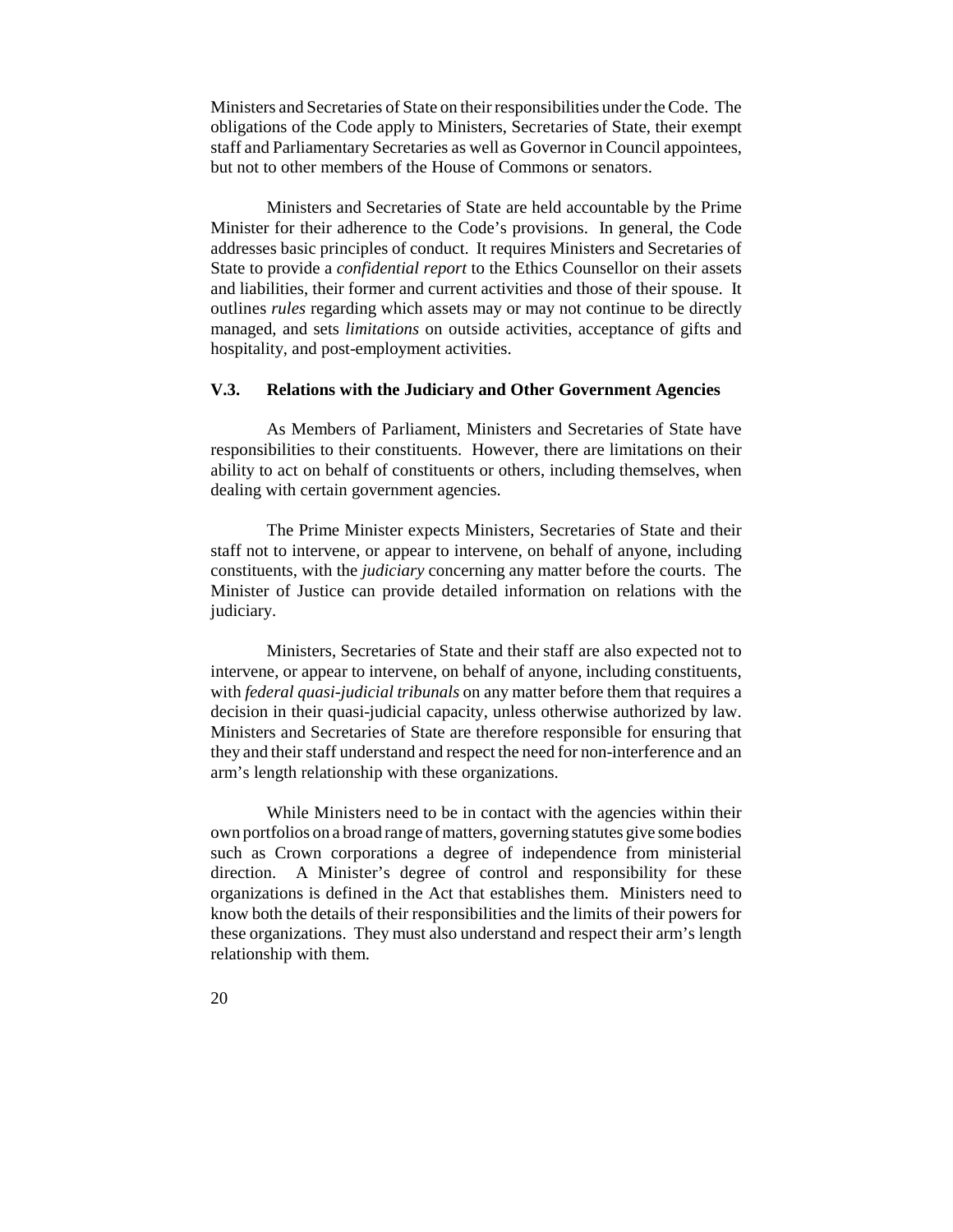Ministers and Secretaries of State on their responsibilities under the Code. The obligations of the Code apply to Ministers, Secretaries of State, their exempt staff and Parliamentary Secretaries as well as Governor in Council appointees, but not to other members of the House of Commons or senators.

Ministers and Secretaries of State are held accountable by the Prime Minister for their adherence to the Code's provisions. In general, the Code addresses basic principles of conduct. It requires Ministers and Secretaries of State to provide a *confidential report* to the Ethics Counsellor on their assets and liabilities, their former and current activities and those of their spouse. It outlines *rules* regarding which assets may or may not continue to be directly managed, and sets *limitations* on outside activities, acceptance of gifts and hospitality, and post-employment activities.

#### **V.3. Relations with the Judiciary and Other Government Agencies**

As Members of Parliament, Ministers and Secretaries of State have responsibilities to their constituents. However, there are limitations on their ability to act on behalf of constituents or others, including themselves, when dealing with certain government agencies.

The Prime Minister expects Ministers, Secretaries of State and their staff not to intervene, or appear to intervene, on behalf of anyone, including constituents, with the *judiciary* concerning any matter before the courts. The Minister of Justice can provide detailed information on relations with the judiciary.

Ministers, Secretaries of State and their staff are also expected not to intervene, or appear to intervene, on behalf of anyone, including constituents, with *federal quasi-judicial tribunals* on any matter before them that requires a decision in their quasi-judicial capacity, unless otherwise authorized by law. Ministers and Secretaries of State are therefore responsible for ensuring that they and their staff understand and respect the need for non-interference and an arm's length relationship with these organizations.

While Ministers need to be in contact with the agencies within their own portfolios on a broad range of matters, governing statutes give some bodies such as Crown corporations a degree of independence from ministerial direction. A Minister's degree of control and responsibility for these organizations is defined in the Act that establishes them. Ministers need to know both the details of their responsibilities and the limits of their powers for these organizations. They must also understand and respect their arm's length relationship with them.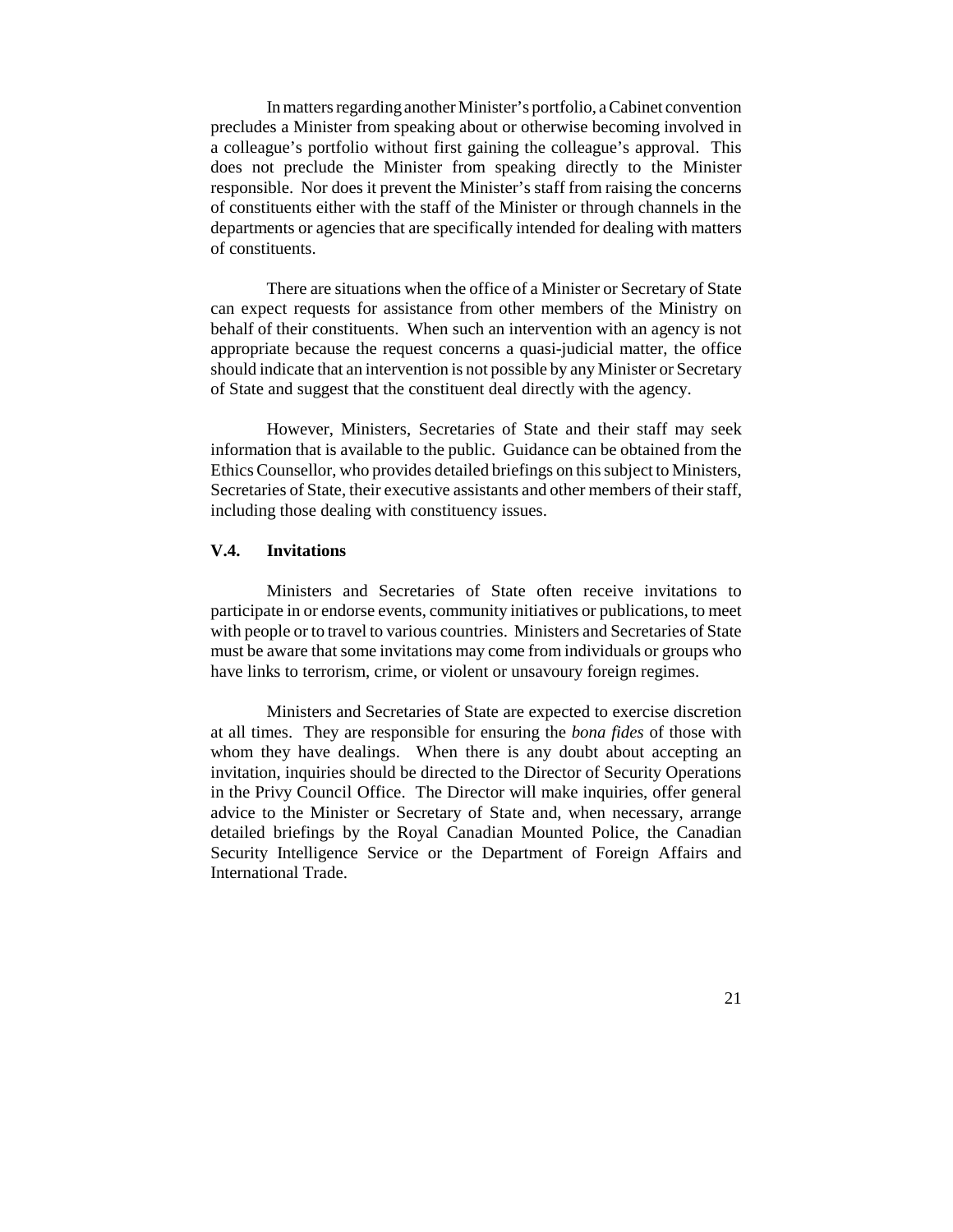In matters regarding another Minister's portfolio, a Cabinet convention precludes a Minister from speaking about or otherwise becoming involved in a colleague's portfolio without first gaining the colleague's approval. This does not preclude the Minister from speaking directly to the Minister responsible. Nor does it prevent the Minister's staff from raising the concerns of constituents either with the staff of the Minister or through channels in the departments or agencies that are specifically intended for dealing with matters of constituents.

There are situations when the office of a Minister or Secretary of State can expect requests for assistance from other members of the Ministry on behalf of their constituents. When such an intervention with an agency is not appropriate because the request concerns a quasi-judicial matter, the office should indicate that an intervention is not possible by any Minister or Secretary of State and suggest that the constituent deal directly with the agency.

However, Ministers, Secretaries of State and their staff may seek information that is available to the public. Guidance can be obtained from the Ethics Counsellor, who provides detailed briefings on this subject to Ministers, Secretaries of State, their executive assistants and other members of their staff, including those dealing with constituency issues.

### **V.4. Invitations**

Ministers and Secretaries of State often receive invitations to participate in or endorse events, community initiatives or publications, to meet with people or to travel to various countries. Ministers and Secretaries of State must be aware that some invitations may come from individuals or groups who have links to terrorism, crime, or violent or unsavoury foreign regimes.

Ministers and Secretaries of State are expected to exercise discretion at all times. They are responsible for ensuring the *bona fides* of those with whom they have dealings. When there is any doubt about accepting an invitation, inquiries should be directed to the Director of Security Operations in the Privy Council Office. The Director will make inquiries, offer general advice to the Minister or Secretary of State and, when necessary, arrange detailed briefings by the Royal Canadian Mounted Police, the Canadian Security Intelligence Service or the Department of Foreign Affairs and International Trade.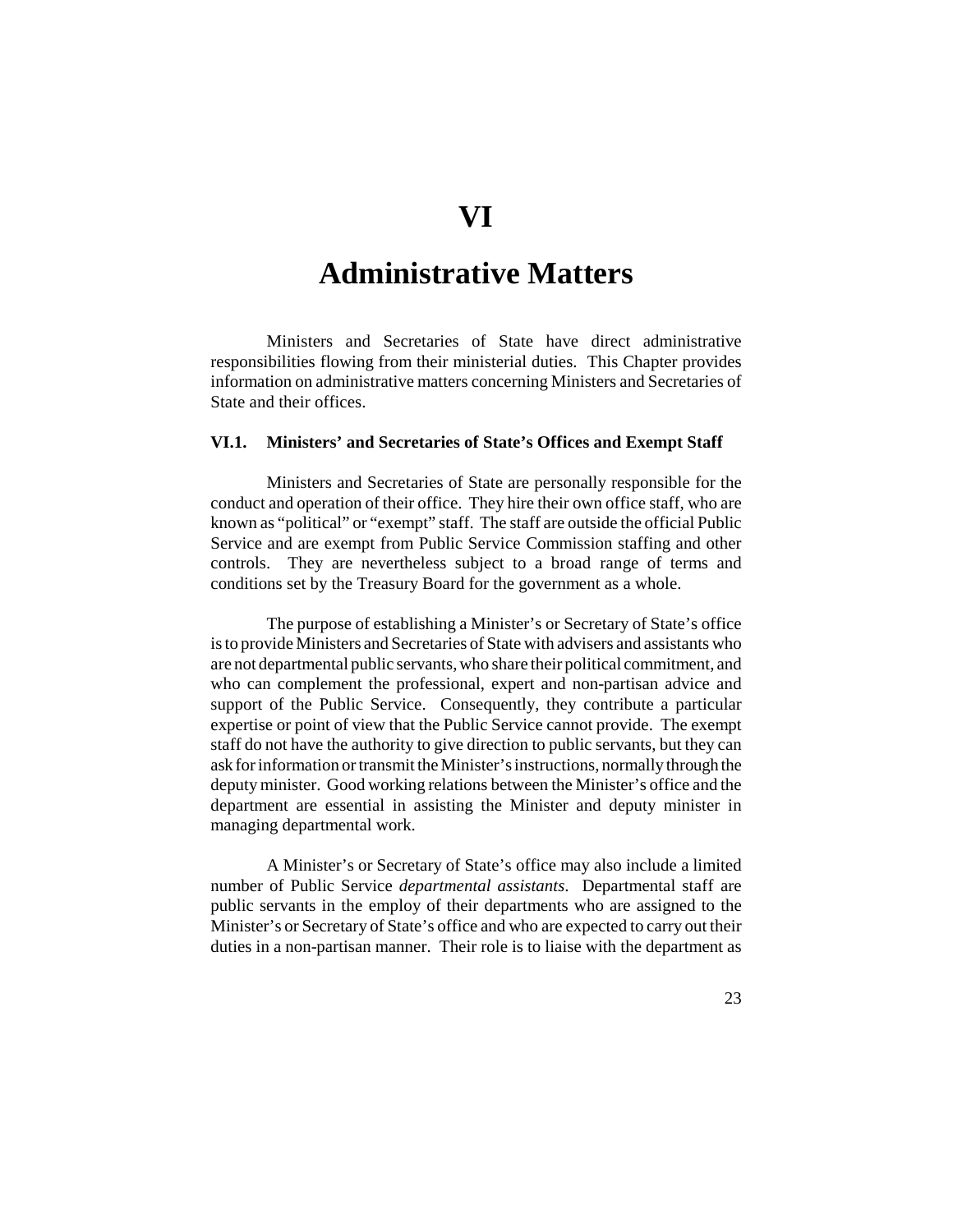# **Administrative Matters**

Ministers and Secretaries of State have direct administrative responsibilities flowing from their ministerial duties. This Chapter provides information on administrative matters concerning Ministers and Secretaries of State and their offices.

#### **VI.1. Ministers' and Secretaries of State's Offices and Exempt Staff**

Ministers and Secretaries of State are personally responsible for the conduct and operation of their office. They hire their own office staff, who are known as "political" or "exempt" staff. The staff are outside the official Public Service and are exempt from Public Service Commission staffing and other controls. They are nevertheless subject to a broad range of terms and conditions set by the Treasury Board for the government as a whole.

The purpose of establishing a Minister's or Secretary of State's office is to provide Ministers and Secretaries of State with advisers and assistants who are not departmental public servants, who share their political commitment, and who can complement the professional, expert and non-partisan advice and support of the Public Service. Consequently, they contribute a particular expertise or point of view that the Public Service cannot provide. The exempt staff do not have the authority to give direction to public servants, but they can ask for information or transmit the Minister's instructions, normally through the deputy minister. Good working relations between the Minister's office and the department are essential in assisting the Minister and deputy minister in managing departmental work.

A Minister's or Secretary of State's office may also include a limited number of Public Service *departmental assistants*. Departmental staff are public servants in the employ of their departments who are assigned to the Minister's or Secretary of State's office and who are expected to carry out their duties in a non-partisan manner. Their role is to liaise with the department as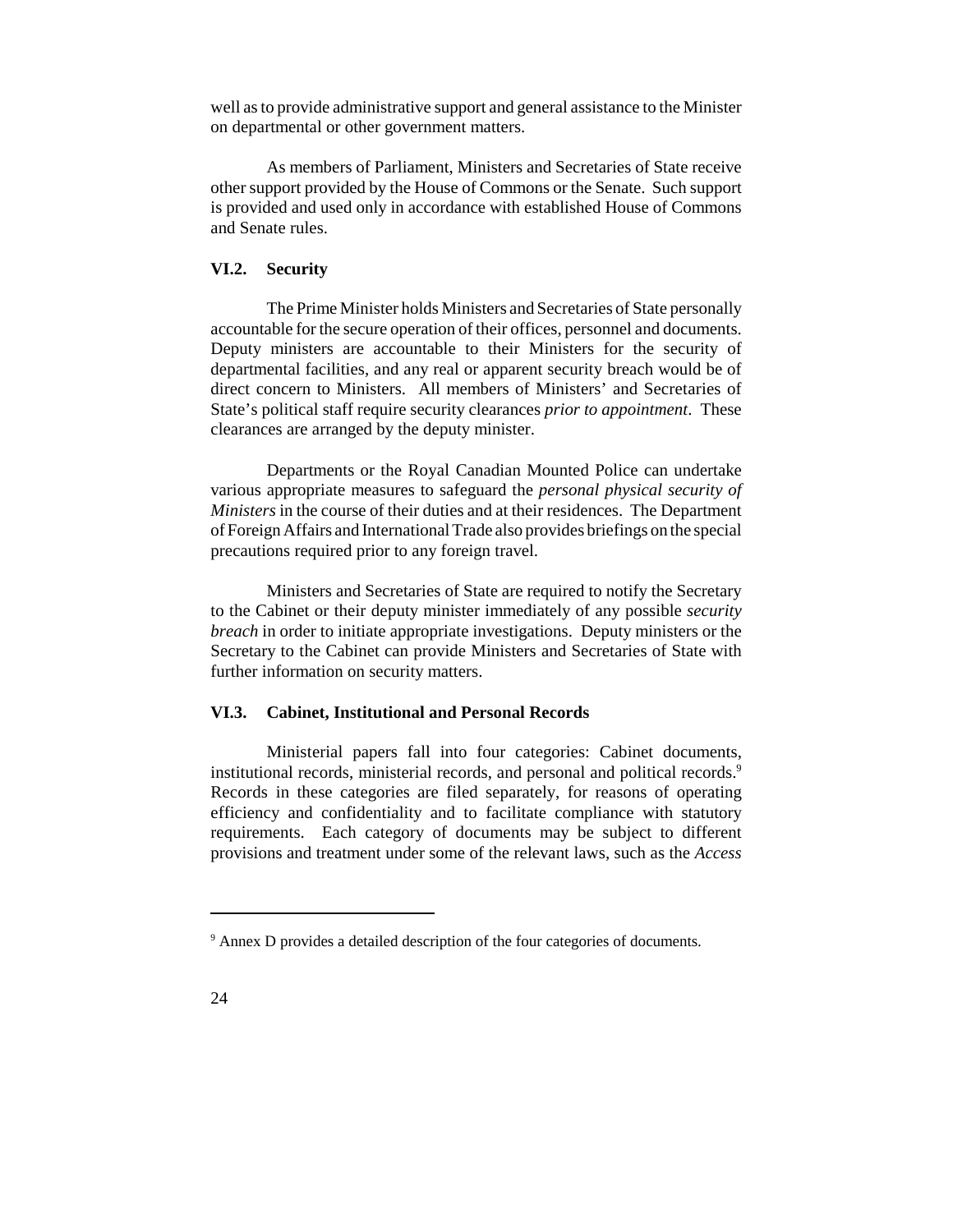well as to provide administrative support and general assistance to the Minister on departmental or other government matters.

As members of Parliament, Ministers and Secretaries of State receive other support provided by the House of Commons or the Senate. Such support is provided and used only in accordance with established House of Commons and Senate rules.

# **VI.2. Security**

The Prime Minister holds Ministers and Secretaries of State personally accountable for the secure operation of their offices, personnel and documents. Deputy ministers are accountable to their Ministers for the security of departmental facilities, and any real or apparent security breach would be of direct concern to Ministers. All members of Ministers' and Secretaries of State's political staff require security clearances *prior to appointment*. These clearances are arranged by the deputy minister.

Departments or the Royal Canadian Mounted Police can undertake various appropriate measures to safeguard the *personal physical security of Ministers* in the course of their duties and at their residences. The Department of Foreign Affairs and International Trade also provides briefings on the special precautions required prior to any foreign travel.

Ministers and Secretaries of State are required to notify the Secretary to the Cabinet or their deputy minister immediately of any possible *security breach* in order to initiate appropriate investigations. Deputy ministers or the Secretary to the Cabinet can provide Ministers and Secretaries of State with further information on security matters.

#### **VI.3. Cabinet, Institutional and Personal Records**

Ministerial papers fall into four categories: Cabinet documents, institutional records, ministerial records, and personal and political records.<sup>9</sup> Records in these categories are filed separately, for reasons of operating efficiency and confidentiality and to facilitate compliance with statutory requirements. Each category of documents may be subject to different provisions and treatment under some of the relevant laws, such as the *Access*

<sup>&</sup>lt;sup>9</sup> Annex D provides a detailed description of the four categories of documents.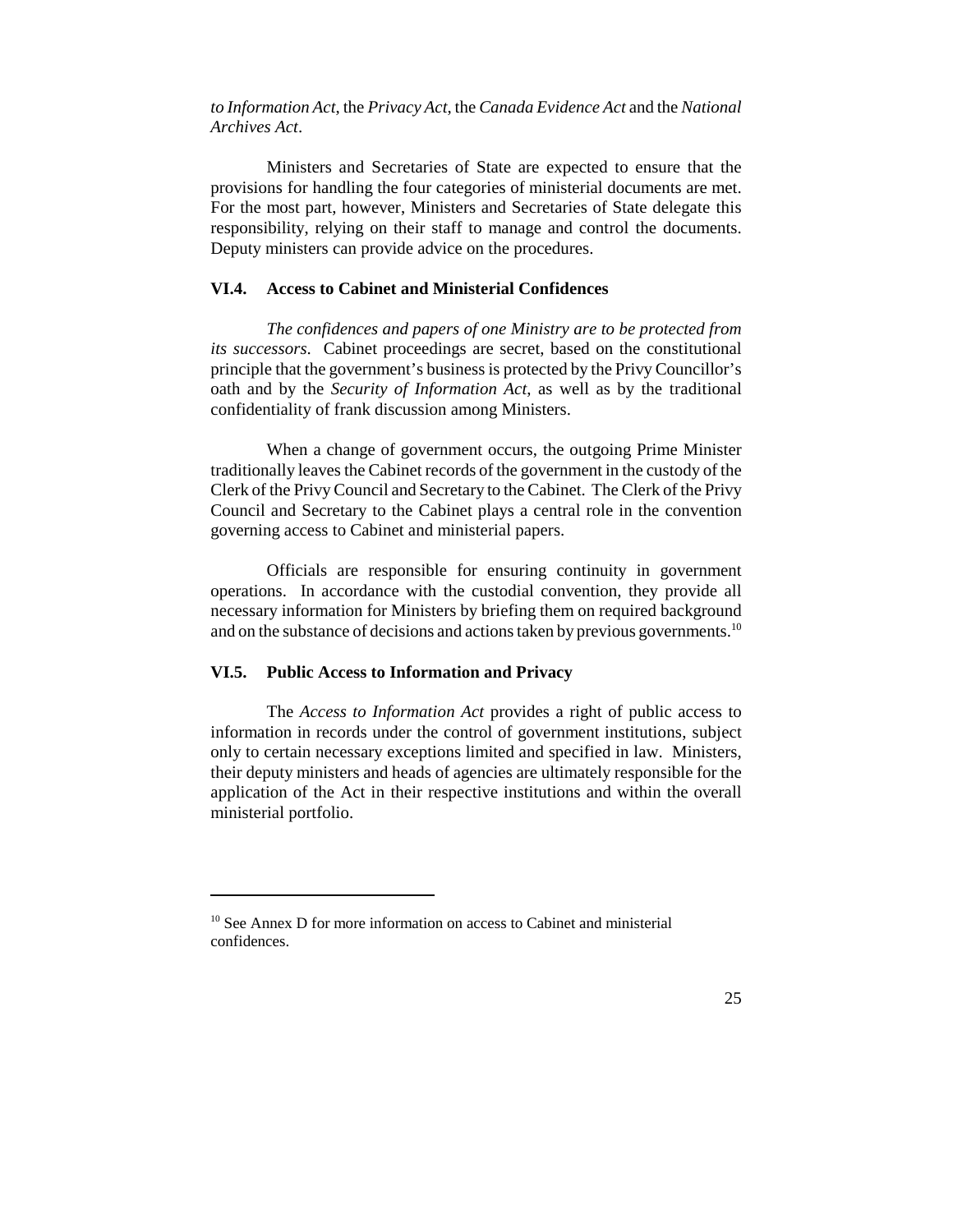*to Information Act*, the *Privacy Act*, the *Canada Evidence Act* and the *National Archives Act*.

Ministers and Secretaries of State are expected to ensure that the provisions for handling the four categories of ministerial documents are met. For the most part, however, Ministers and Secretaries of State delegate this responsibility, relying on their staff to manage and control the documents. Deputy ministers can provide advice on the procedures.

#### **VI.4. Access to Cabinet and Ministerial Confidences**

*The confidences and papers of one Ministry are to be protected from its successors*. Cabinet proceedings are secret, based on the constitutional principle that the government's business is protected by the Privy Councillor's oath and by the *Security of Information Act*, as well as by the traditional confidentiality of frank discussion among Ministers.

When a change of government occurs, the outgoing Prime Minister traditionally leaves the Cabinet records of the government in the custody of the Clerk of the Privy Council and Secretary to the Cabinet. The Clerk of the Privy Council and Secretary to the Cabinet plays a central role in the convention governing access to Cabinet and ministerial papers.

Officials are responsible for ensuring continuity in government operations. In accordance with the custodial convention, they provide all necessary information for Ministers by briefing them on required background and on the substance of decisions and actions taken by previous governments.<sup>10</sup>

#### **VI.5. Public Access to Information and Privacy**

The *Access to Information Act* provides a right of public access to information in records under the control of government institutions, subject only to certain necessary exceptions limited and specified in law. Ministers, their deputy ministers and heads of agencies are ultimately responsible for the application of the Act in their respective institutions and within the overall ministerial portfolio.

<sup>&</sup>lt;sup>10</sup> See Annex D for more information on access to Cabinet and ministerial confidences.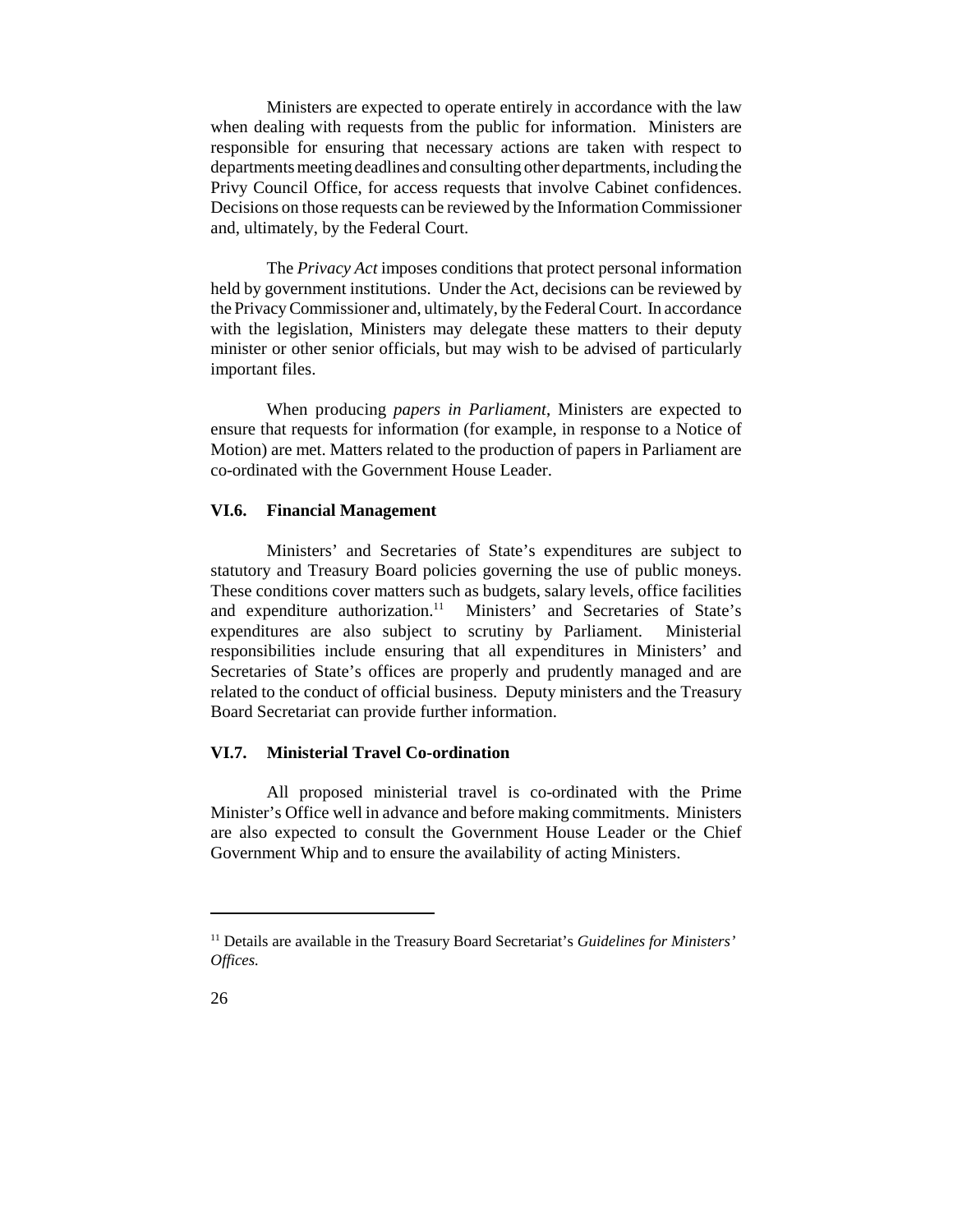Ministers are expected to operate entirely in accordance with the law when dealing with requests from the public for information. Ministers are responsible for ensuring that necessary actions are taken with respect to departments meeting deadlines and consulting other departments, including the Privy Council Office, for access requests that involve Cabinet confidences. Decisions on those requests can be reviewed by the Information Commissioner and, ultimately, by the Federal Court.

The *Privacy Act* imposes conditions that protect personal information held by government institutions. Under the Act, decisions can be reviewed by the Privacy Commissioner and, ultimately, by the Federal Court. In accordance with the legislation, Ministers may delegate these matters to their deputy minister or other senior officials, but may wish to be advised of particularly important files.

When producing *papers in Parliament*, Ministers are expected to ensure that requests for information (for example, in response to a Notice of Motion) are met. Matters related to the production of papers in Parliament are co-ordinated with the Government House Leader.

#### **VI.6. Financial Management**

Ministers' and Secretaries of State's expenditures are subject to statutory and Treasury Board policies governing the use of public moneys. These conditions cover matters such as budgets, salary levels, office facilities and expenditure authorization.<sup>11</sup> Ministers' and Secretaries of State's expenditures are also subject to scrutiny by Parliament. Ministerial responsibilities include ensuring that all expenditures in Ministers' and Secretaries of State's offices are properly and prudently managed and are related to the conduct of official business. Deputy ministers and the Treasury Board Secretariat can provide further information.

# **VI.7. Ministerial Travel Co-ordination**

All proposed ministerial travel is co-ordinated with the Prime Minister's Office well in advance and before making commitments. Ministers are also expected to consult the Government House Leader or the Chief Government Whip and to ensure the availability of acting Ministers.

<sup>11</sup> Details are available in the Treasury Board Secretariat's *Guidelines for Ministers' Offices.*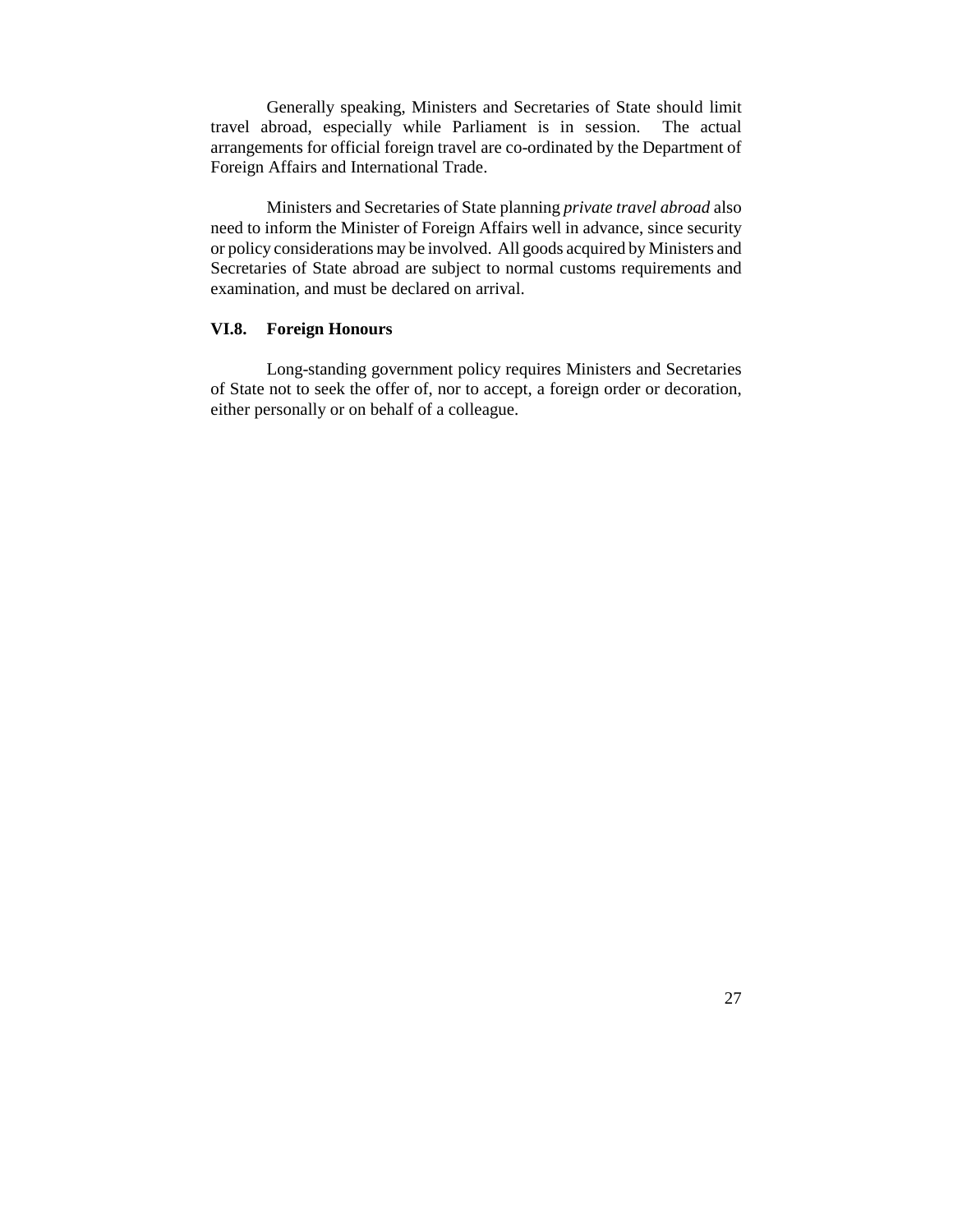Generally speaking, Ministers and Secretaries of State should limit travel abroad, especially while Parliament is in session. The actual arrangements for official foreign travel are co-ordinated by the Department of Foreign Affairs and International Trade.

Ministers and Secretaries of State planning *private travel abroad* also need to inform the Minister of Foreign Affairs well in advance, since security or policy considerations may be involved. All goods acquired by Ministers and Secretaries of State abroad are subject to normal customs requirements and examination, and must be declared on arrival.

### **VI.8. Foreign Honours**

Long-standing government policy requires Ministers and Secretaries of State not to seek the offer of, nor to accept, a foreign order or decoration, either personally or on behalf of a colleague.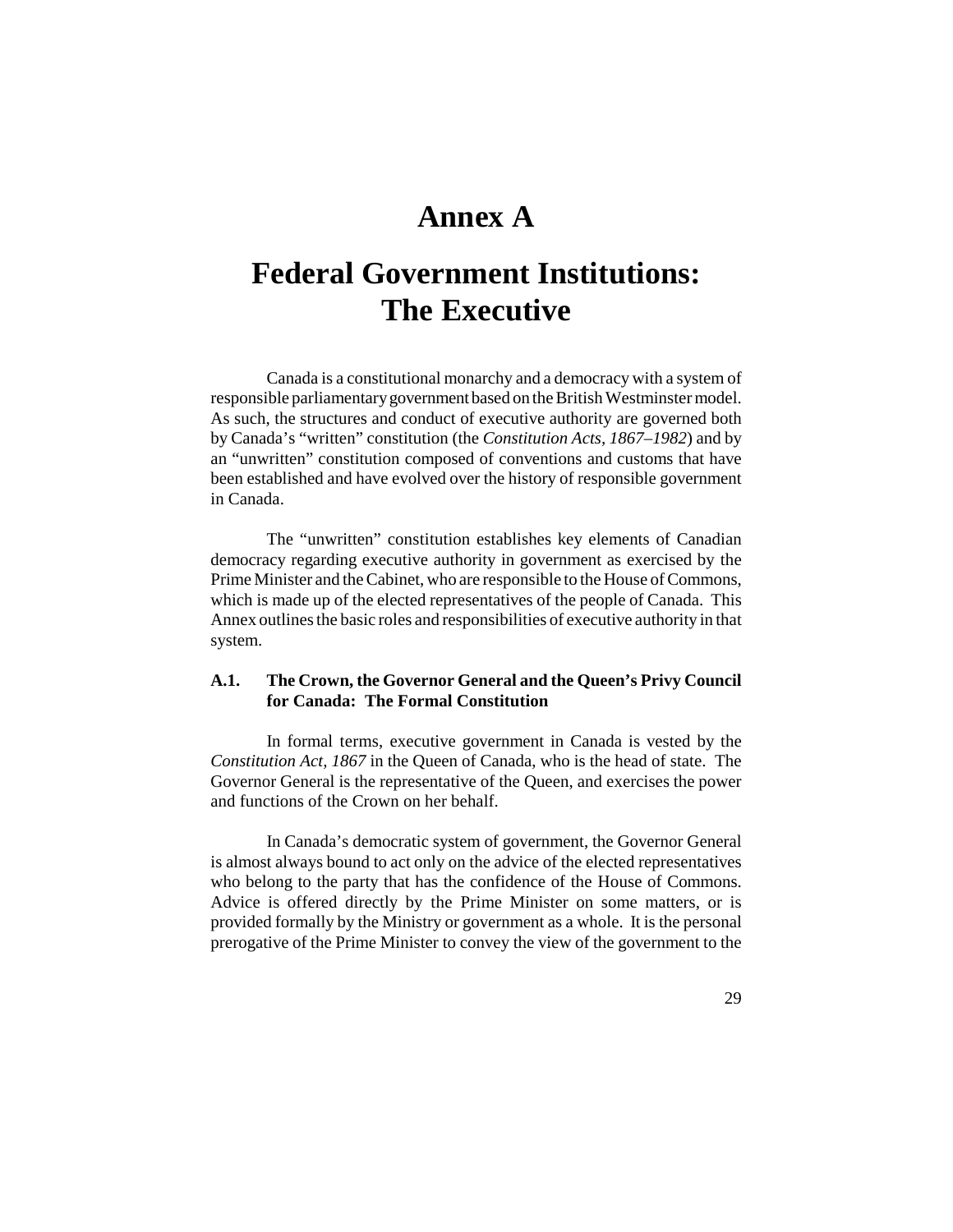# **Annex A**

# **Federal Government Institutions: The Executive**

Canada is a constitutional monarchy and a democracy with a system of responsible parliamentary government based on the British Westminster model. As such, the structures and conduct of executive authority are governed both by Canada's "written" constitution (the *Constitution Acts, 1867–1982*) and by an "unwritten" constitution composed of conventions and customs that have been established and have evolved over the history of responsible government in Canada.

The "unwritten" constitution establishes key elements of Canadian democracy regarding executive authority in government as exercised by the Prime Minister and the Cabinet, who are responsible to the House of Commons, which is made up of the elected representatives of the people of Canada. This Annex outlines the basic roles and responsibilities of executive authority in that system.

### **A.1. The Crown, the Governor General and the Queen's Privy Council for Canada: The Formal Constitution**

In formal terms, executive government in Canada is vested by the *Constitution Act, 1867* in the Queen of Canada, who is the head of state. The Governor General is the representative of the Queen, and exercises the power and functions of the Crown on her behalf.

In Canada's democratic system of government, the Governor General is almost always bound to act only on the advice of the elected representatives who belong to the party that has the confidence of the House of Commons. Advice is offered directly by the Prime Minister on some matters, or is provided formally by the Ministry or government as a whole. It is the personal prerogative of the Prime Minister to convey the view of the government to the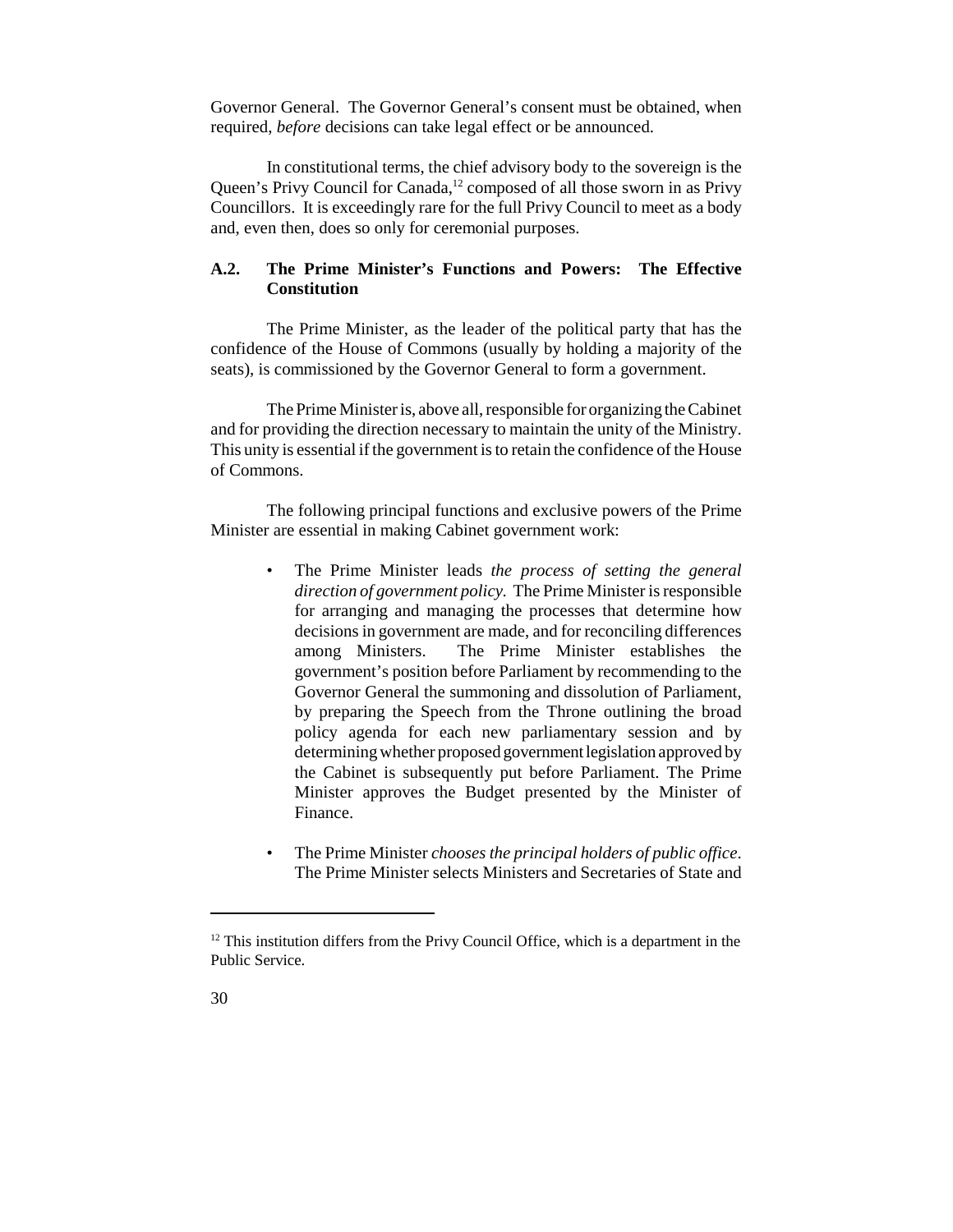Governor General. The Governor General's consent must be obtained, when required, *before* decisions can take legal effect or be announced.

In constitutional terms, the chief advisory body to the sovereign is the Queen's Privy Council for Canada,<sup>12</sup> composed of all those sworn in as Privy Councillors. It is exceedingly rare for the full Privy Council to meet as a body and, even then, does so only for ceremonial purposes.

# **A.2. The Prime Minister's Functions and Powers: The Effective Constitution**

The Prime Minister, as the leader of the political party that has the confidence of the House of Commons (usually by holding a majority of the seats), is commissioned by the Governor General to form a government.

The Prime Minister is, above all, responsible for organizing the Cabinet and for providing the direction necessary to maintain the unity of the Ministry. This unity is essential if the government is to retain the confidence of the House of Commons.

The following principal functions and exclusive powers of the Prime Minister are essential in making Cabinet government work:

- The Prime Minister leads *the process of setting the general direction of government policy.* The Prime Minister is responsible for arranging and managing the processes that determine how decisions in government are made, and for reconciling differences among Ministers. The Prime Minister establishes the government's position before Parliament by recommending to the Governor General the summoning and dissolution of Parliament, by preparing the Speech from the Throne outlining the broad policy agenda for each new parliamentary session and by determining whether proposed government legislation approved by the Cabinet is subsequently put before Parliament. The Prime Minister approves the Budget presented by the Minister of Finance.
- The Prime Minister *chooses the principal holders of public office*. The Prime Minister selects Ministers and Secretaries of State and

<sup>&</sup>lt;sup>12</sup> This institution differs from the Privy Council Office, which is a department in the Public Service.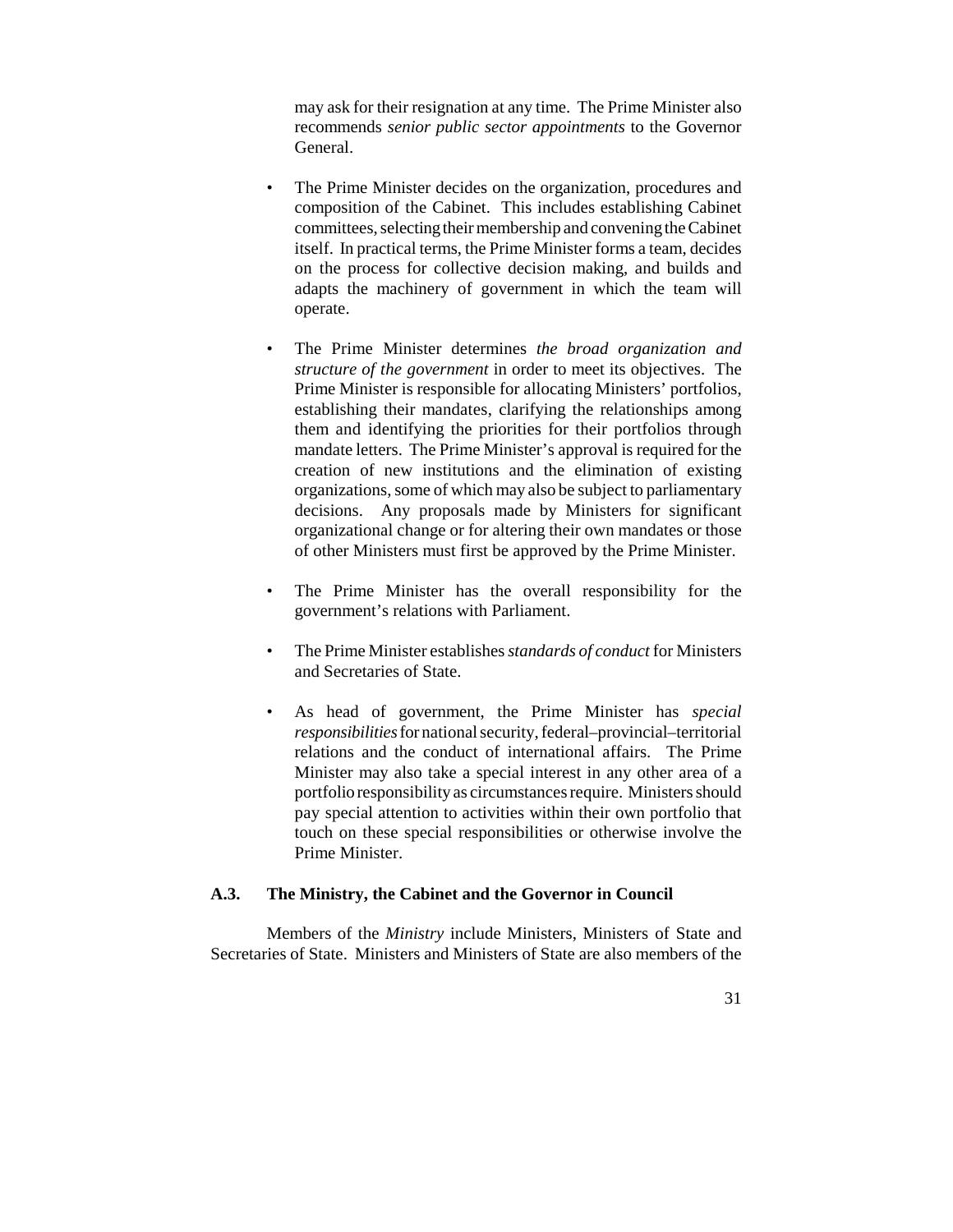may ask for their resignation at any time. The Prime Minister also recommends *senior public sector appointments* to the Governor General.

- The Prime Minister decides on the organization, procedures and composition of the Cabinet. This includes establishing Cabinet committees, selecting their membership and convening the Cabinet itself. In practical terms, the Prime Minister forms a team, decides on the process for collective decision making, and builds and adapts the machinery of government in which the team will operate.
- The Prime Minister determines *the broad organization and structure of the government* in order to meet its objectives. The Prime Minister is responsible for allocating Ministers' portfolios, establishing their mandates, clarifying the relationships among them and identifying the priorities for their portfolios through mandate letters. The Prime Minister's approval is required for the creation of new institutions and the elimination of existing organizations, some of which may also be subject to parliamentary decisions. Any proposals made by Ministers for significant organizational change or for altering their own mandates or those of other Ministers must first be approved by the Prime Minister.
- The Prime Minister has the overall responsibility for the government's relations with Parliament.
- The Prime Minister establishes *standards of conduct* for Ministers and Secretaries of State.
- As head of government, the Prime Minister has *special responsibilities* for national security, federal–provincial–territorial relations and the conduct of international affairs. The Prime Minister may also take a special interest in any other area of a portfolio responsibility as circumstances require. Ministers should pay special attention to activities within their own portfolio that touch on these special responsibilities or otherwise involve the Prime Minister.

# **A.3. The Ministry, the Cabinet and the Governor in Council**

Members of the *Ministry* include Ministers, Ministers of State and Secretaries of State. Ministers and Ministers of State are also members of the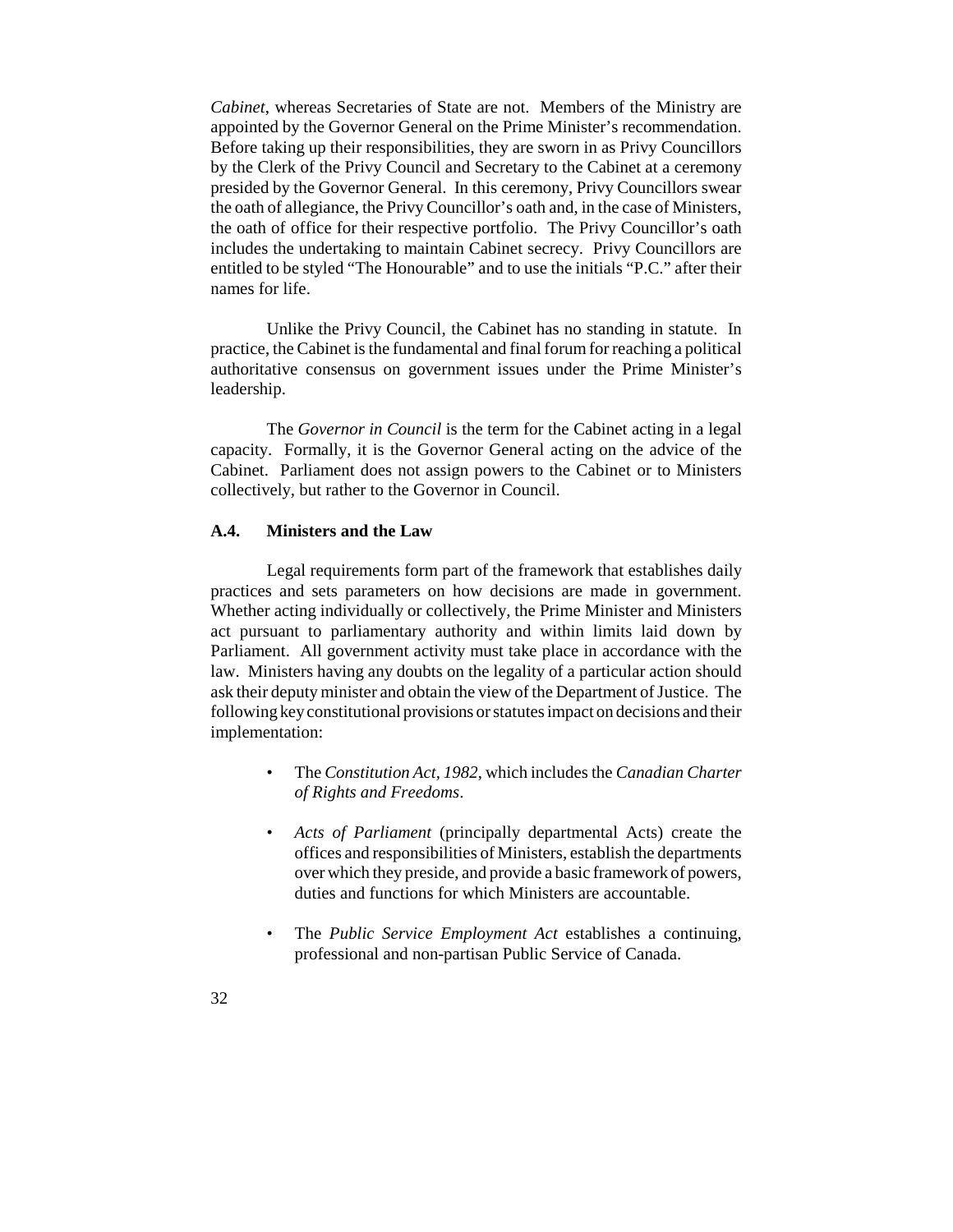*Cabinet*, whereas Secretaries of State are not. Members of the Ministry are appointed by the Governor General on the Prime Minister's recommendation. Before taking up their responsibilities, they are sworn in as Privy Councillors by the Clerk of the Privy Council and Secretary to the Cabinet at a ceremony presided by the Governor General. In this ceremony, Privy Councillors swear the oath of allegiance, the Privy Councillor's oath and, in the case of Ministers, the oath of office for their respective portfolio. The Privy Councillor's oath includes the undertaking to maintain Cabinet secrecy. Privy Councillors are entitled to be styled "The Honourable" and to use the initials "P.C." after their names for life.

Unlike the Privy Council, the Cabinet has no standing in statute. In practice, the Cabinet is the fundamental and final forum for reaching a political authoritative consensus on government issues under the Prime Minister's leadership.

The *Governor in Council* is the term for the Cabinet acting in a legal capacity. Formally, it is the Governor General acting on the advice of the Cabinet. Parliament does not assign powers to the Cabinet or to Ministers collectively, but rather to the Governor in Council.

# **A.4. Ministers and the Law**

Legal requirements form part of the framework that establishes daily practices and sets parameters on how decisions are made in government. Whether acting individually or collectively, the Prime Minister and Ministers act pursuant to parliamentary authority and within limits laid down by Parliament. All government activity must take place in accordance with the law. Ministers having any doubts on the legality of a particular action should ask their deputy minister and obtain the view of the Department of Justice. The following key constitutional provisions or statutes impact on decisions and their implementation:

- The *Constitution Act, 1982*, which includes the *Canadian Charter of Rights and Freedoms*.
- *Acts of Parliament* (principally departmental Acts) create the offices and responsibilities of Ministers, establish the departments over which they preside, and provide a basic framework of powers, duties and functions for which Ministers are accountable.
- The *Public Service Employment Act* establishes a continuing, professional and non-partisan Public Service of Canada.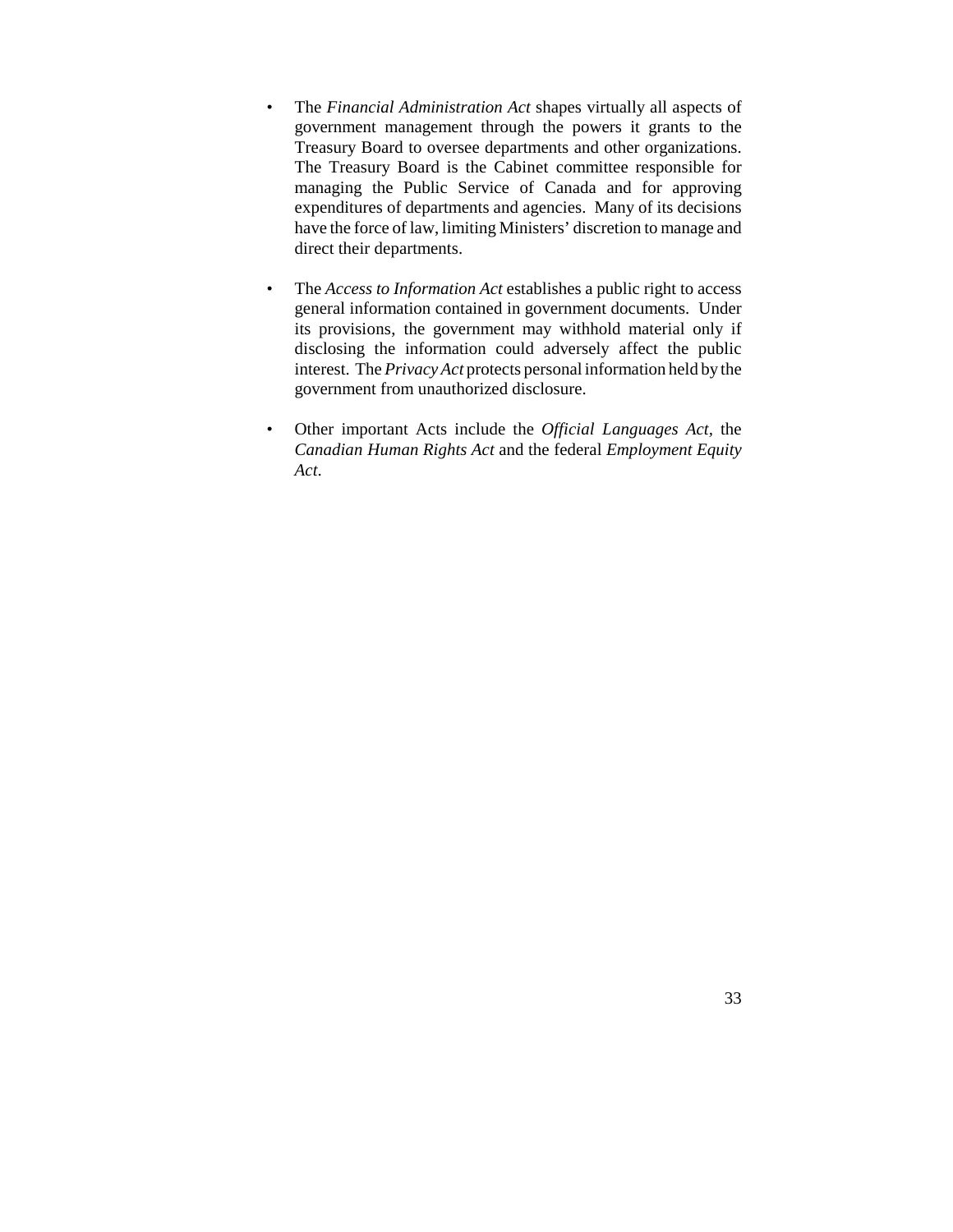- The *Financial Administration Act* shapes virtually all aspects of government management through the powers it grants to the Treasury Board to oversee departments and other organizations. The Treasury Board is the Cabinet committee responsible for managing the Public Service of Canada and for approving expenditures of departments and agencies. Many of its decisions have the force of law, limiting Ministers' discretion to manage and direct their departments.
- The *Access to Information Act* establishes a public right to access general information contained in government documents. Under its provisions, the government may withhold material only if disclosing the information could adversely affect the public interest. The *Privacy Act* protects personal information held by the government from unauthorized disclosure.
- Other important Acts include the *Official Languages Act,* the *Canadian Human Rights Act* and the federal *Employment Equity Act*.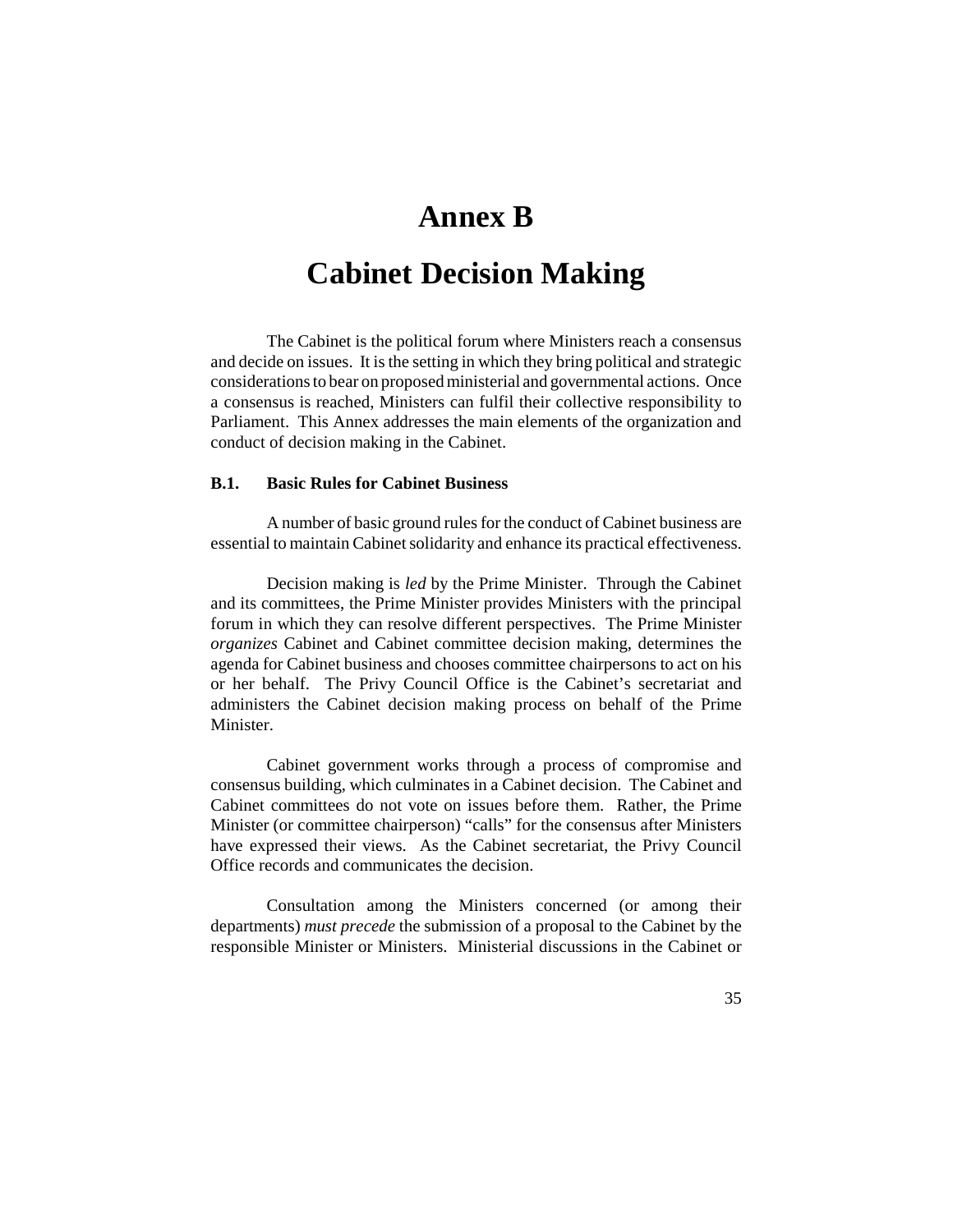# **Annex B**

# **Cabinet Decision Making**

The Cabinet is the political forum where Ministers reach a consensus and decide on issues. It is the setting in which they bring political and strategic considerations to bear on proposed ministerial and governmental actions. Once a consensus is reached, Ministers can fulfil their collective responsibility to Parliament. This Annex addresses the main elements of the organization and conduct of decision making in the Cabinet.

# **B.1. Basic Rules for Cabinet Business**

A number of basic ground rules for the conduct of Cabinet business are essential to maintain Cabinet solidarity and enhance its practical effectiveness.

Decision making is *led* by the Prime Minister. Through the Cabinet and its committees, the Prime Minister provides Ministers with the principal forum in which they can resolve different perspectives. The Prime Minister *organizes* Cabinet and Cabinet committee decision making, determines the agenda for Cabinet business and chooses committee chairpersons to act on his or her behalf. The Privy Council Office is the Cabinet's secretariat and administers the Cabinet decision making process on behalf of the Prime Minister.

Cabinet government works through a process of compromise and consensus building, which culminates in a Cabinet decision. The Cabinet and Cabinet committees do not vote on issues before them. Rather, the Prime Minister (or committee chairperson) "calls" for the consensus after Ministers have expressed their views. As the Cabinet secretariat, the Privy Council Office records and communicates the decision.

Consultation among the Ministers concerned (or among their departments) *must precede* the submission of a proposal to the Cabinet by the responsible Minister or Ministers. Ministerial discussions in the Cabinet or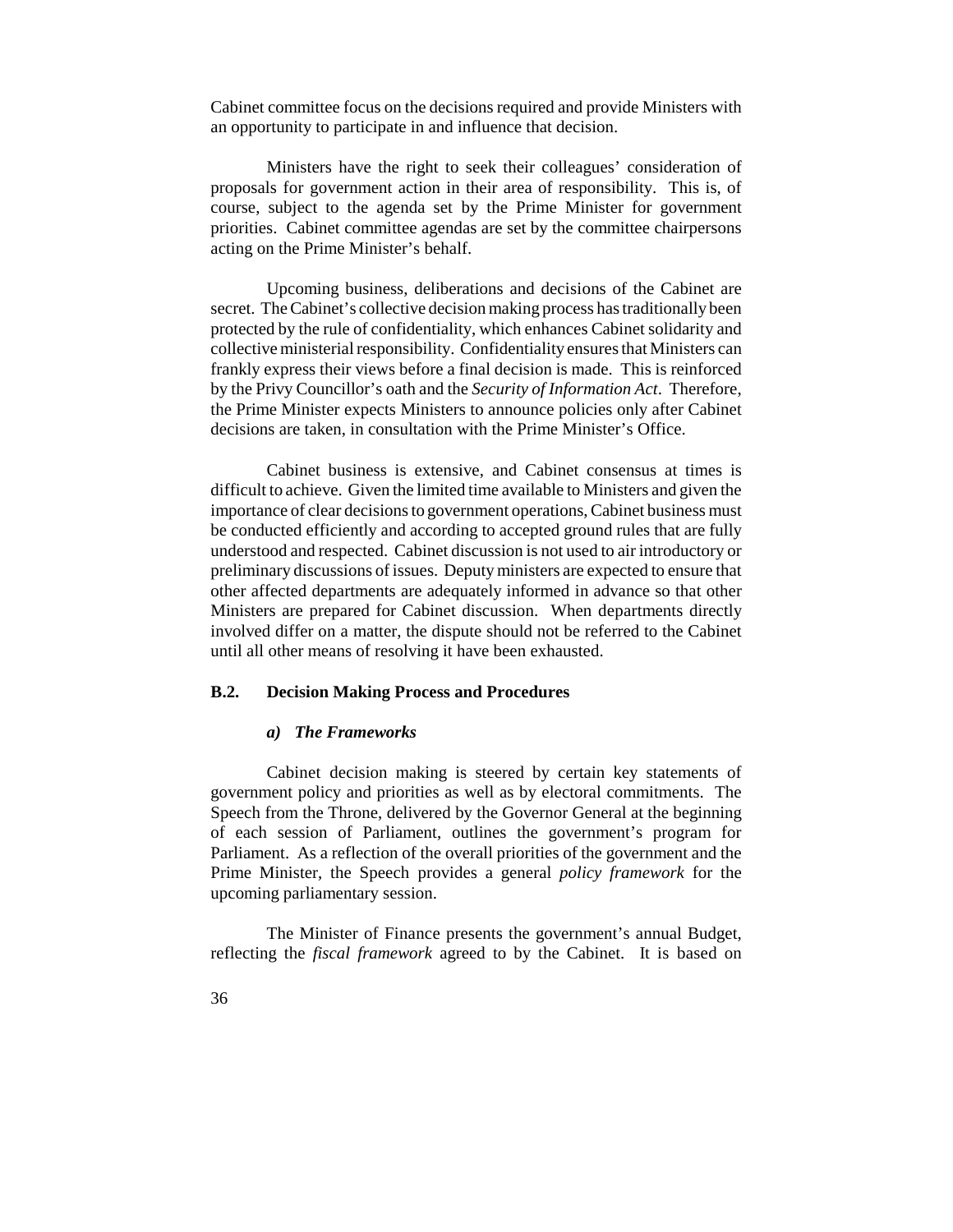Cabinet committee focus on the decisions required and provide Ministers with an opportunity to participate in and influence that decision.

Ministers have the right to seek their colleagues' consideration of proposals for government action in their area of responsibility. This is, of course, subject to the agenda set by the Prime Minister for government priorities. Cabinet committee agendas are set by the committee chairpersons acting on the Prime Minister's behalf.

Upcoming business, deliberations and decisions of the Cabinet are secret. The Cabinet's collective decision making process has traditionally been protected by the rule of confidentiality, which enhances Cabinet solidarity and collective ministerial responsibility. Confidentiality ensures that Ministers can frankly express their views before a final decision is made. This is reinforced by the Privy Councillor's oath and the *Security of Information Act*. Therefore, the Prime Minister expects Ministers to announce policies only after Cabinet decisions are taken, in consultation with the Prime Minister's Office.

Cabinet business is extensive, and Cabinet consensus at times is difficult to achieve. Given the limited time available to Ministers and given the importance of clear decisions to government operations, Cabinet business must be conducted efficiently and according to accepted ground rules that are fully understood and respected. Cabinet discussion is not used to air introductory or preliminary discussions of issues. Deputy ministers are expected to ensure that other affected departments are adequately informed in advance so that other Ministers are prepared for Cabinet discussion. When departments directly involved differ on a matter, the dispute should not be referred to the Cabinet until all other means of resolving it have been exhausted.

#### **B.2. Decision Making Process and Procedures**

#### *a) The Frameworks*

Cabinet decision making is steered by certain key statements of government policy and priorities as well as by electoral commitments. The Speech from the Throne, delivered by the Governor General at the beginning of each session of Parliament, outlines the government's program for Parliament. As a reflection of the overall priorities of the government and the Prime Minister, the Speech provides a general *policy framework* for the upcoming parliamentary session.

The Minister of Finance presents the government's annual Budget, reflecting the *fiscal framework* agreed to by the Cabinet. It is based on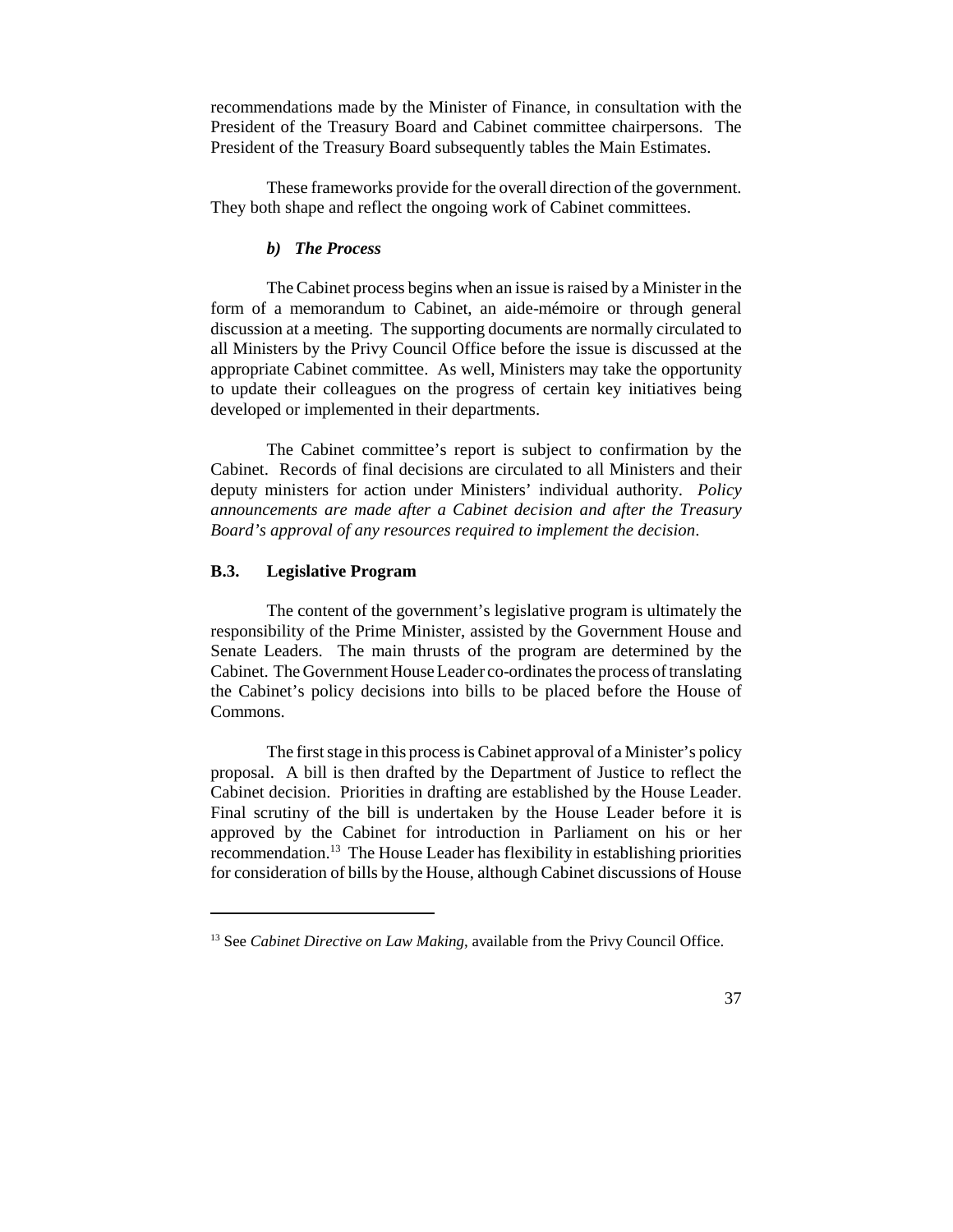recommendations made by the Minister of Finance, in consultation with the President of the Treasury Board and Cabinet committee chairpersons. The President of the Treasury Board subsequently tables the Main Estimates.

These frameworks provide for the overall direction of the government. They both shape and reflect the ongoing work of Cabinet committees.

### *b) The Process*

The Cabinet process begins when an issue is raised by a Minister in the form of a memorandum to Cabinet, an aide-mémoire or through general discussion at a meeting. The supporting documents are normally circulated to all Ministers by the Privy Council Office before the issue is discussed at the appropriate Cabinet committee. As well, Ministers may take the opportunity to update their colleagues on the progress of certain key initiatives being developed or implemented in their departments.

The Cabinet committee's report is subject to confirmation by the Cabinet. Records of final decisions are circulated to all Ministers and their deputy ministers for action under Ministers' individual authority. *Policy announcements are made after a Cabinet decision and after the Treasury Board's approval of any resources required to implement the decision*.

#### **B.3. Legislative Program**

The content of the government's legislative program is ultimately the responsibility of the Prime Minister, assisted by the Government House and Senate Leaders. The main thrusts of the program are determined by the Cabinet. The Government House Leader co-ordinates the process of translating the Cabinet's policy decisions into bills to be placed before the House of Commons.

The first stage in this process is Cabinet approval of a Minister's policy proposal. A bill is then drafted by the Department of Justice to reflect the Cabinet decision. Priorities in drafting are established by the House Leader. Final scrutiny of the bill is undertaken by the House Leader before it is approved by the Cabinet for introduction in Parliament on his or her recommendation.13 The House Leader has flexibility in establishing priorities for consideration of bills by the House, although Cabinet discussions of House

<sup>&</sup>lt;sup>13</sup> See *Cabinet Directive on Law Making*, available from the Privy Council Office.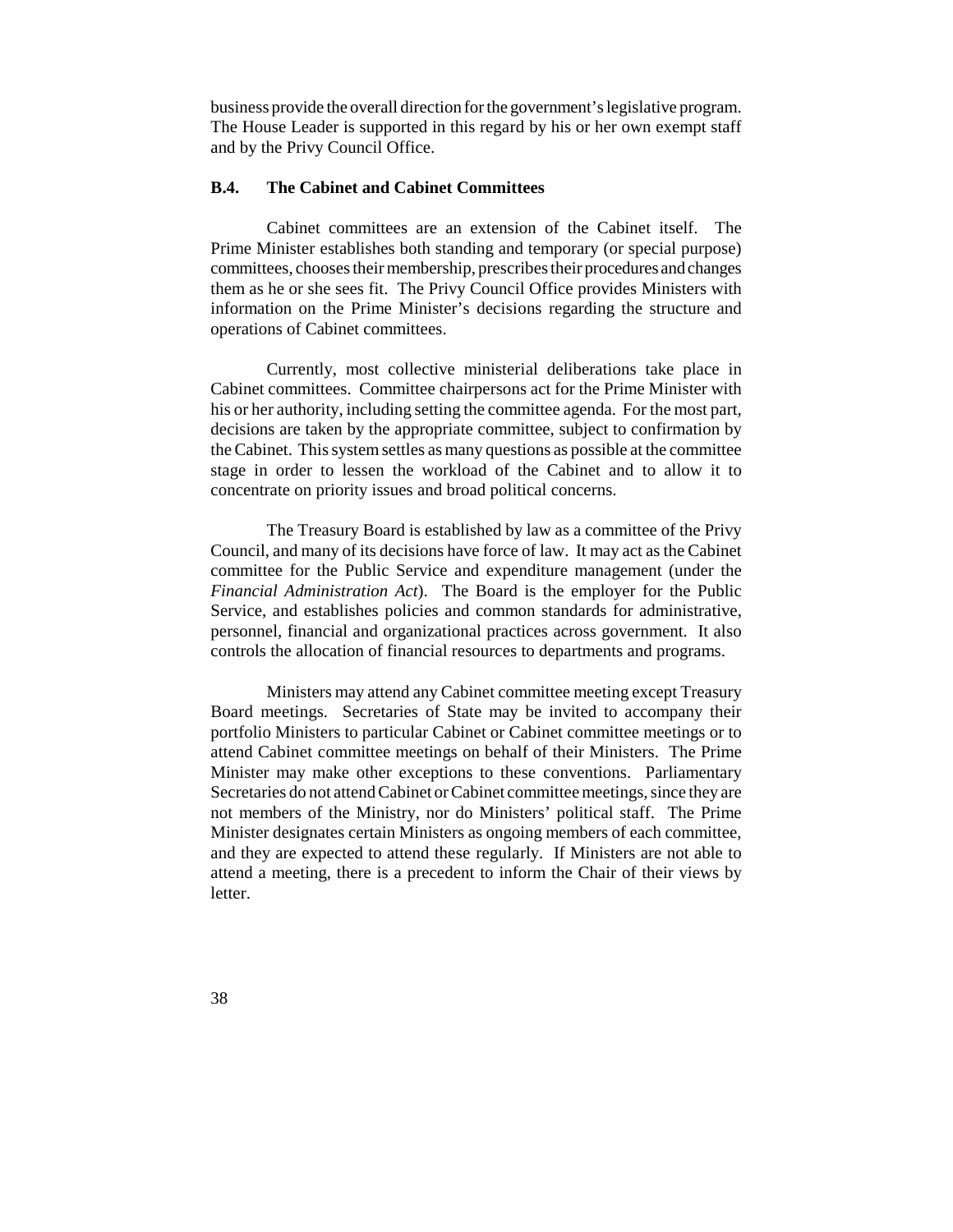business provide the overall direction for the government's legislative program. The House Leader is supported in this regard by his or her own exempt staff and by the Privy Council Office.

# **B.4. The Cabinet and Cabinet Committees**

Cabinet committees are an extension of the Cabinet itself. The Prime Minister establishes both standing and temporary (or special purpose) committees, chooses their membership, prescribes their procedures and changes them as he or she sees fit. The Privy Council Office provides Ministers with information on the Prime Minister's decisions regarding the structure and operations of Cabinet committees.

Currently, most collective ministerial deliberations take place in Cabinet committees. Committee chairpersons act for the Prime Minister with his or her authority, including setting the committee agenda. For the most part, decisions are taken by the appropriate committee, subject to confirmation by the Cabinet. This system settles as many questions as possible at the committee stage in order to lessen the workload of the Cabinet and to allow it to concentrate on priority issues and broad political concerns.

The Treasury Board is established by law as a committee of the Privy Council, and many of its decisions have force of law. It may act as the Cabinet committee for the Public Service and expenditure management (under the *Financial Administration Act*). The Board is the employer for the Public Service, and establishes policies and common standards for administrative, personnel, financial and organizational practices across government. It also controls the allocation of financial resources to departments and programs.

Ministers may attend any Cabinet committee meeting except Treasury Board meetings. Secretaries of State may be invited to accompany their portfolio Ministers to particular Cabinet or Cabinet committee meetings or to attend Cabinet committee meetings on behalf of their Ministers. The Prime Minister may make other exceptions to these conventions. Parliamentary Secretaries do not attend Cabinet or Cabinet committee meetings, since they are not members of the Ministry, nor do Ministers' political staff. The Prime Minister designates certain Ministers as ongoing members of each committee, and they are expected to attend these regularly. If Ministers are not able to attend a meeting, there is a precedent to inform the Chair of their views by letter.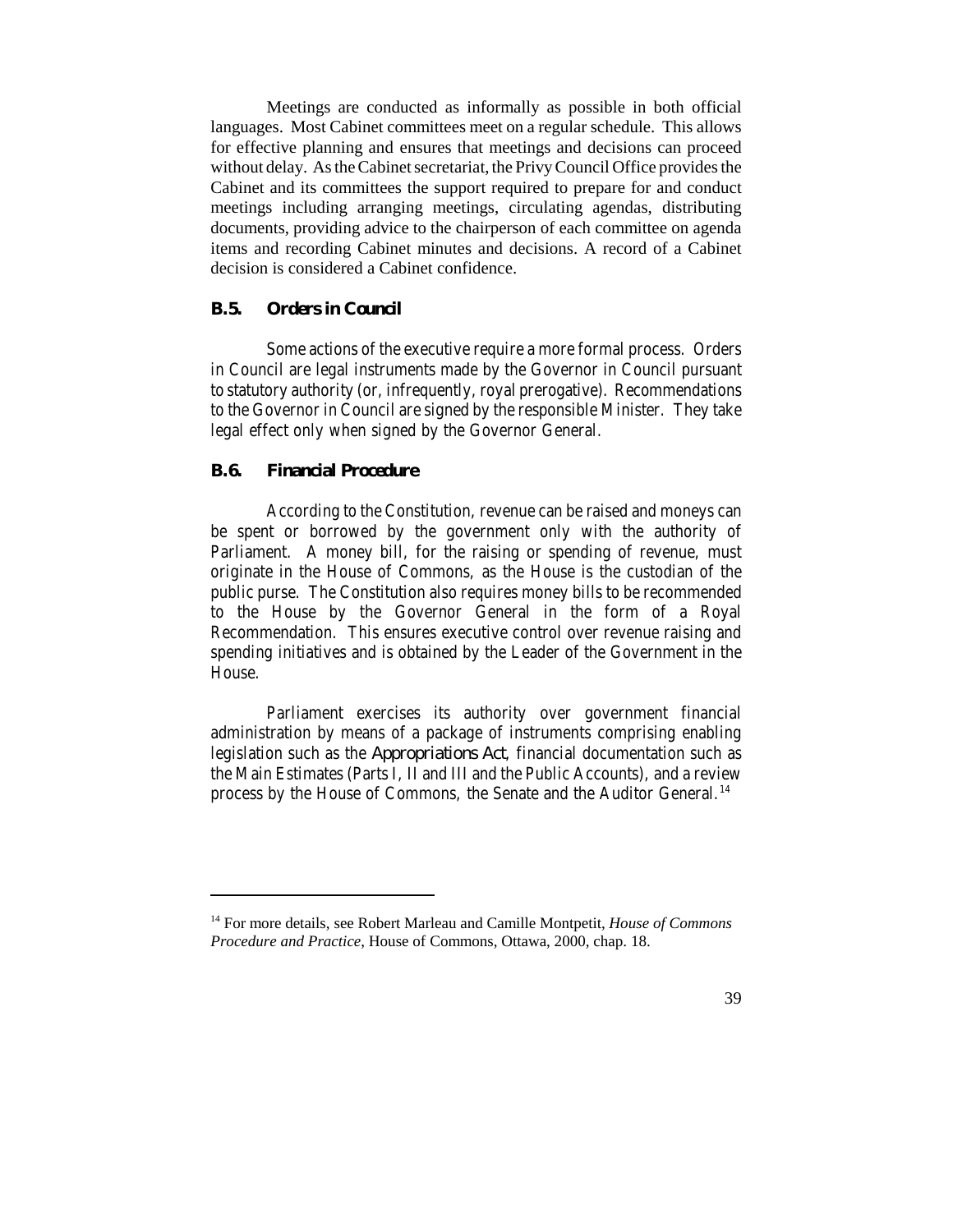Meetings are conducted as informally as possible in both official languages. Most Cabinet committees meet on a regular schedule. This allows for effective planning and ensures that meetings and decisions can proceed without delay. As the Cabinet secretariat, the Privy Council Office provides the Cabinet and its committees the support required to prepare for and conduct meetings including arranging meetings, circulating agendas, distributing documents, providing advice to the chairperson of each committee on agenda items and recording Cabinet minutes and decisions. A record of a Cabinet decision is considered a Cabinet confidence.

### **B.5. Orders in Council**

Some actions of the executive require a more formal process. Orders in Council are legal instruments made by the Governor in Council pursuant to statutory authority (or, infrequently, royal prerogative). Recommendations to the Governor in Council are signed by the responsible Minister. They take legal effect only when signed by the Governor General.

### **B.6. Financial Procedure**

According to the Constitution, revenue can be raised and moneys can be spent or borrowed by the government only with the authority of Parliament. A money bill, for the raising or spending of revenue, must originate in the House of Commons, as the House is the custodian of the public purse. The Constitution also requires money bills to be recommended to the House by the Governor General in the form of a Royal Recommendation. This ensures executive control over revenue raising and spending initiatives and is obtained by the Leader of the Government in the House.

Parliament exercises its authority over government financial administration by means of a package of instruments comprising enabling legislation such as the *Appropriations Act*, financial documentation such as the Main Estimates (Parts I, II and III and the Public Accounts), and a review process by the House of Commons, the Senate and the Auditor General.14

<sup>14</sup> For more details, see Robert Marleau and Camille Montpetit, *House of Commons Procedure and Practice*, House of Commons, Ottawa, 2000, chap. 18.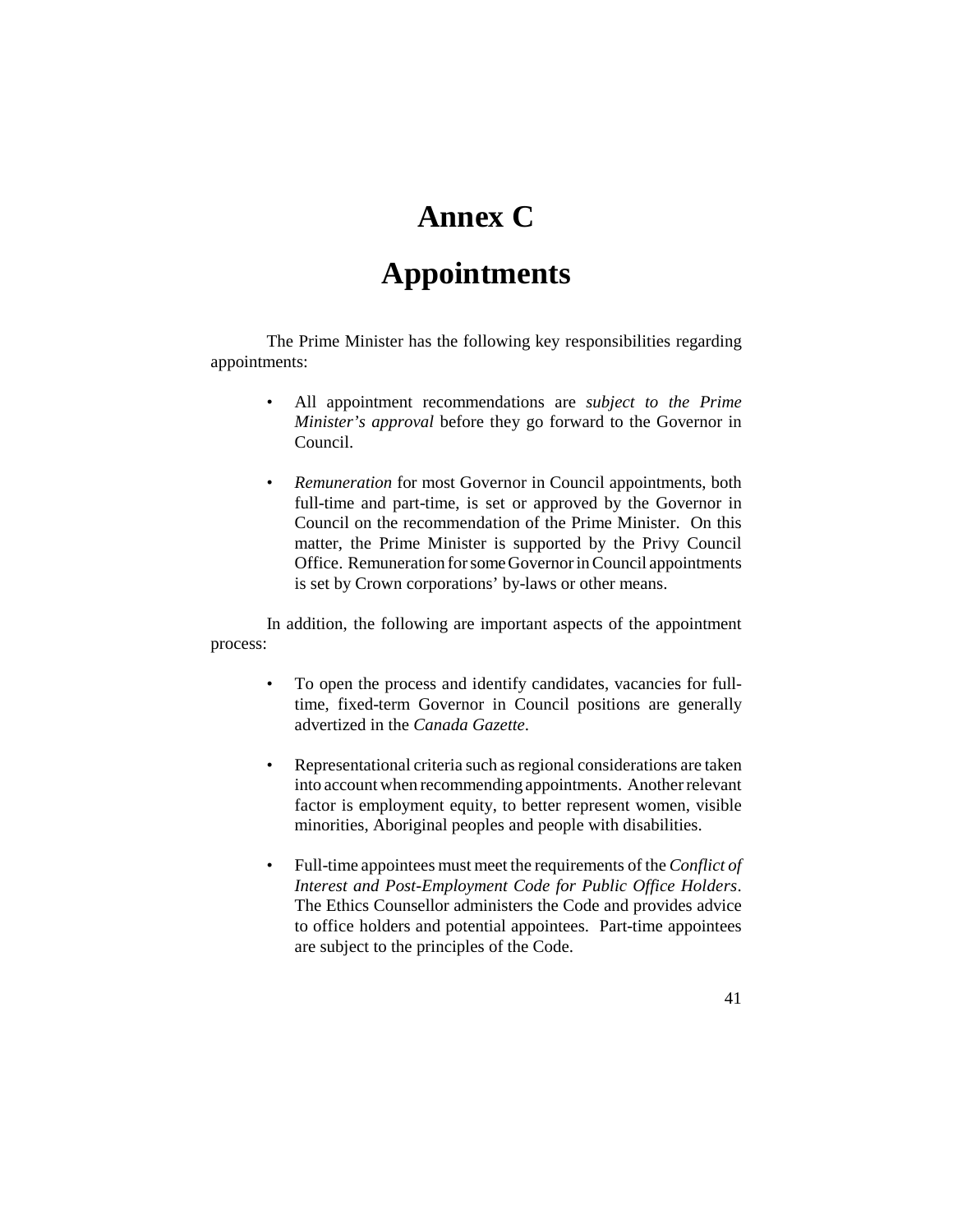# **Annex C**

# **Appointments**

The Prime Minister has the following key responsibilities regarding appointments:

- All appointment recommendations are *subject to the Prime Minister's approval* before they go forward to the Governor in Council.
- *Remuneration* for most Governor in Council appointments, both full-time and part-time, is set or approved by the Governor in Council on the recommendation of the Prime Minister. On this matter, the Prime Minister is supported by the Privy Council Office. Remuneration for some Governor in Council appointments is set by Crown corporations' by-laws or other means.

In addition, the following are important aspects of the appointment process:

- To open the process and identify candidates, vacancies for fulltime, fixed-term Governor in Council positions are generally advertized in the *Canada Gazette*.
- Representational criteria such as regional considerations are taken into account when recommending appointments. Another relevant factor is employment equity, to better represent women, visible minorities, Aboriginal peoples and people with disabilities.
- Full-time appointees must meet the requirements of the *Conflict of Interest and Post-Employment Code for Public Office Holders*. The Ethics Counsellor administers the Code and provides advice to office holders and potential appointees. Part-time appointees are subject to the principles of the Code.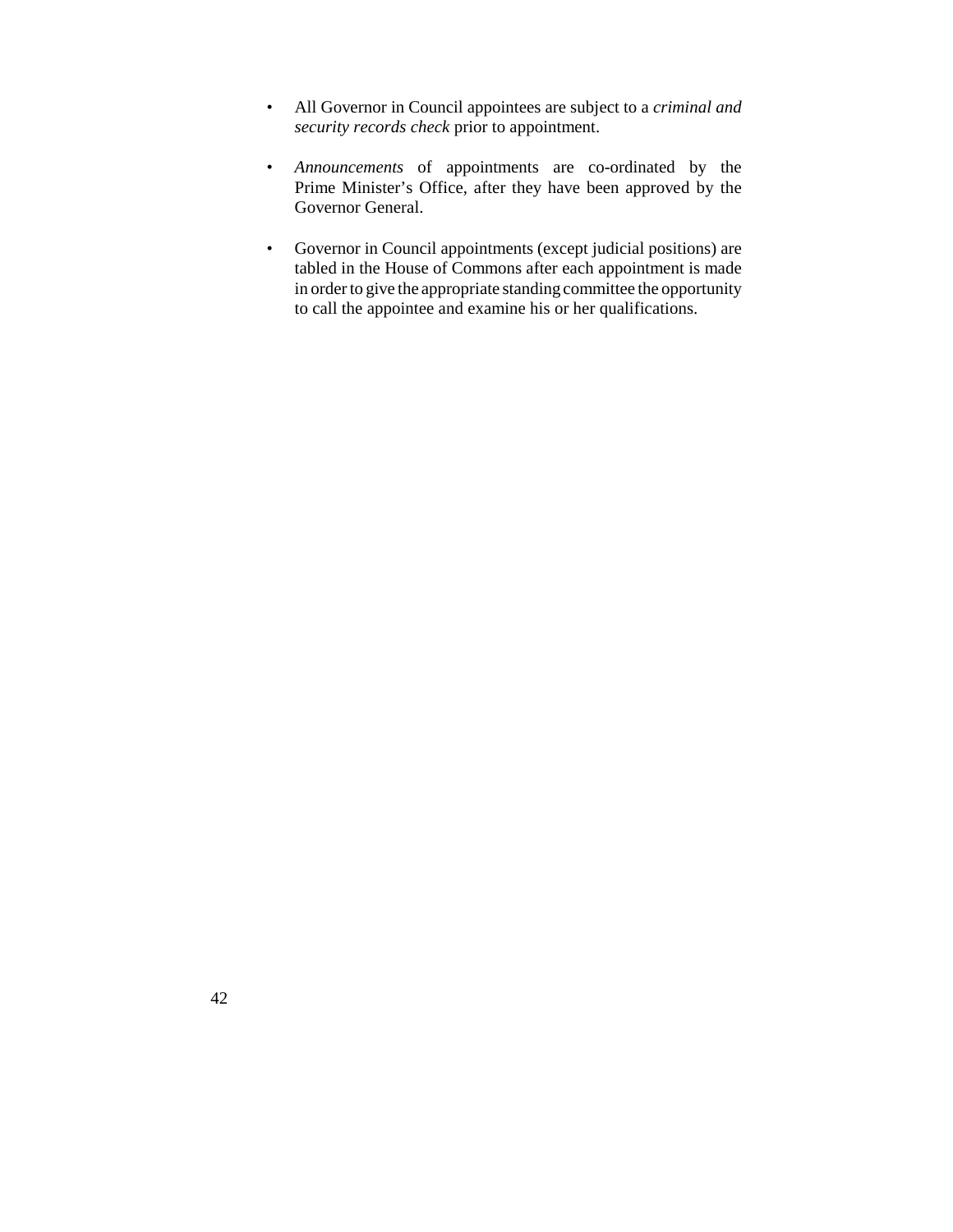- All Governor in Council appointees are subject to a *criminal and security records check* prior to appointment.
- *Announcements* of appointments are co-ordinated by the Prime Minister's Office, after they have been approved by the Governor General.
- Governor in Council appointments (except judicial positions) are tabled in the House of Commons after each appointment is made in order to give the appropriate standing committee the opportunity to call the appointee and examine his or her qualifications.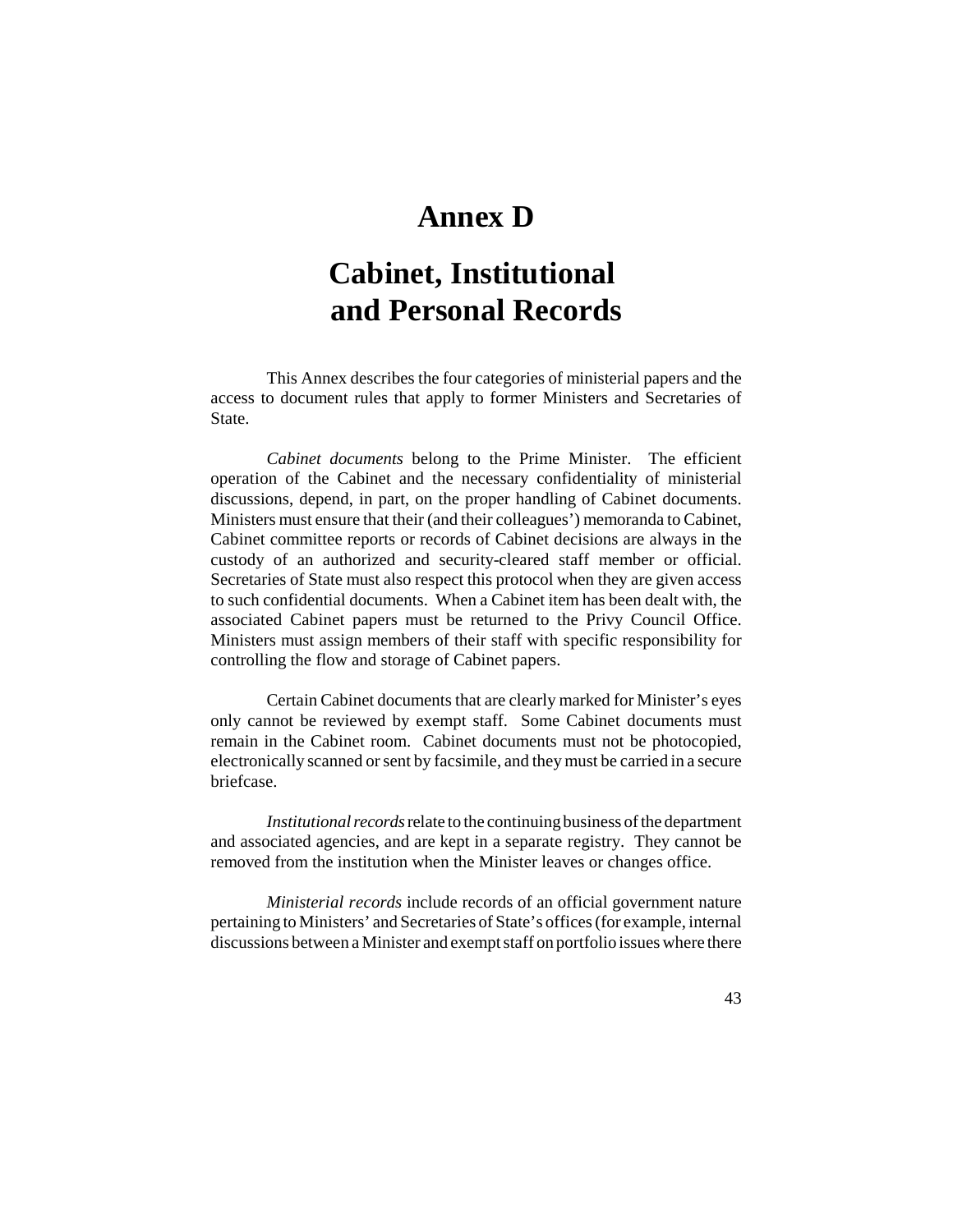# **Annex D**

# **Cabinet, Institutional and Personal Records**

This Annex describes the four categories of ministerial papers and the access to document rules that apply to former Ministers and Secretaries of State.

*Cabinet documents* belong to the Prime Minister. The efficient operation of the Cabinet and the necessary confidentiality of ministerial discussions, depend, in part, on the proper handling of Cabinet documents. Ministers must ensure that their (and their colleagues') memoranda to Cabinet, Cabinet committee reports or records of Cabinet decisions are always in the custody of an authorized and security-cleared staff member or official. Secretaries of State must also respect this protocol when they are given access to such confidential documents. When a Cabinet item has been dealt with, the associated Cabinet papers must be returned to the Privy Council Office. Ministers must assign members of their staff with specific responsibility for controlling the flow and storage of Cabinet papers.

Certain Cabinet documents that are clearly marked for Minister's eyes only cannot be reviewed by exempt staff. Some Cabinet documents must remain in the Cabinet room. Cabinet documents must not be photocopied, electronically scanned or sent by facsimile, and they must be carried in a secure briefcase.

*Institutional records* relate to the continuing business of the department and associated agencies, and are kept in a separate registry. They cannot be removed from the institution when the Minister leaves or changes office.

*Ministerial records* include records of an official government nature pertaining to Ministers' and Secretaries of State's offices (for example, internal discussions between a Minister and exempt staff on portfolio issues where there